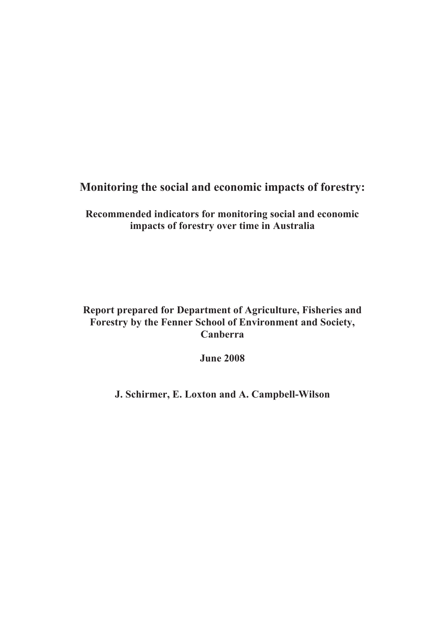## **Monitoring the social and economic impacts of forestry:**

**Recommended indicators for monitoring social and economic impacts of forestry over time in Australia**

## **Report prepared for Department of Agriculture, Fisheries and Forestry by the Fenner School of Environment and Society, Canberra**

**June 2008**

**J. Schirmer, E. Loxton and A. Campbell-Wilson**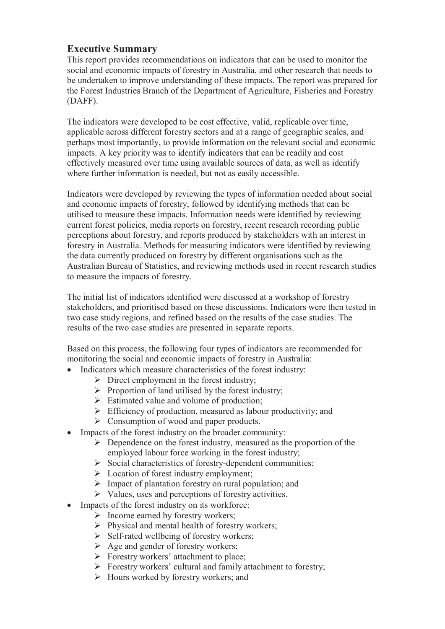### **Executive Summary**

This report provides recommendations on indicators that can be used to monitor the social and economic impacts of forestry in Australia, and other research that needs to be undertaken to improve understanding of these impacts. The report was prepared for the Forest Industries Branch of the Department of Agriculture, Fisheries and Forestry (DAFF).

The indicators were developed to be cost effective, valid, replicable over time, applicable across different forestry sectors and at a range of geographic scales, and perhaps most importantly, to provide information on the relevant social and economic impacts. A key priority was to identify indicators that can be readily and cost effectively measured over time using available sources of data, as well as identify where further information is needed, but not as easily accessible.

Indicators were developed by reviewing the types of information needed about social and economic impacts of forestry, followed by identifying methods that can be utilised to measure these impacts. Information needs were identified by reviewing current forest policies, media reports on forestry, recent research recording public perceptions about forestry, and reports produced by stakeholders with an interest in forestry in Australia. Methods for measuring indicators were identified by reviewing the data currently produced on forestry by different organisations such as the Australian Bureau of Statistics, and reviewing methods used in recent research studies to measure the impacts of forestry.

The initial list of indicators identified were discussed at a workshop of forestry stakeholders, and prioritised based on these discussions. Indicators were then tested in two case study regions, and refined based on the results of the case studies. The results of the two case studies are presented in separate reports.

Based on this process, the following four types of indicators are recommended for monitoring the social and economic impacts of forestry in Australia:

- Indicators which measure characteristics of the forest industry:
	- $\triangleright$  Direct employment in the forest industry;
	- $\triangleright$  Proportion of land utilised by the forest industry;
	- $\triangleright$  Estimated value and volume of production;
	- $\triangleright$  Efficiency of production, measured as labour productivity; and
	- $\triangleright$  Consumption of wood and paper products.
- Impacts of the forest industry on the broader community:
	- $\triangleright$  Dependence on the forest industry, measured as the proportion of the employed labour force working in the forest industry;
	- $\triangleright$  Social characteristics of forestry-dependent communities;
	- $\triangleright$  Location of forest industry employment;
	- $\triangleright$  Impact of plantation forestry on rural population; and
	- $\triangleright$  Values, uses and perceptions of forestry activities.
- Impacts of the forest industry on its workforce:
	- $\triangleright$  Income earned by forestry workers;
	- $\triangleright$  Physical and mental health of forestry workers;
	- $\triangleright$  Self-rated wellbeing of forestry workers;
	- $\triangleright$  Age and gender of forestry workers;
	- $\triangleright$  Forestry workers' attachment to place;
	- $\triangleright$  Forestry workers' cultural and family attachment to forestry;
	- $\triangleright$  Hours worked by forestry workers; and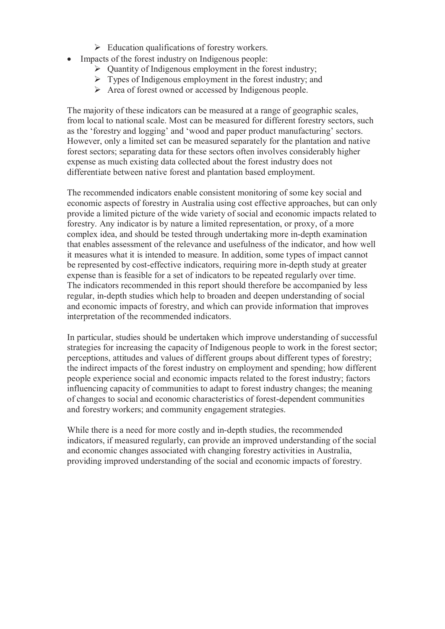- $\triangleright$  Education qualifications of forestry workers.
- Impacts of the forest industry on Indigenous people:
	- $\triangleright$  Quantity of Indigenous employment in the forest industry;
	- $\triangleright$  Types of Indigenous employment in the forest industry; and
	- Area of forest owned or accessed by Indigenous people.

The majority of these indicators can be measured at a range of geographic scales, from local to national scale. Most can be measured for different forestry sectors, such as the 'forestry and logging' and 'wood and paper product manufacturing' sectors. However, only a limited set can be measured separately for the plantation and native forest sectors; separating data for these sectors often involves considerably higher expense as much existing data collected about the forest industry does not differentiate between native forest and plantation based employment.

The recommended indicators enable consistent monitoring of some key social and economic aspects of forestry in Australia using cost effective approaches, but can only provide a limited picture of the wide variety of social and economic impacts related to forestry. Any indicator is by nature a limited representation, or proxy, of a more complex idea, and should be tested through undertaking more in-depth examination that enables assessment of the relevance and usefulness of the indicator, and how well it measures what it is intended to measure. In addition, some types of impact cannot be represented by cost-effective indicators, requiring more in-depth study at greater expense than is feasible for a set of indicators to be repeated regularly over time. The indicators recommended in this report should therefore be accompanied by less regular, in-depth studies which help to broaden and deepen understanding of social and economic impacts of forestry, and which can provide information that improves interpretation of the recommended indicators.

In particular, studies should be undertaken which improve understanding of successful strategies for increasing the capacity of Indigenous people to work in the forest sector; perceptions, attitudes and values of different groups about different types of forestry; the indirect impacts of the forest industry on employment and spending; how different people experience social and economic impacts related to the forest industry; factors influencing capacity of communities to adapt to forest industry changes; the meaning of changes to social and economic characteristics of forest-dependent communities and forestry workers; and community engagement strategies.

While there is a need for more costly and in-depth studies, the recommended indicators, if measured regularly, can provide an improved understanding of the social and economic changes associated with changing forestry activities in Australia, providing improved understanding of the social and economic impacts of forestry.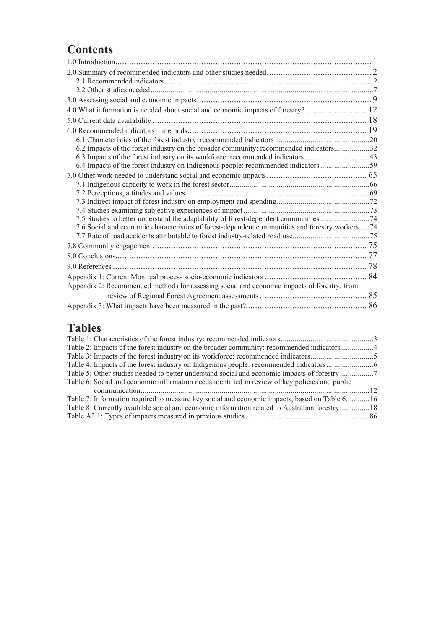# **Contents**

| 6.2 Impacts of the forest industry on the broader community: recommended indicators32            |  |
|--------------------------------------------------------------------------------------------------|--|
| 6.3 Impacts of the forest industry on its workforce: recommended indicators43                    |  |
|                                                                                                  |  |
|                                                                                                  |  |
|                                                                                                  |  |
|                                                                                                  |  |
|                                                                                                  |  |
|                                                                                                  |  |
| 7.5 Studies to better understand the adaptability of forest-dependent communities 74             |  |
| 7.6 Social and economic characteristics of forest-dependent communities and forestry workers  74 |  |
|                                                                                                  |  |
|                                                                                                  |  |
|                                                                                                  |  |
|                                                                                                  |  |
|                                                                                                  |  |
| Appendix 2: Recommended methods for assessing social and economic impacts of forestry, from      |  |
|                                                                                                  |  |
|                                                                                                  |  |

# **Tables**

| Table 2: Impacts of the forest industry on the broader community: recommended indicators4      |  |
|------------------------------------------------------------------------------------------------|--|
|                                                                                                |  |
|                                                                                                |  |
|                                                                                                |  |
| Table 6: Social and economic information needs identified in review of key policies and public |  |
|                                                                                                |  |
| Table 7: Information required to measure key social and economic impacts, based on Table 616   |  |
| Table 8: Currently available social and economic information related to Australian forestry18  |  |
|                                                                                                |  |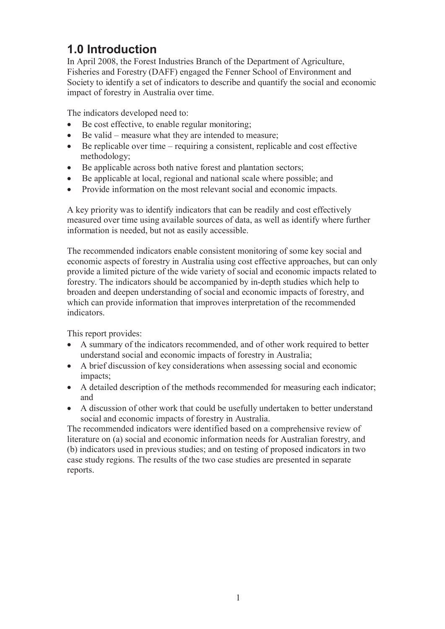# **1.0 Introduction**

In April 2008, the Forest Industries Branch of the Department of Agriculture, Fisheries and Forestry (DAFF) engaged the Fenner School of Environment and Society to identify a set of indicators to describe and quantify the social and economic impact of forestry in Australia over time.

The indicators developed need to:

- Be cost effective, to enable regular monitoring;
- Be valid measure what they are intended to measure;
- Be replicable over time requiring a consistent, replicable and cost effective methodology;
- Be applicable across both native forest and plantation sectors;
- Be applicable at local, regional and national scale where possible; and
- Provide information on the most relevant social and economic impacts.

A key priority was to identify indicators that can be readily and cost effectively measured over time using available sources of data, as well as identify where further information is needed, but not as easily accessible.

The recommended indicators enable consistent monitoring of some key social and economic aspects of forestry in Australia using cost effective approaches, but can only provide a limited picture of the wide variety of social and economic impacts related to forestry. The indicators should be accompanied by in-depth studies which help to broaden and deepen understanding of social and economic impacts of forestry, and which can provide information that improves interpretation of the recommended indicators.

This report provides:

- A summary of the indicators recommended, and of other work required to better understand social and economic impacts of forestry in Australia;
- A brief discussion of key considerations when assessing social and economic impacts;
- A detailed description of the methods recommended for measuring each indicator; and
- A discussion of other work that could be usefully undertaken to better understand social and economic impacts of forestry in Australia.

The recommended indicators were identified based on a comprehensive review of literature on (a) social and economic information needs for Australian forestry, and (b) indicators used in previous studies; and on testing of proposed indicators in two case study regions. The results of the two case studies are presented in separate reports.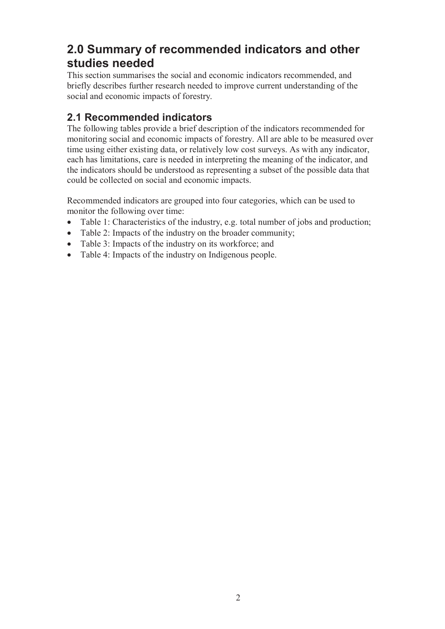# **2.0 Summary of recommended indicators and other studies needed**

This section summarises the social and economic indicators recommended, and briefly describes further research needed to improve current understanding of the social and economic impacts of forestry.

## **2.1 Recommended indicators**

The following tables provide a brief description of the indicators recommended for monitoring social and economic impacts of forestry. All are able to be measured over time using either existing data, or relatively low cost surveys. As with any indicator, each has limitations, care is needed in interpreting the meaning of the indicator, and the indicators should be understood as representing a subset of the possible data that could be collected on social and economic impacts.

Recommended indicators are grouped into four categories, which can be used to monitor the following over time:

- Table 1: Characteristics of the industry, e.g. total number of jobs and production;
- Table 2: Impacts of the industry on the broader community;
- Table 3: Impacts of the industry on its workforce; and
- Table 4: Impacts of the industry on Indigenous people.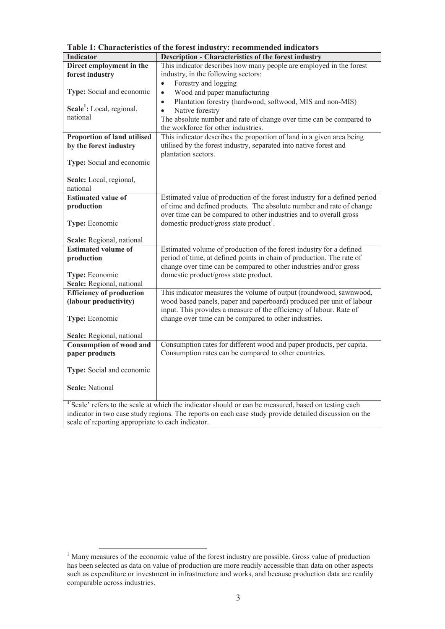| <b>Indicator</b>                                                                                       | <b>Description - Characteristics of the forest industry</b>                                                     |
|--------------------------------------------------------------------------------------------------------|-----------------------------------------------------------------------------------------------------------------|
| Direct employment in the                                                                               | This indicator describes how many people are employed in the forest                                             |
| forest industry                                                                                        | industry, in the following sectors:                                                                             |
|                                                                                                        | Forestry and logging<br>$\bullet$                                                                               |
| Type: Social and economic                                                                              | Wood and paper manufacturing<br>$\bullet$                                                                       |
|                                                                                                        | Plantation forestry (hardwood, softwood, MIS and non-MIS)<br>$\bullet$                                          |
| Scale <sup>1</sup> : Local, regional,                                                                  | Native forestry<br>$\bullet$                                                                                    |
| national                                                                                               | The absolute number and rate of change over time can be compared to                                             |
|                                                                                                        | the workforce for other industries.                                                                             |
| Proportion of land utilised                                                                            | This indicator describes the proportion of land in a given area being                                           |
| by the forest industry                                                                                 | utilised by the forest industry, separated into native forest and                                               |
|                                                                                                        | plantation sectors.                                                                                             |
| Type: Social and economic                                                                              |                                                                                                                 |
|                                                                                                        |                                                                                                                 |
| Scale: Local, regional,                                                                                |                                                                                                                 |
| national                                                                                               |                                                                                                                 |
| <b>Estimated value of</b>                                                                              | Estimated value of production of the forest industry for a defined period                                       |
| production                                                                                             | of time and defined products. The absolute number and rate of change                                            |
|                                                                                                        | over time can be compared to other industries and to overall gross                                              |
| Type: Economic                                                                                         | domestic product/gross state product <sup>1</sup> .                                                             |
|                                                                                                        |                                                                                                                 |
| Scale: Regional, national                                                                              |                                                                                                                 |
| <b>Estimated volume of</b>                                                                             | Estimated volume of production of the forest industry for a defined                                             |
| production                                                                                             | period of time, at defined points in chain of production. The rate of                                           |
|                                                                                                        | change over time can be compared to other industries and/or gross                                               |
| Type: Economic                                                                                         | domestic product/gross state product.                                                                           |
| Scale: Regional, national                                                                              |                                                                                                                 |
| <b>Efficiency of production</b>                                                                        | This indicator measures the volume of output (roundwood, sawnwood,                                              |
| (labour productivity)                                                                                  | wood based panels, paper and paperboard) produced per unit of labour                                            |
|                                                                                                        | input. This provides a measure of the efficiency of labour. Rate of                                             |
| Type: Economic                                                                                         | change over time can be compared to other industries.                                                           |
|                                                                                                        |                                                                                                                 |
| Scale: Regional, national                                                                              |                                                                                                                 |
| <b>Consumption of wood and</b>                                                                         | Consumption rates for different wood and paper products, per capita.                                            |
| paper products                                                                                         | Consumption rates can be compared to other countries.                                                           |
|                                                                                                        |                                                                                                                 |
| Type: Social and economic                                                                              |                                                                                                                 |
|                                                                                                        |                                                                                                                 |
| <b>Scale: National</b>                                                                                 |                                                                                                                 |
|                                                                                                        |                                                                                                                 |
|                                                                                                        | <sup>1</sup> Scale' refers to the scale at which the indicator should or can be measured, based on testing each |
| indicator in two case study regions. The reports on each case study provide detailed discussion on the |                                                                                                                 |
| scale of reporting appropriate to each indicator.                                                      |                                                                                                                 |

**Table 1: Characteristics of the forest industry: recommended indicators**

<sup>&</sup>lt;sup>1</sup> Many measures of the economic value of the forest industry are possible. Gross value of production has been selected as data on value of production are more readily accessible than data on other aspects such as expenditure or investment in infrastructure and works, and because production data are readily comparable across industries.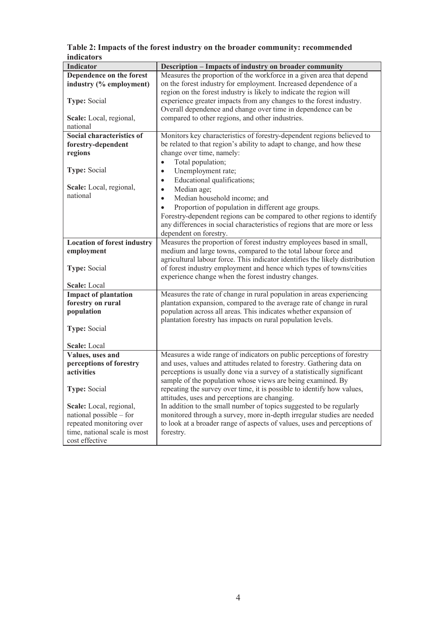| Table 2: Impacts of the forest industry on the broader community: recommended |
|-------------------------------------------------------------------------------|
| <i>indicators</i>                                                             |

| <b>Indicator</b>                      | Description - Impacts of industry on broader community                                                                                         |
|---------------------------------------|------------------------------------------------------------------------------------------------------------------------------------------------|
| Dependence on the forest              | Measures the proportion of the workforce in a given area that depend                                                                           |
| industry (% employment)               | on the forest industry for employment. Increased dependence of a                                                                               |
|                                       | region on the forest industry is likely to indicate the region will                                                                            |
| <b>Type: Social</b>                   | experience greater impacts from any changes to the forest industry.                                                                            |
|                                       | Overall dependence and change over time in dependence can be                                                                                   |
| Scale: Local, regional,               | compared to other regions, and other industries.                                                                                               |
| national                              |                                                                                                                                                |
| Social characteristics of             | Monitors key characteristics of forestry-dependent regions believed to                                                                         |
| forestry-dependent                    | be related to that region's ability to adapt to change, and how these                                                                          |
| regions                               | change over time, namely:                                                                                                                      |
|                                       | Total population;<br>$\bullet$                                                                                                                 |
| <b>Type: Social</b>                   | Unemployment rate;<br>$\bullet$                                                                                                                |
|                                       | Educational qualifications;<br>$\bullet$                                                                                                       |
| Scale: Local, regional,               | Median age;<br>$\bullet$                                                                                                                       |
| national                              | Median household income; and<br>$\bullet$                                                                                                      |
|                                       | Proportion of population in different age groups.<br>$\bullet$                                                                                 |
|                                       | Forestry-dependent regions can be compared to other regions to identify                                                                        |
|                                       | any differences in social characteristics of regions that are more or less                                                                     |
|                                       | dependent on forestry.                                                                                                                         |
| <b>Location of forest industry</b>    | Measures the proportion of forest industry employees based in small,                                                                           |
| employment                            | medium and large towns, compared to the total labour force and                                                                                 |
|                                       | agricultural labour force. This indicator identifies the likely distribution                                                                   |
| Type: Social                          | of forest industry employment and hence which types of towns/cities                                                                            |
|                                       | experience change when the forest industry changes.                                                                                            |
| <b>Scale:</b> Local                   |                                                                                                                                                |
| <b>Impact of plantation</b>           | Measures the rate of change in rural population in areas experiencing                                                                          |
| forestry on rural                     | plantation expansion, compared to the average rate of change in rural                                                                          |
| population                            | population across all areas. This indicates whether expansion of                                                                               |
|                                       | plantation forestry has impacts on rural population levels.                                                                                    |
| <b>Type: Social</b>                   |                                                                                                                                                |
|                                       |                                                                                                                                                |
| <b>Scale:</b> Local                   |                                                                                                                                                |
| Values, uses and                      | Measures a wide range of indicators on public perceptions of forestry<br>and uses, values and attitudes related to forestry. Gathering data on |
| perceptions of forestry<br>activities | perceptions is usually done via a survey of a statistically significant                                                                        |
|                                       | sample of the population whose views are being examined. By                                                                                    |
| <b>Type: Social</b>                   | repeating the survey over time, it is possible to identify how values,                                                                         |
|                                       | attitudes, uses and perceptions are changing.                                                                                                  |
| Scale: Local, regional,               | In addition to the small number of topics suggested to be regularly                                                                            |
| national possible – for               | monitored through a survey, more in-depth irregular studies are needed                                                                         |
| repeated monitoring over              | to look at a broader range of aspects of values, uses and perceptions of                                                                       |
| time, national scale is most          | forestry.                                                                                                                                      |
| cost effective                        |                                                                                                                                                |
|                                       |                                                                                                                                                |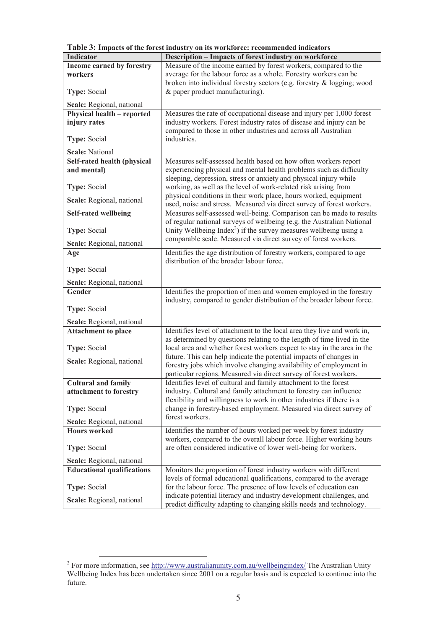| <b>Indicator</b>                                 | Description - Impacts of forest industry on workforce                                                                                             |
|--------------------------------------------------|---------------------------------------------------------------------------------------------------------------------------------------------------|
| Income earned by forestry                        | Measure of the income earned by forest workers, compared to the                                                                                   |
| workers                                          | average for the labour force as a whole. Forestry workers can be                                                                                  |
|                                                  | broken into individual forestry sectors (e.g. forestry & logging; wood                                                                            |
| Type: Social                                     | & paper product manufacturing).                                                                                                                   |
| Scale: Regional, national                        |                                                                                                                                                   |
| Physical health - reported                       | Measures the rate of occupational disease and injury per 1,000 forest                                                                             |
| injury rates                                     | industry workers. Forest industry rates of disease and injury can be                                                                              |
|                                                  | compared to those in other industries and across all Australian                                                                                   |
| <b>Type: Social</b>                              | industries.                                                                                                                                       |
| <b>Scale: National</b>                           |                                                                                                                                                   |
| Self-rated health (physical                      | Measures self-assessed health based on how often workers report                                                                                   |
| and mental)                                      | experiencing physical and mental health problems such as difficulty                                                                               |
|                                                  | sleeping, depression, stress or anxiety and physical injury while                                                                                 |
| Type: Social                                     | working, as well as the level of work-related risk arising from                                                                                   |
| Scale: Regional, national                        | physical conditions in their work place, hours worked, equipment                                                                                  |
|                                                  | used, noise and stress. Measured via direct survey of forest workers.                                                                             |
| <b>Self-rated wellbeing</b>                      | Measures self-assessed well-being. Comparison can be made to results                                                                              |
|                                                  | of regular national surveys of wellbeing (e.g. the Australian National                                                                            |
| Type: Social                                     | Unity Wellbeing Index <sup>2</sup> ) if the survey measures wellbeing using a                                                                     |
| Scale: Regional, national                        | comparable scale. Measured via direct survey of forest workers.                                                                                   |
| Age                                              | Identifies the age distribution of forestry workers, compared to age                                                                              |
|                                                  | distribution of the broader labour force.                                                                                                         |
| Type: Social                                     |                                                                                                                                                   |
| Scale: Regional, national                        |                                                                                                                                                   |
| Gender                                           | Identifies the proportion of men and women employed in the forestry                                                                               |
|                                                  | industry, compared to gender distribution of the broader labour force.                                                                            |
| <b>Type: Social</b>                              |                                                                                                                                                   |
|                                                  |                                                                                                                                                   |
| Scale: Regional, national                        |                                                                                                                                                   |
| <b>Attachment to place</b>                       | Identifies level of attachment to the local area they live and work in,                                                                           |
|                                                  | as determined by questions relating to the length of time lived in the<br>local area and whether forest workers expect to stay in the area in the |
| Type: Social                                     | future. This can help indicate the potential impacts of changes in                                                                                |
| Scale: Regional, national                        | forestry jobs which involve changing availability of employment in                                                                                |
|                                                  | particular regions. Measured via direct survey of forest workers.                                                                                 |
| <b>Cultural and family</b>                       | Identifies level of cultural and family attachment to the forest                                                                                  |
| attachment to forestry                           | industry. Cultural and family attachment to forestry can influence                                                                                |
|                                                  | flexibility and willingness to work in other industries if there is a                                                                             |
| <b>Type: Social</b>                              | change in forestry-based employment. Measured via direct survey of                                                                                |
|                                                  | forest workers.                                                                                                                                   |
| Scale: Regional, national<br><b>Hours</b> worked | Identifies the number of hours worked per week by forest industry                                                                                 |
|                                                  | workers, compared to the overall labour force. Higher working hours                                                                               |
| <b>Type: Social</b>                              | are often considered indicative of lower well-being for workers.                                                                                  |
|                                                  |                                                                                                                                                   |
| Scale: Regional, national                        |                                                                                                                                                   |
| <b>Educational qualifications</b>                | Monitors the proportion of forest industry workers with different                                                                                 |
|                                                  | levels of formal educational qualifications, compared to the average                                                                              |
| <b>Type: Social</b>                              | for the labour force. The presence of low levels of education can                                                                                 |
| Scale: Regional, national                        | indicate potential literacy and industry development challenges, and<br>predict difficulty adapting to changing skills needs and technology.      |

**Table 3: Impacts of the forest industry on its workforce: recommended indicators**

<sup>&</sup>lt;sup>2</sup> For more information, see http://www.australianunity.com.au/wellbeingindex/ The Australian Unity Wellbeing Index has been undertaken since 2001 on a regular basis and is expected to continue into the future.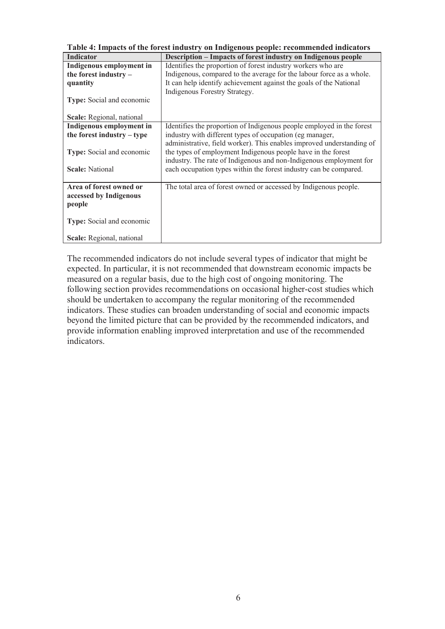| Table 4: Impacts of the forest industry on Indigenous people: recommended indicators |                                                                       |
|--------------------------------------------------------------------------------------|-----------------------------------------------------------------------|
| <b>Indicator</b>                                                                     | Description – Impacts of forest industry on Indigenous people         |
| Indigenous employment in                                                             | Identifies the proportion of forest industry workers who are          |
| the forest industry $-$                                                              | Indigenous, compared to the average for the labour force as a whole.  |
| quantity                                                                             | It can help identify achievement against the goals of the National    |
|                                                                                      | Indigenous Forestry Strategy.                                         |
| <b>Type:</b> Social and economic                                                     |                                                                       |
|                                                                                      |                                                                       |
| Scale: Regional, national                                                            |                                                                       |
| Indigenous employment in                                                             | Identifies the proportion of Indigenous people employed in the forest |
| the forest industry – type                                                           | industry with different types of occupation (eg manager,              |
|                                                                                      | administrative, field worker). This enables improved understanding of |
| Type: Social and economic                                                            | the types of employment Indigenous people have in the forest          |
|                                                                                      | industry. The rate of Indigenous and non-Indigenous employment for    |
| <b>Scale: National</b>                                                               | each occupation types within the forest industry can be compared.     |
|                                                                                      |                                                                       |
| Area of forest owned or                                                              | The total area of forest owned or accessed by Indigenous people.      |
| accessed by Indigenous                                                               |                                                                       |
| people                                                                               |                                                                       |
|                                                                                      |                                                                       |
| <b>Type:</b> Social and economic                                                     |                                                                       |
|                                                                                      |                                                                       |
| Scale: Regional, national                                                            |                                                                       |

The recommended indicators do not include several types of indicator that might be expected. In particular, it is not recommended that downstream economic impacts be measured on a regular basis, due to the high cost of ongoing monitoring. The following section provides recommendations on occasional higher-cost studies which should be undertaken to accompany the regular monitoring of the recommended indicators. These studies can broaden understanding of social and economic impacts beyond the limited picture that can be provided by the recommended indicators, and provide information enabling improved interpretation and use of the recommended indicators.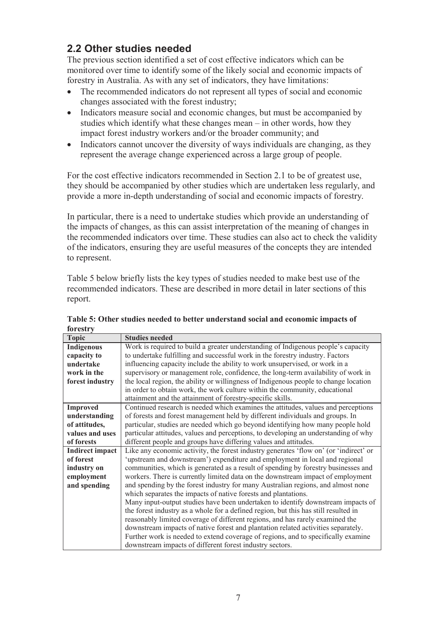## **2.2 Other studies needed**

The previous section identified a set of cost effective indicators which can be monitored over time to identify some of the likely social and economic impacts of forestry in Australia. As with any set of indicators, they have limitations:

- The recommended indicators do not represent all types of social and economic changes associated with the forest industry;
- Indicators measure social and economic changes, but must be accompanied by studies which identify what these changes mean – in other words, how they impact forest industry workers and/or the broader community; and
- Indicators cannot uncover the diversity of ways individuals are changing, as they represent the average change experienced across a large group of people.

For the cost effective indicators recommended in Section 2.1 to be of greatest use, they should be accompanied by other studies which are undertaken less regularly, and provide a more in-depth understanding of social and economic impacts of forestry.

In particular, there is a need to undertake studies which provide an understanding of the impacts of changes, as this can assist interpretation of the meaning of changes in the recommended indicators over time. These studies can also act to check the validity of the indicators, ensuring they are useful measures of the concepts they are intended to represent.

Table 5 below briefly lists the key types of studies needed to make best use of the recommended indicators. These are described in more detail in later sections of this report.

| <b>Topic</b>           | <b>Studies needed</b>                                                                 |
|------------------------|---------------------------------------------------------------------------------------|
| <b>Indigenous</b>      | Work is required to build a greater understanding of Indigenous people's capacity     |
| capacity to            | to undertake fulfilling and successful work in the forestry industry. Factors         |
| undertake              | influencing capacity include the ability to work unsupervised, or work in a           |
| work in the            | supervisory or management role, confidence, the long-term availability of work in     |
| forest industry        | the local region, the ability or willingness of Indigenous people to change location  |
|                        | in order to obtain work, the work culture within the community, educational           |
|                        | attainment and the attainment of forestry-specific skills.                            |
| <b>Improved</b>        | Continued research is needed which examines the attitudes, values and perceptions     |
| understanding          | of forests and forest management held by different individuals and groups. In         |
| of attitudes,          | particular, studies are needed which go beyond identifying how many people hold       |
| values and uses        | particular attitudes, values and perceptions, to developing an understanding of why   |
| of forests             | different people and groups have differing values and attitudes.                      |
| <b>Indirect impact</b> | Like any economic activity, the forest industry generates 'flow on' (or 'indirect' or |
| of forest              | 'upstream and downstream') expenditure and employment in local and regional           |
| industry on            | communities, which is generated as a result of spending by forestry businesses and    |
| employment             | workers. There is currently limited data on the downstream impact of employment       |
| and spending           | and spending by the forest industry for many Australian regions, and almost none      |
|                        | which separates the impacts of native forests and plantations.                        |
|                        | Many input-output studies have been undertaken to identify downstream impacts of      |
|                        | the forest industry as a whole for a defined region, but this has still resulted in   |
|                        | reasonably limited coverage of different regions, and has rarely examined the         |
|                        | downstream impacts of native forest and plantation related activities separately.     |
|                        | Further work is needed to extend coverage of regions, and to specifically examine     |
|                        | downstream impacts of different forest industry sectors.                              |

**Table 5: Other studies needed to better understand social and economic impacts of forestry**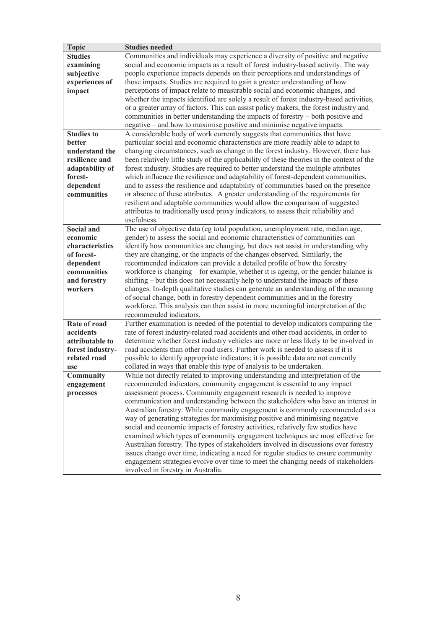| <b>Topic</b>      | <b>Studies needed</b>                                                                                                                                                      |
|-------------------|----------------------------------------------------------------------------------------------------------------------------------------------------------------------------|
| <b>Studies</b>    | Communities and individuals may experience a diversity of positive and negative                                                                                            |
| examining         | social and economic impacts as a result of forest industry-based activity. The way                                                                                         |
| subjective        | people experience impacts depends on their perceptions and understandings of                                                                                               |
| experiences of    | those impacts. Studies are required to gain a greater understanding of how                                                                                                 |
| impact            | perceptions of impact relate to measurable social and economic changes, and                                                                                                |
|                   | whether the impacts identified are solely a result of forest industry-based activities,                                                                                    |
|                   | or a greater array of factors. This can assist policy makers, the forest industry and                                                                                      |
|                   | communities in better understanding the impacts of forestry - both positive and                                                                                            |
|                   | negative – and how to maximise positive and minimise negative impacts.                                                                                                     |
| <b>Studies to</b> | A considerable body of work currently suggests that communities that have                                                                                                  |
| better            | particular social and economic characteristics are more readily able to adapt to                                                                                           |
| understand the    | changing circumstances, such as change in the forest industry. However, there has                                                                                          |
| resilience and    | been relatively little study of the applicability of these theories in the context of the                                                                                  |
| adaptability of   | forest industry. Studies are required to better understand the multiple attributes                                                                                         |
| forest-           | which influence the resilience and adaptability of forest-dependent communities,                                                                                           |
| dependent         | and to assess the resilience and adaptability of communities based on the presence                                                                                         |
| communities       | or absence of these attributes. A greater understanding of the requirements for                                                                                            |
|                   | resilient and adaptable communities would allow the comparison of suggested                                                                                                |
|                   | attributes to traditionally used proxy indicators, to assess their reliability and                                                                                         |
|                   | usefulness.                                                                                                                                                                |
| <b>Social and</b> | The use of objective data (eg total population, unemployment rate, median age,                                                                                             |
| economic          | gender) to assess the social and economic characteristics of communities can                                                                                               |
| characteristics   | identify how communities are changing, but does not assist in understanding why                                                                                            |
| of forest-        | they are changing, or the impacts of the changes observed. Similarly, the                                                                                                  |
| dependent         | recommended indicators can provide a detailed profile of how the forestry                                                                                                  |
| communities       | workforce is changing – for example, whether it is ageing, or the gender balance is                                                                                        |
| and forestry      | shifting – but this does not necessarily help to understand the impacts of these                                                                                           |
| workers           | changes. In-depth qualitative studies can generate an understanding of the meaning                                                                                         |
|                   | of social change, both in forestry dependent communities and in the forestry                                                                                               |
|                   | workforce. This analysis can then assist in more meaningful interpretation of the                                                                                          |
| Rate of road      | recommended indicators.                                                                                                                                                    |
| accidents         | Further examination is needed of the potential to develop indicators comparing the<br>rate of forest industry-related road accidents and other road accidents, in order to |
| attributable to   | determine whether forest industry vehicles are more or less likely to be involved in                                                                                       |
| forest industry-  | road accidents than other road users. Further work is needed to assess if it is                                                                                            |
| related road      | possible to identify appropriate indicators; it is possible data are not currently                                                                                         |
| use               | collated in ways that enable this type of analysis to be undertaken.                                                                                                       |
| Community         | While not directly related to improving understanding and interpretation of the                                                                                            |
| engagement        | recommended indicators, community engagement is essential to any impact                                                                                                    |
| processes         | assessment process. Community engagement research is needed to improve                                                                                                     |
|                   | communication and understanding between the stakeholders who have an interest in                                                                                           |
|                   | Australian forestry. While community engagement is commonly recommended as a                                                                                               |
|                   | way of generating strategies for maximising positive and minimising negative                                                                                               |
|                   | social and economic impacts of forestry activities, relatively few studies have                                                                                            |
|                   | examined which types of community engagement techniques are most effective for                                                                                             |
|                   | Australian forestry. The types of stakeholders involved in discussions over forestry                                                                                       |
|                   | issues change over time, indicating a need for regular studies to ensure community                                                                                         |
|                   | engagement strategies evolve over time to meet the changing needs of stakeholders                                                                                          |
|                   | involved in forestry in Australia.                                                                                                                                         |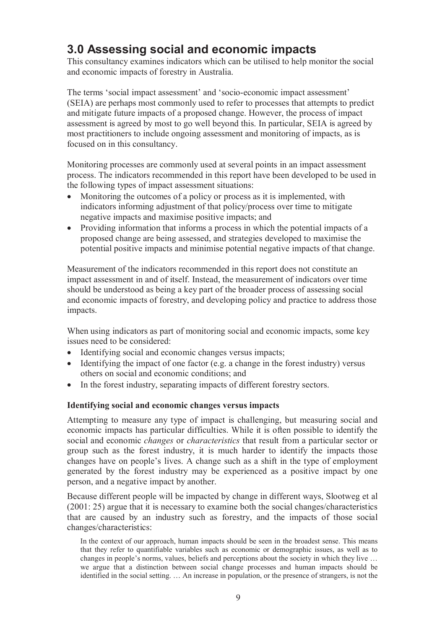# **3.0 Assessing social and economic impacts**

This consultancy examines indicators which can be utilised to help monitor the social and economic impacts of forestry in Australia.

The terms 'social impact assessment' and 'socio-economic impact assessment' (SEIA) are perhaps most commonly used to refer to processes that attempts to predict and mitigate future impacts of a proposed change. However, the process of impact assessment is agreed by most to go well beyond this. In particular, SEIA is agreed by most practitioners to include ongoing assessment and monitoring of impacts, as is focused on in this consultancy.

Monitoring processes are commonly used at several points in an impact assessment process. The indicators recommended in this report have been developed to be used in the following types of impact assessment situations:

- Monitoring the outcomes of a policy or process as it is implemented, with indicators informing adjustment of that policy/process over time to mitigate negative impacts and maximise positive impacts; and
- Providing information that informs a process in which the potential impacts of a proposed change are being assessed, and strategies developed to maximise the potential positive impacts and minimise potential negative impacts of that change.

Measurement of the indicators recommended in this report does not constitute an impact assessment in and of itself. Instead, the measurement of indicators over time should be understood as being a key part of the broader process of assessing social and economic impacts of forestry, and developing policy and practice to address those impacts.

When using indicators as part of monitoring social and economic impacts, some key issues need to be considered:

- Identifying social and economic changes versus impacts;
- Identifying the impact of one factor (e.g. a change in the forest industry) versus others on social and economic conditions; and
- In the forest industry, separating impacts of different forestry sectors.

### **Identifying social and economic changes versus impacts**

Attempting to measure any type of impact is challenging, but measuring social and economic impacts has particular difficulties. While it is often possible to identify the social and economic *changes* or *characteristics* that result from a particular sector or group such as the forest industry, it is much harder to identify the impacts those changes have on people's lives. A change such as a shift in the type of employment generated by the forest industry may be experienced as a positive impact by one person, and a negative impact by another.

Because different people will be impacted by change in different ways, Slootweg et al (2001: 25) argue that it is necessary to examine both the social changes/characteristics that are caused by an industry such as forestry, and the impacts of those social changes/characteristics:

In the context of our approach, human impacts should be seen in the broadest sense. This means that they refer to quantifiable variables such as economic or demographic issues, as well as to changes in people's norms, values, beliefs and perceptions about the society in which they live … we argue that a distinction between social change processes and human impacts should be identified in the social setting. … An increase in population, or the presence of strangers, is not the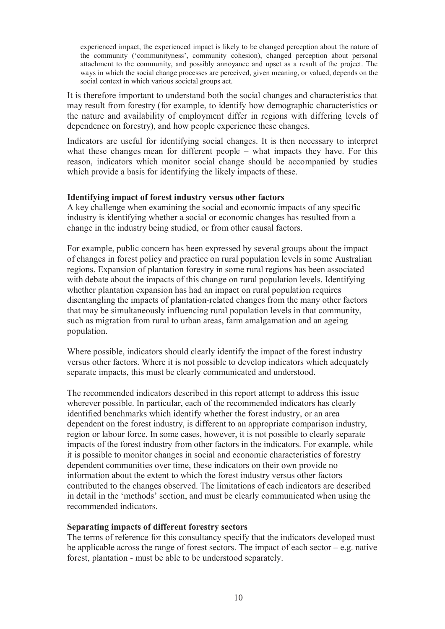experienced impact, the experienced impact is likely to be changed perception about the nature of the community ('communityness', community cohesion), changed perception about personal attachment to the community, and possibly annoyance and upset as a result of the project. The ways in which the social change processes are perceived, given meaning, or valued, depends on the social context in which various societal groups act.

It is therefore important to understand both the social changes and characteristics that may result from forestry (for example, to identify how demographic characteristics or the nature and availability of employment differ in regions with differing levels of dependence on forestry), and how people experience these changes.

Indicators are useful for identifying social changes. It is then necessary to interpret what these changes mean for different people – what impacts they have. For this reason, indicators which monitor social change should be accompanied by studies which provide a basis for identifying the likely impacts of these.

#### **Identifying impact of forest industry versus other factors**

A key challenge when examining the social and economic impacts of any specific industry is identifying whether a social or economic changes has resulted from a change in the industry being studied, or from other causal factors.

For example, public concern has been expressed by several groups about the impact of changes in forest policy and practice on rural population levels in some Australian regions. Expansion of plantation forestry in some rural regions has been associated with debate about the impacts of this change on rural population levels. Identifying whether plantation expansion has had an impact on rural population requires disentangling the impacts of plantation-related changes from the many other factors that may be simultaneously influencing rural population levels in that community, such as migration from rural to urban areas, farm amalgamation and an ageing population.

Where possible, indicators should clearly identify the impact of the forest industry versus other factors. Where it is not possible to develop indicators which adequately separate impacts, this must be clearly communicated and understood.

The recommended indicators described in this report attempt to address this issue wherever possible. In particular, each of the recommended indicators has clearly identified benchmarks which identify whether the forest industry, or an area dependent on the forest industry, is different to an appropriate comparison industry, region or labour force. In some cases, however, it is not possible to clearly separate impacts of the forest industry from other factors in the indicators. For example, while it is possible to monitor changes in social and economic characteristics of forestry dependent communities over time, these indicators on their own provide no information about the extent to which the forest industry versus other factors contributed to the changes observed. The limitations of each indicators are described in detail in the 'methods' section, and must be clearly communicated when using the recommended indicators.

#### **Separating impacts of different forestry sectors**

The terms of reference for this consultancy specify that the indicators developed must be applicable across the range of forest sectors. The impact of each sector  $-e.g.$  native forest, plantation - must be able to be understood separately.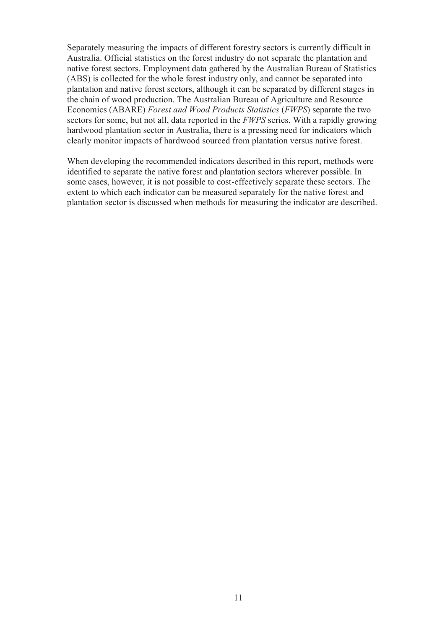Separately measuring the impacts of different forestry sectors is currently difficult in Australia. Official statistics on the forest industry do not separate the plantation and native forest sectors. Employment data gathered by the Australian Bureau of Statistics (ABS) is collected for the whole forest industry only, and cannot be separated into plantation and native forest sectors, although it can be separated by different stages in the chain of wood production. The Australian Bureau of Agriculture and Resource Economics (ABARE) *Forest and Wood Products Statistics* (*FWPS*) separate the two sectors for some, but not all, data reported in the *FWPS* series. With a rapidly growing hardwood plantation sector in Australia, there is a pressing need for indicators which clearly monitor impacts of hardwood sourced from plantation versus native forest.

When developing the recommended indicators described in this report, methods were identified to separate the native forest and plantation sectors wherever possible. In some cases, however, it is not possible to cost-effectively separate these sectors. The extent to which each indicator can be measured separately for the native forest and plantation sector is discussed when methods for measuring the indicator are described.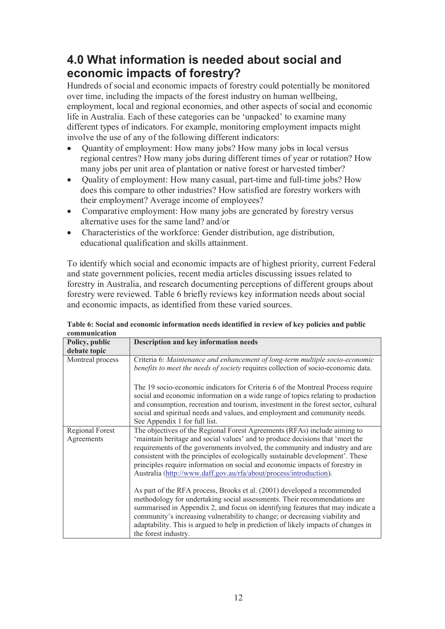# **4.0 What information is needed about social and economic impacts of forestry?**

Hundreds of social and economic impacts of forestry could potentially be monitored over time, including the impacts of the forest industry on human wellbeing, employment, local and regional economies, and other aspects of social and economic life in Australia. Each of these categories can be 'unpacked' to examine many different types of indicators. For example, monitoring employment impacts might involve the use of any of the following different indicators:

- Ouantity of employment: How many jobs? How many jobs in local versus regional centres? How many jobs during different times of year or rotation? How many jobs per unit area of plantation or native forest or harvested timber?
- Ouality of employment: How many casual, part-time and full-time jobs? How does this compare to other industries? How satisfied are forestry workers with their employment? Average income of employees?
- Comparative employment: How many jobs are generated by forestry versus alternative uses for the same land? and/or
- Characteristics of the workforce: Gender distribution, age distribution, educational qualification and skills attainment.

To identify which social and economic impacts are of highest priority, current Federal and state government policies, recent media articles discussing issues related to forestry in Australia, and research documenting perceptions of different groups about forestry were reviewed. Table 6 briefly reviews key information needs about social and economic impacts, as identified from these varied sources.

| соннишканон                          |                                                                                                                                                                                                                                                                                                                                                                                                                                                                                                              |  |
|--------------------------------------|--------------------------------------------------------------------------------------------------------------------------------------------------------------------------------------------------------------------------------------------------------------------------------------------------------------------------------------------------------------------------------------------------------------------------------------------------------------------------------------------------------------|--|
| Policy, public<br>debate topic       | Description and key information needs                                                                                                                                                                                                                                                                                                                                                                                                                                                                        |  |
| Montreal process                     | Criteria 6: Maintenance and enhancement of long-term multiple socio-economic<br>benefits to meet the needs of society requires collection of socio-economic data.<br>The 19 socio-economic indicators for Criteria 6 of the Montreal Process require<br>social and economic information on a wide range of topics relating to production<br>and consumption, recreation and tourism, investment in the forest sector, cultural<br>social and spiritual needs and values, and employment and community needs. |  |
|                                      | See Appendix 1 for full list.                                                                                                                                                                                                                                                                                                                                                                                                                                                                                |  |
| <b>Regional Forest</b><br>Agreements | The objectives of the Regional Forest Agreements (RFAs) include aiming to<br>'maintain heritage and social values' and to produce decisions that 'meet the<br>requirements of the governments involved, the community and industry and are<br>consistent with the principles of ecologically sustainable development'. These<br>principles require information on social and economic impacts of forestry in<br>Australia (http://www.daff.gov.au/rfa/about/process/introduction).                           |  |
|                                      | As part of the RFA process, Brooks et al. (2001) developed a recommended<br>methodology for undertaking social assessments. Their recommendations are<br>summarised in Appendix 2, and focus on identifying features that may indicate a<br>community's increasing vulnerability to change; or decreasing viability and<br>adaptability. This is argued to help in prediction of likely impacts of changes in<br>the forest industry.                                                                        |  |

**Table 6: Social and economic information needs identified in review of key policies and public communication**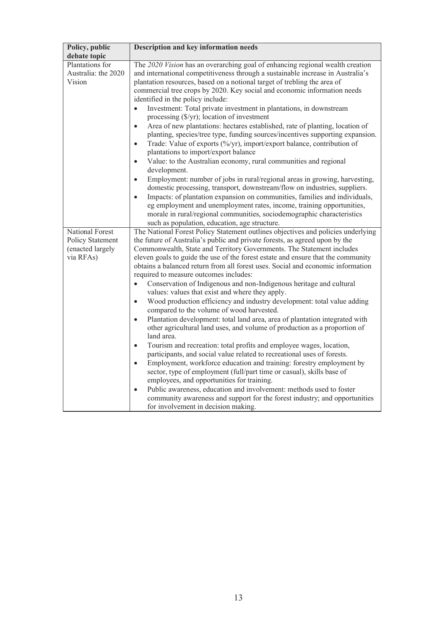| Policy, public                                   | <b>Description and key information needs</b>                                                                                                                                                                                                                                                                                                                                                                                                                                                                                                            |
|--------------------------------------------------|---------------------------------------------------------------------------------------------------------------------------------------------------------------------------------------------------------------------------------------------------------------------------------------------------------------------------------------------------------------------------------------------------------------------------------------------------------------------------------------------------------------------------------------------------------|
| debate topic                                     |                                                                                                                                                                                                                                                                                                                                                                                                                                                                                                                                                         |
| Plantations for<br>Australia: the 2020<br>Vision | The 2020 Vision has an overarching goal of enhancing regional wealth creation<br>and international competitiveness through a sustainable increase in Australia's<br>plantation resources, based on a notional target of trebling the area of<br>commercial tree crops by 2020. Key social and economic information needs<br>identified in the policy include:                                                                                                                                                                                           |
|                                                  | Investment: Total private investment in plantations, in downstream<br>$\bullet$<br>processing $(\frac{C}{Y})$ ; location of investment<br>Area of new plantations: hectares established, rate of planting, location of<br>$\bullet$<br>planting, species/tree type, funding sources/incentives supporting expansion.<br>Trade: Value of exports (%/yr), import/export balance, contribution of<br>$\bullet$<br>plantations to import/export balance                                                                                                     |
|                                                  | Value: to the Australian economy, rural communities and regional<br>$\bullet$<br>development.<br>Employment: number of jobs in rural/regional areas in growing, harvesting,<br>domestic processing, transport, downstream/flow on industries, suppliers.<br>Impacts: of plantation expansion on communities, families and individuals,<br>$\bullet$<br>eg employment and unemployment rates, income, training opportunities,<br>morale in rural/regional communities, sociodemographic characteristics<br>such as population, education, age structure. |
| National Forest<br>Policy Statement              | The National Forest Policy Statement outlines objectives and policies underlying<br>the future of Australia's public and private forests, as agreed upon by the                                                                                                                                                                                                                                                                                                                                                                                         |
| (enacted largely<br>via RFAs)                    | Commonwealth, State and Territory Governments. The Statement includes<br>eleven goals to guide the use of the forest estate and ensure that the community<br>obtains a balanced return from all forest uses. Social and economic information<br>required to measure outcomes includes:                                                                                                                                                                                                                                                                  |
|                                                  | Conservation of Indigenous and non-Indigenous heritage and cultural<br>$\bullet$<br>values: values that exist and where they apply.                                                                                                                                                                                                                                                                                                                                                                                                                     |
|                                                  | Wood production efficiency and industry development: total value adding<br>$\bullet$<br>compared to the volume of wood harvested.                                                                                                                                                                                                                                                                                                                                                                                                                       |
|                                                  | Plantation development: total land area, area of plantation integrated with<br>$\bullet$<br>other agricultural land uses, and volume of production as a proportion of<br>land area.                                                                                                                                                                                                                                                                                                                                                                     |
|                                                  | Tourism and recreation: total profits and employee wages, location,<br>$\bullet$<br>participants, and social value related to recreational uses of forests.<br>Employment, workforce education and training: forestry employment by<br>$\bullet$<br>sector, type of employment (full/part time or casual), skills base of<br>employees, and opportunities for training.<br>Public awareness, education and involvement: methods used to foster<br>$\bullet$                                                                                             |
|                                                  | community awareness and support for the forest industry; and opportunities<br>for involvement in decision making.                                                                                                                                                                                                                                                                                                                                                                                                                                       |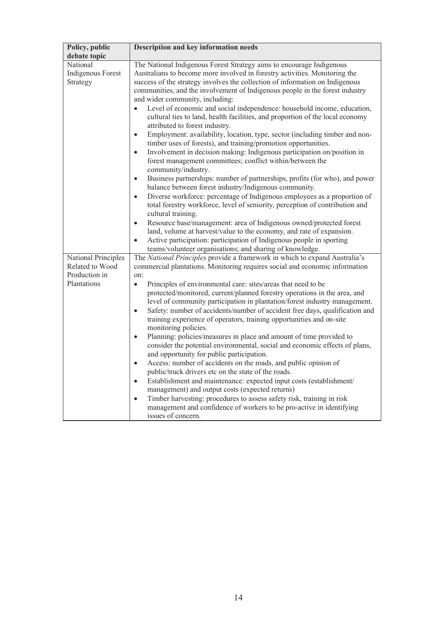| Policy, public                                                         | <b>Description and key information needs</b>                                                                                                                                                                                                                                                                                                                                                                                                                                                                                                                                                                                                                                                                                                                                                                                                                                                                                                                                                                                                                                                                                                                                                                                                                                                                                                                                                                                                                                                                                                                                |
|------------------------------------------------------------------------|-----------------------------------------------------------------------------------------------------------------------------------------------------------------------------------------------------------------------------------------------------------------------------------------------------------------------------------------------------------------------------------------------------------------------------------------------------------------------------------------------------------------------------------------------------------------------------------------------------------------------------------------------------------------------------------------------------------------------------------------------------------------------------------------------------------------------------------------------------------------------------------------------------------------------------------------------------------------------------------------------------------------------------------------------------------------------------------------------------------------------------------------------------------------------------------------------------------------------------------------------------------------------------------------------------------------------------------------------------------------------------------------------------------------------------------------------------------------------------------------------------------------------------------------------------------------------------|
| debate topic                                                           |                                                                                                                                                                                                                                                                                                                                                                                                                                                                                                                                                                                                                                                                                                                                                                                                                                                                                                                                                                                                                                                                                                                                                                                                                                                                                                                                                                                                                                                                                                                                                                             |
| National<br><b>Indigenous Forest</b><br>Strategy                       | The National Indigenous Forest Strategy aims to encourage Indigenous<br>Australians to become more involved in forestry activities. Monitoring the<br>success of the strategy involves the collection of information on Indigenous<br>communities, and the involvement of Indigenous people in the forest industry<br>and wider community, including:<br>Level of economic and social independence: household income, education,<br>$\bullet$<br>cultural ties to land, health facilities, and proportion of the local economy<br>attributed to forest industry.<br>Employment: availability, location, type, sector (including timber and non-<br>$\bullet$<br>timber uses of forests), and training/promotion opportunities.<br>Involvement in decision making: Indigenous participation on/position in<br>$\bullet$<br>forest management committees; conflict within/between the<br>community/industry.<br>Business partnerships: number of partnerships, profits (for who), and power<br>$\bullet$<br>balance between forest industry/Indigenous community.<br>Diverse workforce: percentage of Indigenous employees as a proportion of<br>$\bullet$<br>total forestry workforce, level of seniority, perception of contribution and<br>cultural training.<br>Resource base/management: area of Indigenous owned/protected forest<br>$\bullet$<br>land, volume at harvest/value to the economy, and rate of expansion.<br>Active participation: participation of Indigenous people in sporting<br>$\bullet$<br>teams/volunteer organisations; and sharing of knowledge. |
| National Principles<br>Related to Wood<br>Production in<br>Plantations | The National Principles provide a framework in which to expand Australia's<br>commercial plantations. Monitoring requires social and economic information<br>on:<br>Principles of environmental care: sites/areas that need to be<br>$\bullet$<br>protected/monitored, current/planned forestry operations in the area, and<br>level of community participation in plantation/forest industry management.<br>Safety: number of accidents/number of accident free days, qualification and<br>$\bullet$<br>training experience of operators, training opportunities and on-site<br>monitoring policies.<br>Planning: policies/measures in place and amount of time provided to<br>$\bullet$<br>consider the potential environmental, social and economic effects of plans,<br>and opportunity for public participation.<br>Access: number of accidents on the roads, and public opinion of<br>$\bullet$<br>public/truck drivers etc on the state of the roads.<br>Establishment and maintenance: expected input costs (establishment/<br>$\bullet$<br>management) and output costs (expected returns)<br>Timber harvesting: procedures to assess safety risk, training in risk<br>$\bullet$<br>management and confidence of workers to be pro-active in identifying<br>issues of concern.                                                                                                                                                                                                                                                                                     |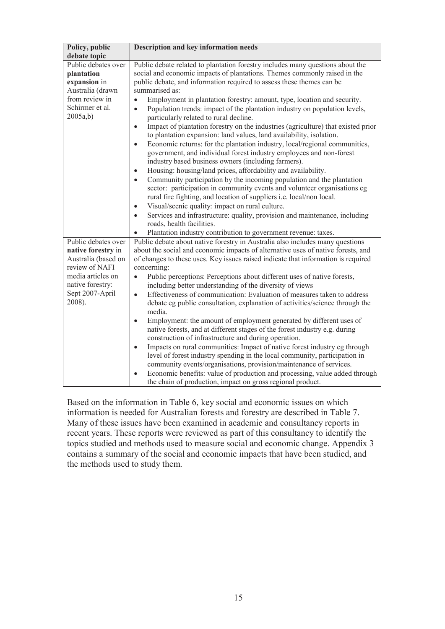| <b>Description and key information needs</b>                                                                                                                                                                                                                                                                                                                                                                                                                                                                                                                                                                                                                                                                                                                                                                                                                                                                                                                                                                                                                                                                                                                                   |
|--------------------------------------------------------------------------------------------------------------------------------------------------------------------------------------------------------------------------------------------------------------------------------------------------------------------------------------------------------------------------------------------------------------------------------------------------------------------------------------------------------------------------------------------------------------------------------------------------------------------------------------------------------------------------------------------------------------------------------------------------------------------------------------------------------------------------------------------------------------------------------------------------------------------------------------------------------------------------------------------------------------------------------------------------------------------------------------------------------------------------------------------------------------------------------|
|                                                                                                                                                                                                                                                                                                                                                                                                                                                                                                                                                                                                                                                                                                                                                                                                                                                                                                                                                                                                                                                                                                                                                                                |
| Public debate related to plantation forestry includes many questions about the<br>social and economic impacts of plantations. Themes commonly raised in the<br>public debate, and information required to assess these themes can be<br>summarised as:                                                                                                                                                                                                                                                                                                                                                                                                                                                                                                                                                                                                                                                                                                                                                                                                                                                                                                                         |
| Employment in plantation forestry: amount, type, location and security.<br>$\bullet$<br>Population trends: impact of the plantation industry on population levels,<br>$\bullet$<br>particularly related to rural decline.<br>Impact of plantation forestry on the industries (agriculture) that existed prior<br>$\bullet$<br>to plantation expansion: land values, land availability, isolation.<br>Economic returns: for the plantation industry, local/regional communities,<br>$\bullet$<br>government, and individual forest industry employees and non-forest<br>industry based business owners (including farmers).<br>Housing: housing/land prices, affordability and availability.<br>$\bullet$<br>Community participation by the incoming population and the plantation<br>$\bullet$<br>sector: participation in community events and volunteer organisations eg<br>rural fire fighting, and location of suppliers i.e. local/non local.<br>Visual/scenic quality: impact on rural culture.<br>$\bullet$<br>Services and infrastructure: quality, provision and maintenance, including<br>$\bullet$<br>roads, health facilities.                                     |
| Plantation industry contribution to government revenue: taxes.                                                                                                                                                                                                                                                                                                                                                                                                                                                                                                                                                                                                                                                                                                                                                                                                                                                                                                                                                                                                                                                                                                                 |
| Public debate about native forestry in Australia also includes many questions<br>about the social and economic impacts of alternative uses of native forests, and<br>of changes to these uses. Key issues raised indicate that information is required<br>concerning:<br>Public perceptions: Perceptions about different uses of native forests,<br>$\bullet$<br>including better understanding of the diversity of views<br>Effectiveness of communication: Evaluation of measures taken to address<br>$\bullet$<br>debate eg public consultation, explanation of activities/science through the<br>media.<br>Employment: the amount of employment generated by different uses of<br>$\bullet$<br>native forests, and at different stages of the forest industry e.g. during<br>construction of infrastructure and during operation.<br>Impacts on rural communities: Impact of native forest industry eg through<br>$\bullet$<br>level of forest industry spending in the local community, participation in<br>community events/organisations, provision/maintenance of services.<br>Economic benefits: value of production and processing, value added through<br>$\bullet$ |
|                                                                                                                                                                                                                                                                                                                                                                                                                                                                                                                                                                                                                                                                                                                                                                                                                                                                                                                                                                                                                                                                                                                                                                                |

Based on the information in Table 6, key social and economic issues on which information is needed for Australian forests and forestry are described in Table 7. Many of these issues have been examined in academic and consultancy reports in recent years. These reports were reviewed as part of this consultancy to identify the topics studied and methods used to measure social and economic change. Appendix 3 contains a summary of the social and economic impacts that have been studied, and the methods used to study them.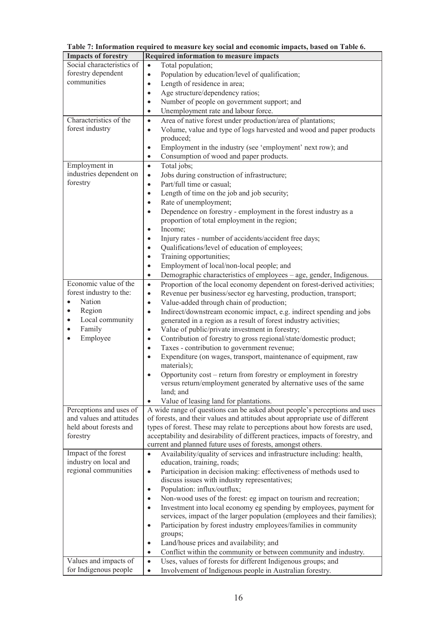| <b>Impacts of forestry</b>                                                                  | <b>Required information to measure impacts</b>                                                                                    |  |  |
|---------------------------------------------------------------------------------------------|-----------------------------------------------------------------------------------------------------------------------------------|--|--|
| Social characteristics of                                                                   | Total population;<br>$\bullet$                                                                                                    |  |  |
| forestry dependent                                                                          | Population by education/level of qualification;<br>$\bullet$                                                                      |  |  |
| communities                                                                                 | Length of residence in area;<br>$\bullet$                                                                                         |  |  |
|                                                                                             | Age structure/dependency ratios;<br>$\bullet$                                                                                     |  |  |
|                                                                                             | Number of people on government support; and<br>$\bullet$                                                                          |  |  |
|                                                                                             | Unemployment rate and labour force.<br>$\bullet$                                                                                  |  |  |
| Characteristics of the                                                                      | Area of native forest under production/area of plantations;<br>$\bullet$                                                          |  |  |
| forest industry                                                                             | Volume, value and type of logs harvested and wood and paper products<br>$\bullet$                                                 |  |  |
|                                                                                             | produced;                                                                                                                         |  |  |
|                                                                                             | Employment in the industry (see 'employment' next row); and<br>$\bullet$                                                          |  |  |
|                                                                                             | Consumption of wood and paper products.<br>$\bullet$                                                                              |  |  |
| Employment in                                                                               | Total jobs;<br>$\bullet$                                                                                                          |  |  |
| industries dependent on                                                                     | Jobs during construction of infrastructure;<br>$\bullet$                                                                          |  |  |
| forestry                                                                                    | Part/full time or casual;<br>$\bullet$                                                                                            |  |  |
|                                                                                             | Length of time on the job and job security;<br>$\bullet$                                                                          |  |  |
|                                                                                             | Rate of unemployment;<br>$\bullet$                                                                                                |  |  |
|                                                                                             | Dependence on forestry - employment in the forest industry as a<br>$\bullet$                                                      |  |  |
|                                                                                             | proportion of total employment in the region;                                                                                     |  |  |
|                                                                                             | Income;<br>$\bullet$                                                                                                              |  |  |
|                                                                                             | Injury rates - number of accidents/accident free days;<br>$\bullet$                                                               |  |  |
|                                                                                             | Qualifications/level of education of employees;<br>$\bullet$                                                                      |  |  |
|                                                                                             | Training opportunities;<br>$\bullet$                                                                                              |  |  |
|                                                                                             | Employment of local/non-local people; and<br>$\bullet$                                                                            |  |  |
|                                                                                             | Demographic characteristics of employees - age, gender, Indigenous.<br>$\bullet$                                                  |  |  |
| Economic value of the                                                                       | Proportion of the local economy dependent on forest-derived activities;<br>$\bullet$                                              |  |  |
| forest industry to the:                                                                     | Revenue per business/sector eg harvesting, production, transport;<br>$\bullet$                                                    |  |  |
| Nation<br>$\bullet$                                                                         | Value-added through chain of production;<br>$\bullet$                                                                             |  |  |
| Region<br>$\bullet$                                                                         | Indirect/downstream economic impact, e.g. indirect spending and jobs<br>$\bullet$                                                 |  |  |
| Local community<br>$\bullet$                                                                | generated in a region as a result of forest industry activities;                                                                  |  |  |
| Family<br>$\bullet$                                                                         | Value of public/private investment in forestry;<br>$\bullet$                                                                      |  |  |
| Employee<br>$\bullet$                                                                       | Contribution of forestry to gross regional/state/domestic product;<br>$\bullet$                                                   |  |  |
|                                                                                             | Taxes - contribution to government revenue;<br>$\bullet$                                                                          |  |  |
|                                                                                             | Expenditure (on wages, transport, maintenance of equipment, raw<br>$\bullet$                                                      |  |  |
|                                                                                             | materials);                                                                                                                       |  |  |
|                                                                                             | Opportunity cost - return from forestry or employment in forestry                                                                 |  |  |
|                                                                                             | versus return/employment generated by alternative uses of the same                                                                |  |  |
|                                                                                             | land; and                                                                                                                         |  |  |
| Perceptions and uses of                                                                     | Value of leasing land for plantations.<br>$\bullet$<br>A wide range of questions can be asked about people's perceptions and uses |  |  |
| and values and attitudes                                                                    | of forests, and their values and attitudes about appropriate use of different                                                     |  |  |
| held about forests and                                                                      | types of forest. These may relate to perceptions about how forests are used,                                                      |  |  |
| acceptability and desirability of different practices, impacts of forestry, and<br>forestry |                                                                                                                                   |  |  |
| current and planned future uses of forests, amongst others.                                 |                                                                                                                                   |  |  |
| Impact of the forest                                                                        | Availability/quality of services and infrastructure including: health,<br>$\bullet$                                               |  |  |
| industry on local and                                                                       | education, training, roads;                                                                                                       |  |  |
| regional communities                                                                        | Participation in decision making: effectiveness of methods used to<br>$\bullet$                                                   |  |  |
|                                                                                             | discuss issues with industry representatives;                                                                                     |  |  |
|                                                                                             | Population: influx/outflux;<br>$\bullet$                                                                                          |  |  |
|                                                                                             | Non-wood uses of the forest: eg impact on tourism and recreation;<br>$\bullet$                                                    |  |  |
|                                                                                             | Investment into local economy eg spending by employees, payment for<br>$\bullet$                                                  |  |  |
|                                                                                             | services, impact of the larger population (employees and their families);                                                         |  |  |
|                                                                                             | Participation by forest industry employees/families in community<br>$\bullet$                                                     |  |  |
|                                                                                             | groups;                                                                                                                           |  |  |
|                                                                                             | Land/house prices and availability; and<br>$\bullet$                                                                              |  |  |
|                                                                                             | Conflict within the community or between community and industry.<br>$\bullet$                                                     |  |  |
| Values and impacts of                                                                       | Uses, values of forests for different Indigenous groups; and<br>$\bullet$                                                         |  |  |
| for Indigenous people                                                                       | Involvement of Indigenous people in Australian forestry.<br>$\bullet$                                                             |  |  |

**Table 7: Information required to measure key social and economic impacts, based on Table 6.**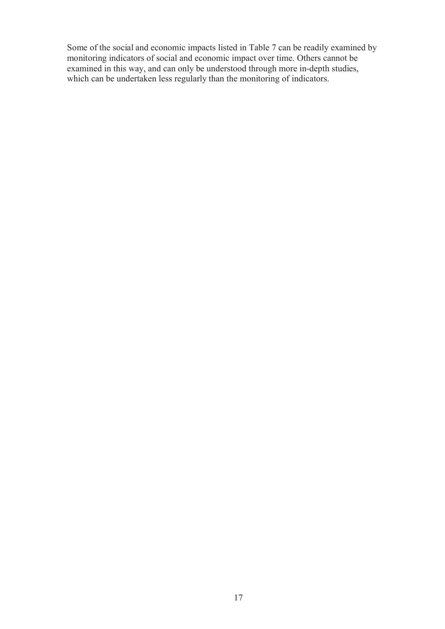Some of the social and economic impacts listed in Table 7 can be readily examined by monitoring indicators of social and economic impact over time. Others cannot be examined in this way, and can only be understood through more in-depth studies, which can be undertaken less regularly than the monitoring of indicators.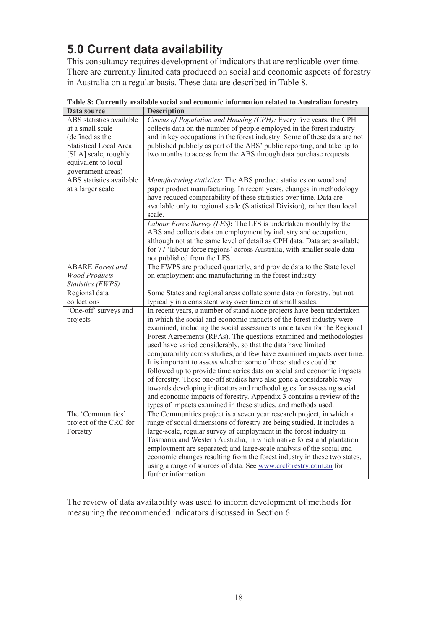# **5.0 Current data availability**

This consultancy requires development of indicators that are replicable over time. There are currently limited data produced on social and economic aspects of forestry in Australia on a regular basis. These data are described in Table 8.

| Data source                                                                                                                                                          | <b>Description</b>                                                                                                                                                                                                                                                                                                                                                                                                                                                                                                                                                                                                                                                                                                                                                                                                                                                               |
|----------------------------------------------------------------------------------------------------------------------------------------------------------------------|----------------------------------------------------------------------------------------------------------------------------------------------------------------------------------------------------------------------------------------------------------------------------------------------------------------------------------------------------------------------------------------------------------------------------------------------------------------------------------------------------------------------------------------------------------------------------------------------------------------------------------------------------------------------------------------------------------------------------------------------------------------------------------------------------------------------------------------------------------------------------------|
| ABS statistics available<br>at a small scale<br>(defined as the<br><b>Statistical Local Area</b><br>[SLA] scale, roughly<br>equivalent to local<br>government areas) | Census of Population and Housing (CPH): Every five years, the CPH<br>collects data on the number of people employed in the forest industry<br>and in key occupations in the forest industry. Some of these data are not<br>published publicly as part of the ABS' public reporting, and take up to<br>two months to access from the ABS through data purchase requests.                                                                                                                                                                                                                                                                                                                                                                                                                                                                                                          |
| ABS statistics available<br>at a larger scale                                                                                                                        | Manufacturing statistics: The ABS produce statistics on wood and<br>paper product manufacturing. In recent years, changes in methodology<br>have reduced comparability of these statistics over time. Data are<br>available only to regional scale (Statistical Division), rather than local<br>scale.                                                                                                                                                                                                                                                                                                                                                                                                                                                                                                                                                                           |
|                                                                                                                                                                      | Labour Force Survey (LFS): The LFS is undertaken monthly by the<br>ABS and collects data on employment by industry and occupation,<br>although not at the same level of detail as CPH data. Data are available<br>for 77 'labour force regions' across Australia, with smaller scale data<br>not published from the LFS.                                                                                                                                                                                                                                                                                                                                                                                                                                                                                                                                                         |
| <b>ABARE</b> Forest and<br><b>Wood Products</b><br><b>Statistics (FWPS)</b>                                                                                          | The FWPS are produced quarterly, and provide data to the State level<br>on employment and manufacturing in the forest industry.                                                                                                                                                                                                                                                                                                                                                                                                                                                                                                                                                                                                                                                                                                                                                  |
| Regional data<br>collections                                                                                                                                         | Some States and regional areas collate some data on forestry, but not<br>typically in a consistent way over time or at small scales.                                                                                                                                                                                                                                                                                                                                                                                                                                                                                                                                                                                                                                                                                                                                             |
| 'One-off' surveys and<br>projects                                                                                                                                    | In recent years, a number of stand alone projects have been undertaken<br>in which the social and economic impacts of the forest industry were<br>examined, including the social assessments undertaken for the Regional<br>Forest Agreements (RFAs). The questions examined and methodologies<br>used have varied considerably, so that the data have limited<br>comparability across studies, and few have examined impacts over time.<br>It is important to assess whether some of these studies could be<br>followed up to provide time series data on social and economic impacts<br>of forestry. These one-off studies have also gone a considerable way<br>towards developing indicators and methodologies for assessing social<br>and economic impacts of forestry. Appendix 3 contains a review of the<br>types of impacts examined in these studies, and methods used. |
| The 'Communities'<br>project of the CRC for<br>Forestry                                                                                                              | The Communities project is a seven year research project, in which a<br>range of social dimensions of forestry are being studied. It includes a<br>large-scale, regular survey of employment in the forest industry in<br>Tasmania and Western Australia, in which native forest and plantation<br>employment are separated; and large-scale analysis of the social and<br>economic changes resulting from the forest industry in these two states,<br>using a range of sources of data. See www.crcforestry.com.au for<br>further information.                                                                                                                                                                                                                                                                                                                                  |

**Table 8: Currently available social and economic information related to Australian forestry**

The review of data availability was used to inform development of methods for measuring the recommended indicators discussed in Section 6.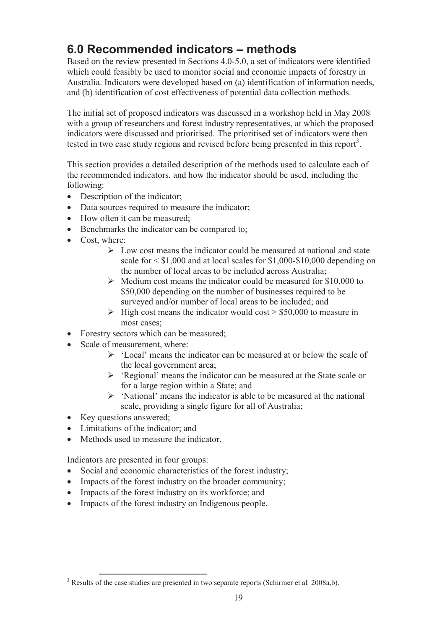# **6.0 Recommended indicators – methods**

Based on the review presented in Sections 4.0-5.0, a set of indicators were identified which could feasibly be used to monitor social and economic impacts of forestry in Australia. Indicators were developed based on (a) identification of information needs, and (b) identification of cost effectiveness of potential data collection methods.

The initial set of proposed indicators was discussed in a workshop held in May 2008 with a group of researchers and forest industry representatives, at which the proposed indicators were discussed and prioritised. The prioritised set of indicators were then tested in two case study regions and revised before being presented in this report<sup>3</sup>.

This section provides a detailed description of the methods used to calculate each of the recommended indicators, and how the indicator should be used, including the following:

- Description of the indicator;
- Data sources required to measure the indicator;
- How often it can be measured;
- Benchmarks the indicator can be compared to;
- Cost, where:
	- $\triangleright$  Low cost means the indicator could be measured at national and state scale for < \$1,000 and at local scales for \$1,000-\$10,000 depending on the number of local areas to be included across Australia;
	- $\triangleright$  Medium cost means the indicator could be measured for \$10,000 to \$50,000 depending on the number of businesses required to be surveyed and/or number of local areas to be included; and
	- $\triangleright$  High cost means the indicator would cost  $> $50,000$  to measure in most cases;
- Forestry sectors which can be measured;
- Scale of measurement, where:
	- $\triangleright$  'Local' means the indicator can be measured at or below the scale of the local government area;
	- $\triangleright$  'Regional' means the indicator can be measured at the State scale or for a large region within a State; and
	- $\triangleright$  'National' means the indicator is able to be measured at the national scale, providing a single figure for all of Australia;
- Key questions answered;

-

- Limitations of the indicator; and
- Methods used to measure the indicator.

Indicators are presented in four groups:

- Social and economic characteristics of the forest industry;
- Impacts of the forest industry on the broader community;
- Impacts of the forest industry on its workforce; and
- Impacts of the forest industry on Indigenous people.

<sup>3</sup> Results of the case studies are presented in two separate reports (Schirmer et al*.* 2008a,b).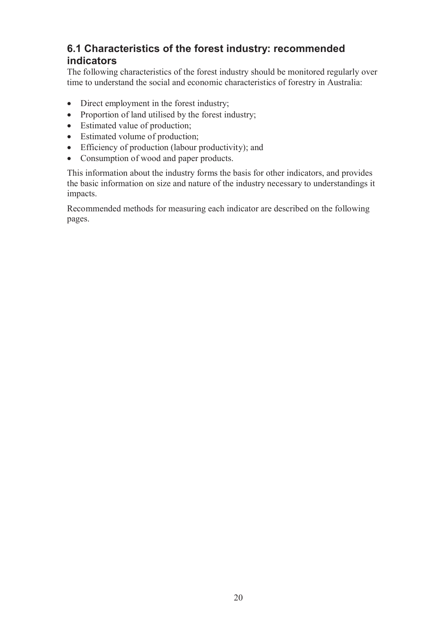## **6.1 Characteristics of the forest industry: recommended indicators**

The following characteristics of the forest industry should be monitored regularly over time to understand the social and economic characteristics of forestry in Australia:

- Direct employment in the forest industry;
- Proportion of land utilised by the forest industry;
- Estimated value of production;
- Estimated volume of production;
- Efficiency of production (labour productivity); and
- Consumption of wood and paper products.

This information about the industry forms the basis for other indicators, and provides the basic information on size and nature of the industry necessary to understandings it impacts.

Recommended methods for measuring each indicator are described on the following pages.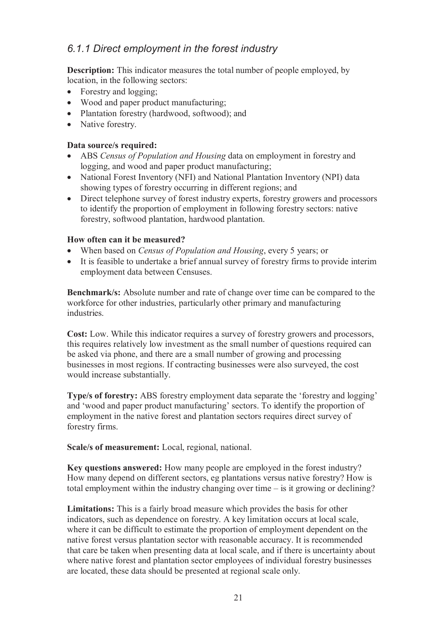## *6.1.1 Direct employment in the forest industry*

**Description:** This indicator measures the total number of people employed, by location, in the following sectors:

- Forestry and logging;
- Wood and paper product manufacturing;
- Plantation forestry (hardwood, softwood); and
- Native forestry.

#### **Data source/s required:**

- ABS *Census of Population and Housing* data on employment in forestry and logging, and wood and paper product manufacturing;
- National Forest Inventory (NFI) and National Plantation Inventory (NPI) data showing types of forestry occurring in different regions; and
- Direct telephone survey of forest industry experts, forestry growers and processors to identify the proportion of employment in following forestry sectors: native forestry, softwood plantation, hardwood plantation.

### **How often can it be measured?**

- When based on *Census of Population and Housing*, every 5 years; or
- It is feasible to undertake a brief annual survey of forestry firms to provide interim employment data between Censuses.

**Benchmark/s:** Absolute number and rate of change over time can be compared to the workforce for other industries, particularly other primary and manufacturing industries.

**Cost:** Low. While this indicator requires a survey of forestry growers and processors, this requires relatively low investment as the small number of questions required can be asked via phone, and there are a small number of growing and processing businesses in most regions. If contracting businesses were also surveyed, the cost would increase substantially.

**Type/s of forestry:** ABS forestry employment data separate the 'forestry and logging' and 'wood and paper product manufacturing' sectors. To identify the proportion of employment in the native forest and plantation sectors requires direct survey of forestry firms.

**Scale/s of measurement:** Local, regional, national.

**Key questions answered:** How many people are employed in the forest industry? How many depend on different sectors, eg plantations versus native forestry? How is total employment within the industry changing over time – is it growing or declining?

**Limitations:** This is a fairly broad measure which provides the basis for other indicators, such as dependence on forestry. A key limitation occurs at local scale, where it can be difficult to estimate the proportion of employment dependent on the native forest versus plantation sector with reasonable accuracy. It is recommended that care be taken when presenting data at local scale, and if there is uncertainty about where native forest and plantation sector employees of individual forestry businesses are located, these data should be presented at regional scale only.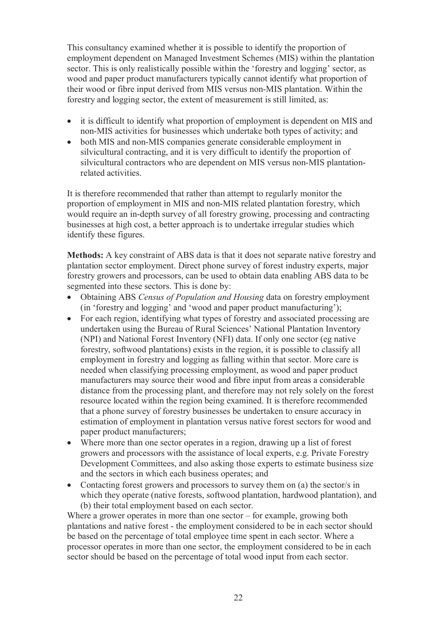This consultancy examined whether it is possible to identify the proportion of employment dependent on Managed Investment Schemes (MIS) within the plantation sector. This is only realistically possible within the 'forestry and logging' sector, as wood and paper product manufacturers typically cannot identify what proportion of their wood or fibre input derived from MIS versus non-MIS plantation. Within the forestry and logging sector, the extent of measurement is still limited, as:

- it is difficult to identify what proportion of employment is dependent on MIS and non-MIS activities for businesses which undertake both types of activity; and
- both MIS and non-MIS companies generate considerable employment in silvicultural contracting, and it is very difficult to identify the proportion of silvicultural contractors who are dependent on MIS versus non-MIS plantationrelated activities.

It is therefore recommended that rather than attempt to regularly monitor the proportion of employment in MIS and non-MIS related plantation forestry, which would require an in-depth survey of all forestry growing, processing and contracting businesses at high cost, a better approach is to undertake irregular studies which identify these figures.

**Methods:** A key constraint of ABS data is that it does not separate native forestry and plantation sector employment. Direct phone survey of forest industry experts, major forestry growers and processors, can be used to obtain data enabling ABS data to be segmented into these sectors. This is done by:

- Obtaining ABS *Census of Population and Housing* data on forestry employment (in 'forestry and logging' and 'wood and paper product manufacturing');
- For each region, identifying what types of forestry and associated processing are undertaken using the Bureau of Rural Sciences' National Plantation Inventory (NPI) and National Forest Inventory (NFI) data. If only one sector (eg native forestry, softwood plantations) exists in the region, it is possible to classify all employment in forestry and logging as falling within that sector. More care is needed when classifying processing employment, as wood and paper product manufacturers may source their wood and fibre input from areas a considerable distance from the processing plant, and therefore may not rely solely on the forest resource located within the region being examined. It is therefore recommended that a phone survey of forestry businesses be undertaken to ensure accuracy in estimation of employment in plantation versus native forest sectors for wood and paper product manufacturers;
- Where more than one sector operates in a region, drawing up a list of forest growers and processors with the assistance of local experts, e.g. Private Forestry Development Committees, and also asking those experts to estimate business size and the sectors in which each business operates; and
- Contacting forest growers and processors to survey them on (a) the sector/s in which they operate (native forests, softwood plantation, hardwood plantation), and (b) their total employment based on each sector.

Where a grower operates in more than one sector – for example, growing both plantations and native forest - the employment considered to be in each sector should be based on the percentage of total employee time spent in each sector. Where a processor operates in more than one sector, the employment considered to be in each sector should be based on the percentage of total wood input from each sector.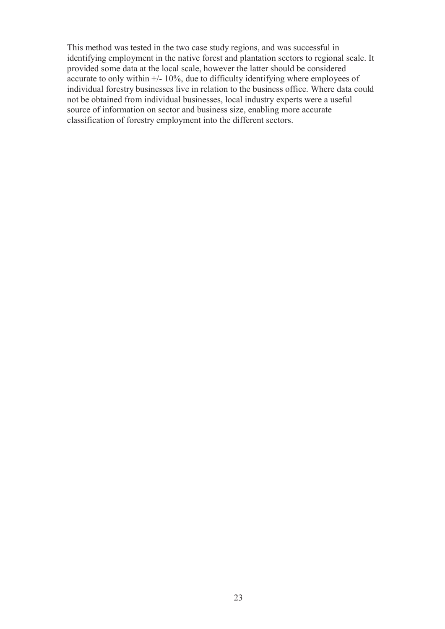This method was tested in the two case study regions, and was successful in identifying employment in the native forest and plantation sectors to regional scale. It provided some data at the local scale, however the latter should be considered accurate to only within  $\frac{+}{-}10\%$ , due to difficulty identifying where employees of individual forestry businesses live in relation to the business office. Where data could not be obtained from individual businesses, local industry experts were a useful source of information on sector and business size, enabling more accurate classification of forestry employment into the different sectors.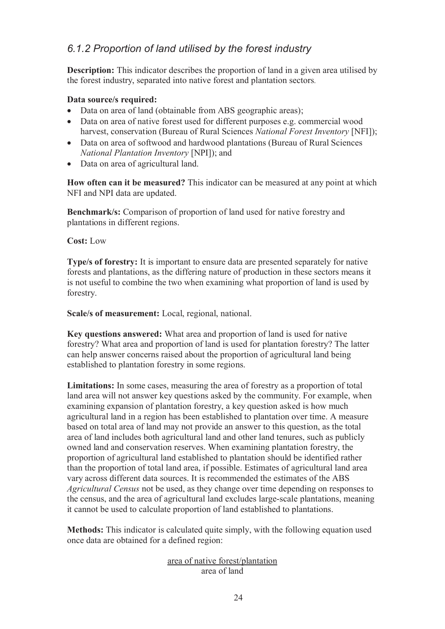## *6.1.2 Proportion of land utilised by the forest industry*

**Description:** This indicator describes the proportion of land in a given area utilised by the forest industry, separated into native forest and plantation sectors.

### **Data source/s required:**

- Data on area of land (obtainable from ABS geographic areas);
- Data on area of native forest used for different purposes e.g. commercial wood harvest, conservation (Bureau of Rural Sciences *National Forest Inventory* [NFI]);
- Data on area of softwood and hardwood plantations (Bureau of Rural Sciences *National Plantation Inventory* [NPI]); and
- Data on area of agricultural land.

**How often can it be measured?** This indicator can be measured at any point at which NFI and NPI data are updated.

**Benchmark/s:** Comparison of proportion of land used for native forestry and plantations in different regions.

**Cost:** Low

**Type/s of forestry:** It is important to ensure data are presented separately for native forests and plantations, as the differing nature of production in these sectors means it is not useful to combine the two when examining what proportion of land is used by forestry.

**Scale/s of measurement:** Local, regional, national.

**Key questions answered:** What area and proportion of land is used for native forestry? What area and proportion of land is used for plantation forestry? The latter can help answer concerns raised about the proportion of agricultural land being established to plantation forestry in some regions.

**Limitations:** In some cases, measuring the area of forestry as a proportion of total land area will not answer key questions asked by the community. For example, when examining expansion of plantation forestry, a key question asked is how much agricultural land in a region has been established to plantation over time. A measure based on total area of land may not provide an answer to this question, as the total area of land includes both agricultural land and other land tenures, such as publicly owned land and conservation reserves. When examining plantation forestry, the proportion of agricultural land established to plantation should be identified rather than the proportion of total land area, if possible. Estimates of agricultural land area vary across different data sources. It is recommended the estimates of the ABS *Agricultural Census* not be used, as they change over time depending on responses to the census, and the area of agricultural land excludes large-scale plantations, meaning it cannot be used to calculate proportion of land established to plantations.

**Methods:** This indicator is calculated quite simply, with the following equation used once data are obtained for a defined region:

### area of native forest/plantation area of land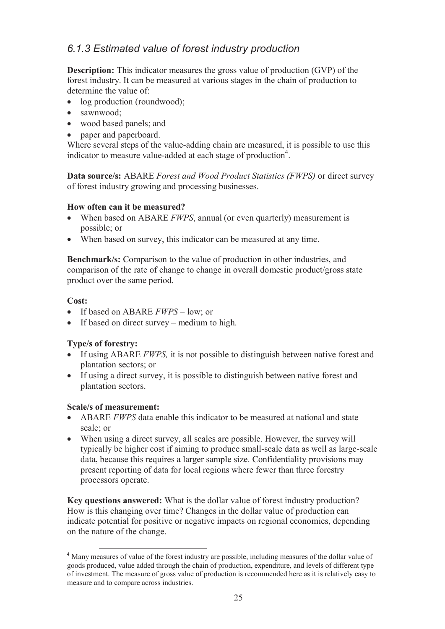## *6.1.3 Estimated value of forest industry production*

**Description:** This indicator measures the gross value of production (GVP) of the forest industry. It can be measured at various stages in the chain of production to determine the value of:

- log production (roundwood);
- sawnwood:
- wood based panels; and
- paper and paperboard.

Where several steps of the value-adding chain are measured, it is possible to use this indicator to measure value-added at each stage of production<sup>4</sup>.

**Data source/s:** ABARE *Forest and Wood Product Statistics (FWPS)* or direct survey of forest industry growing and processing businesses.

### **How often can it be measured?**

- When based on ABARE *FWPS*, annual (or even quarterly) measurement is possible; or
- When based on survey, this indicator can be measured at any time.

**Benchmark/s:** Comparison to the value of production in other industries, and comparison of the rate of change to change in overall domestic product/gross state product over the same period.

### **Cost:**

- If based on ABARE *FWPS* low; or
- If based on direct survey medium to high.

### **Type/s of forestry:**

- If using ABARE *FWPS,* it is not possible to distinguish between native forest and plantation sectors; or
- If using a direct survey, it is possible to distinguish between native forest and plantation sectors.

### **Scale/s of measurement:**

- ABARE *FWPS* data enable this indicator to be measured at national and state scale; or
- When using a direct survey, all scales are possible. However, the survey will typically be higher cost if aiming to produce small-scale data as well as large-scale data, because this requires a larger sample size. Confidentiality provisions may present reporting of data for local regions where fewer than three forestry processors operate.

**Key questions answered:** What is the dollar value of forest industry production? How is this changing over time? Changes in the dollar value of production can indicate potential for positive or negative impacts on regional economies, depending on the nature of the change.

 $\overline{a}$ <sup>4</sup> Many measures of value of the forest industry are possible, including measures of the dollar value of goods produced, value added through the chain of production, expenditure, and levels of different type of investment. The measure of gross value of production is recommended here as it is relatively easy to measure and to compare across industries.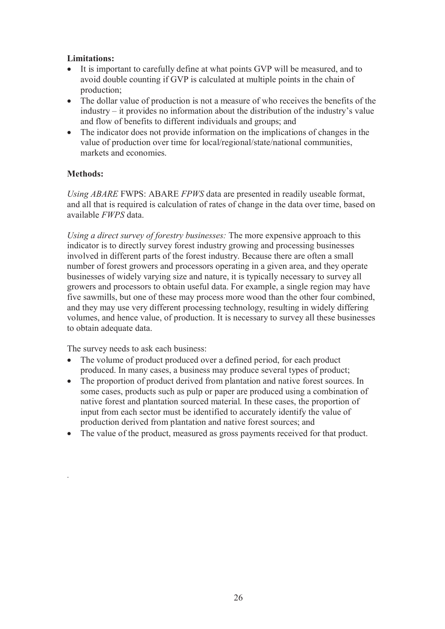### **Limitations:**

- It is important to carefully define at what points GVP will be measured, and to avoid double counting if GVP is calculated at multiple points in the chain of production;
- The dollar value of production is not a measure of who receives the benefits of the industry – it provides no information about the distribution of the industry's value and flow of benefits to different individuals and groups; and
- The indicator does not provide information on the implications of changes in the value of production over time for local/regional/state/national communities, markets and economies.

### **Methods:**

.

*Using ABARE* FWPS: ABARE *FPWS* data are presented in readily useable format, and all that is required is calculation of rates of change in the data over time, based on available *FWPS* data.

*Using a direct survey of forestry businesses:* The more expensive approach to this indicator is to directly survey forest industry growing and processing businesses involved in different parts of the forest industry. Because there are often a small number of forest growers and processors operating in a given area, and they operate businesses of widely varying size and nature, it is typically necessary to survey all growers and processors to obtain useful data. For example, a single region may have five sawmills, but one of these may process more wood than the other four combined, and they may use very different processing technology, resulting in widely differing volumes, and hence value, of production. It is necessary to survey all these businesses to obtain adequate data.

The survey needs to ask each business:

- The volume of product produced over a defined period, for each product produced. In many cases, a business may produce several types of product;
- The proportion of product derived from plantation and native forest sources. In some cases, products such as pulp or paper are produced using a combination of native forest and plantation sourced material. In these cases, the proportion of input from each sector must be identified to accurately identify the value of production derived from plantation and native forest sources; and
- The value of the product, measured as gross payments received for that product.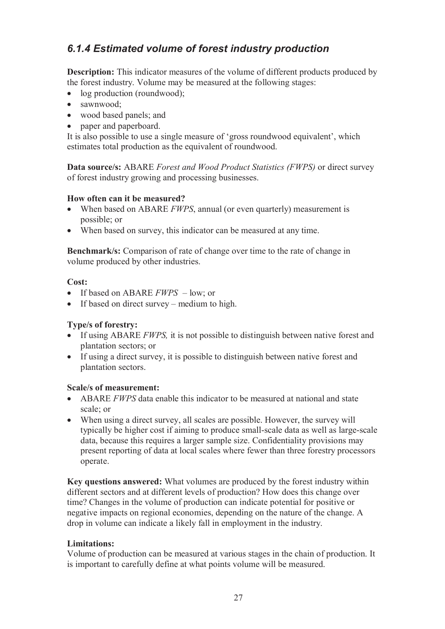## *6.1.4 Estimated volume of forest industry production*

**Description:** This indicator measures of the volume of different products produced by the forest industry. Volume may be measured at the following stages:

- log production (roundwood);
- sawnwood:
- wood based panels; and
- paper and paperboard.

It is also possible to use a single measure of 'gross roundwood equivalent', which estimates total production as the equivalent of roundwood.

**Data source/s:** ABARE *Forest and Wood Product Statistics (FWPS)* or direct survey of forest industry growing and processing businesses.

### **How often can it be measured?**

- When based on ABARE *FWPS*, annual (or even quarterly) measurement is possible; or
- When based on survey, this indicator can be measured at any time.

**Benchmark/s:** Comparison of rate of change over time to the rate of change in volume produced by other industries.

#### **Cost:**

- If based on ABARE *FWPS* low; or
- If based on direct survey medium to high.

### **Type/s of forestry:**

- If using ABARE *FWPS,* it is not possible to distinguish between native forest and plantation sectors; or
- If using a direct survey, it is possible to distinguish between native forest and plantation sectors.

### **Scale/s of measurement:**

- ABARE *FWPS* data enable this indicator to be measured at national and state scale; or
- When using a direct survey, all scales are possible. However, the survey will typically be higher cost if aiming to produce small-scale data as well as large-scale data, because this requires a larger sample size. Confidentiality provisions may present reporting of data at local scales where fewer than three forestry processors operate.

**Key questions answered:** What volumes are produced by the forest industry within different sectors and at different levels of production? How does this change over time? Changes in the volume of production can indicate potential for positive or negative impacts on regional economies, depending on the nature of the change. A drop in volume can indicate a likely fall in employment in the industry.

### **Limitations:**

Volume of production can be measured at various stages in the chain of production. It is important to carefully define at what points volume will be measured.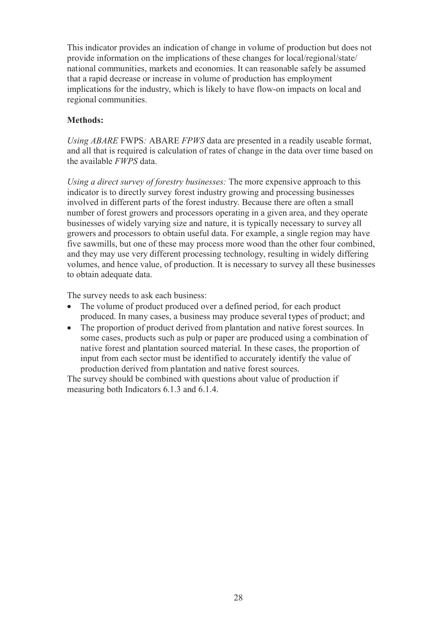This indicator provides an indication of change in volume of production but does not provide information on the implications of these changes for local/regional/state/ national communities, markets and economies. It can reasonable safely be assumed that a rapid decrease or increase in volume of production has employment implications for the industry, which is likely to have flow-on impacts on local and regional communities.

### **Methods:**

*Using ABARE* FWPS*:* ABARE *FPWS* data are presented in a readily useable format, and all that is required is calculation of rates of change in the data over time based on the available *FWPS* data.

*Using a direct survey of forestry businesses:* The more expensive approach to this indicator is to directly survey forest industry growing and processing businesses involved in different parts of the forest industry. Because there are often a small number of forest growers and processors operating in a given area, and they operate businesses of widely varying size and nature, it is typically necessary to survey all growers and processors to obtain useful data. For example, a single region may have five sawmills, but one of these may process more wood than the other four combined, and they may use very different processing technology, resulting in widely differing volumes, and hence value, of production. It is necessary to survey all these businesses to obtain adequate data.

The survey needs to ask each business:

- The volume of product produced over a defined period, for each product produced. In many cases, a business may produce several types of product; and
- The proportion of product derived from plantation and native forest sources. In some cases, products such as pulp or paper are produced using a combination of native forest and plantation sourced material. In these cases, the proportion of input from each sector must be identified to accurately identify the value of production derived from plantation and native forest sources.

The survey should be combined with questions about value of production if measuring both Indicators 6.1.3 and 6.1.4.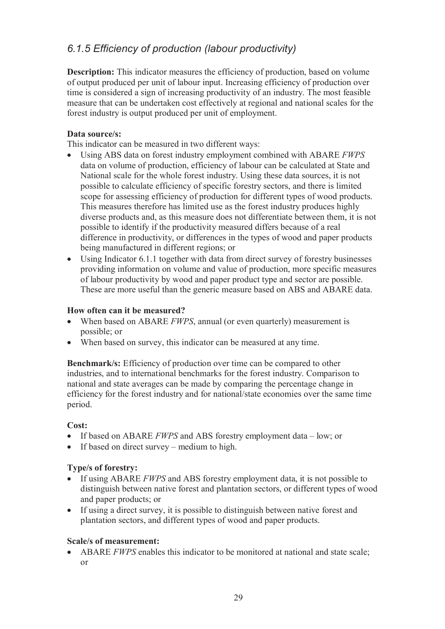## *6.1.5 Efficiency of production (labour productivity)*

**Description:** This indicator measures the efficiency of production, based on volume of output produced per unit of labour input. Increasing efficiency of production over time is considered a sign of increasing productivity of an industry. The most feasible measure that can be undertaken cost effectively at regional and national scales for the forest industry is output produced per unit of employment.

#### **Data source/s:**

This indicator can be measured in two different ways:

- Using ABS data on forest industry employment combined with ABARE *FWPS*  data on volume of production, efficiency of labour can be calculated at State and National scale for the whole forest industry. Using these data sources, it is not possible to calculate efficiency of specific forestry sectors, and there is limited scope for assessing efficiency of production for different types of wood products. This measures therefore has limited use as the forest industry produces highly diverse products and, as this measure does not differentiate between them, it is not possible to identify if the productivity measured differs because of a real difference in productivity, or differences in the types of wood and paper products being manufactured in different regions; or
- Using Indicator 6.1.1 together with data from direct survey of forestry businesses providing information on volume and value of production, more specific measures of labour productivity by wood and paper product type and sector are possible. These are more useful than the generic measure based on ABS and ABARE data.

#### **How often can it be measured?**

- When based on ABARE *FWPS*, annual (or even quarterly) measurement is possible; or
- When based on survey, this indicator can be measured at any time.

**Benchmark/s:** Efficiency of production over time can be compared to other industries, and to international benchmarks for the forest industry. Comparison to national and state averages can be made by comparing the percentage change in efficiency for the forest industry and for national/state economies over the same time period.

#### **Cost:**

- If based on ABARE *FWPS* and ABS forestry employment data low; or
- If based on direct survey medium to high.

### **Type/s of forestry:**

- If using ABARE *FWPS* and ABS forestry employment data, it is not possible to distinguish between native forest and plantation sectors, or different types of wood and paper products; or
- If using a direct survey, it is possible to distinguish between native forest and plantation sectors, and different types of wood and paper products.

#### **Scale/s of measurement:**

 ABARE *FWPS* enables this indicator to be monitored at national and state scale; or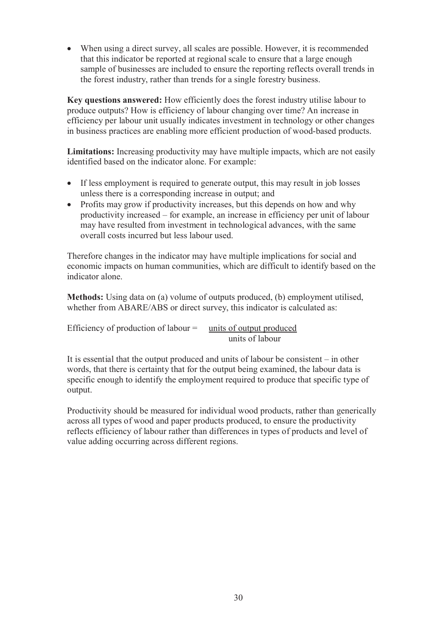When using a direct survey, all scales are possible. However, it is recommended that this indicator be reported at regional scale to ensure that a large enough sample of businesses are included to ensure the reporting reflects overall trends in the forest industry, rather than trends for a single forestry business.

**Key questions answered:** How efficiently does the forest industry utilise labour to produce outputs? How is efficiency of labour changing over time? An increase in efficiency per labour unit usually indicates investment in technology or other changes in business practices are enabling more efficient production of wood-based products.

**Limitations:** Increasing productivity may have multiple impacts, which are not easily identified based on the indicator alone. For example:

- If less employment is required to generate output, this may result in job losses unless there is a corresponding increase in output; and
- Profits may grow if productivity increases, but this depends on how and why productivity increased – for example, an increase in efficiency per unit of labour may have resulted from investment in technological advances, with the same overall costs incurred but less labour used.

Therefore changes in the indicator may have multiple implications for social and economic impacts on human communities, which are difficult to identify based on the indicator alone.

**Methods:** Using data on (a) volume of outputs produced, (b) employment utilised, whether from ABARE/ABS or direct survey, this indicator is calculated as:

| Efficiency of production of labour $=$ | units of output produced |
|----------------------------------------|--------------------------|
|                                        | units of labour          |

It is essential that the output produced and units of labour be consistent – in other words, that there is certainty that for the output being examined, the labour data is specific enough to identify the employment required to produce that specific type of output.

Productivity should be measured for individual wood products, rather than generically across all types of wood and paper products produced, to ensure the productivity reflects efficiency of labour rather than differences in types of products and level of value adding occurring across different regions.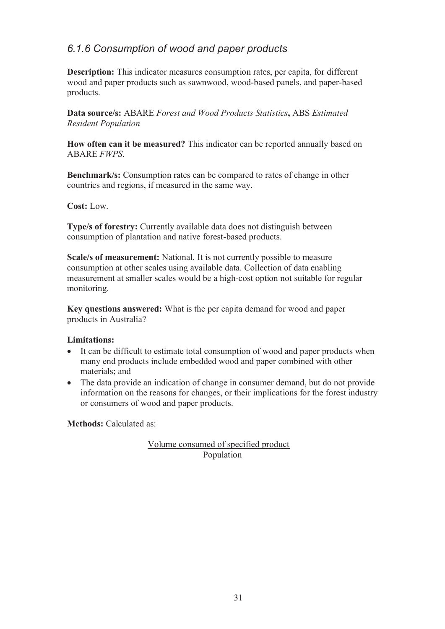## *6.1.6 Consumption of wood and paper products*

**Description:** This indicator measures consumption rates, per capita, for different wood and paper products such as sawnwood, wood-based panels, and paper-based products.

**Data source/s:** ABARE *Forest and Wood Products Statistics***,** ABS *Estimated Resident Population*

**How often can it be measured?** This indicator can be reported annually based on ABARE *FWPS*.

**Benchmark/s:** Consumption rates can be compared to rates of change in other countries and regions, if measured in the same way.

**Cost:** Low.

**Type/s of forestry:** Currently available data does not distinguish between consumption of plantation and native forest-based products.

**Scale/s of measurement:** National. It is not currently possible to measure consumption at other scales using available data. Collection of data enabling measurement at smaller scales would be a high-cost option not suitable for regular monitoring.

**Key questions answered:** What is the per capita demand for wood and paper products in Australia?

### **Limitations:**

- It can be difficult to estimate total consumption of wood and paper products when many end products include embedded wood and paper combined with other materials; and
- The data provide an indication of change in consumer demand, but do not provide information on the reasons for changes, or their implications for the forest industry or consumers of wood and paper products.

**Methods: Calculated as:** 

Volume consumed of specified product Population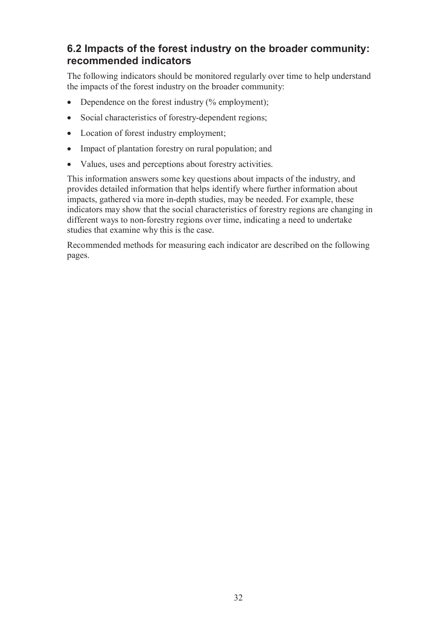## **6.2 Impacts of the forest industry on the broader community: recommended indicators**

The following indicators should be monitored regularly over time to help understand the impacts of the forest industry on the broader community:

- Dependence on the forest industry  $(\%$  employment);
- Social characteristics of forestry-dependent regions;
- Location of forest industry employment;
- Impact of plantation forestry on rural population; and
- Values, uses and perceptions about forestry activities.

This information answers some key questions about impacts of the industry, and provides detailed information that helps identify where further information about impacts, gathered via more in-depth studies, may be needed. For example, these indicators may show that the social characteristics of forestry regions are changing in different ways to non-forestry regions over time, indicating a need to undertake studies that examine why this is the case.

Recommended methods for measuring each indicator are described on the following pages.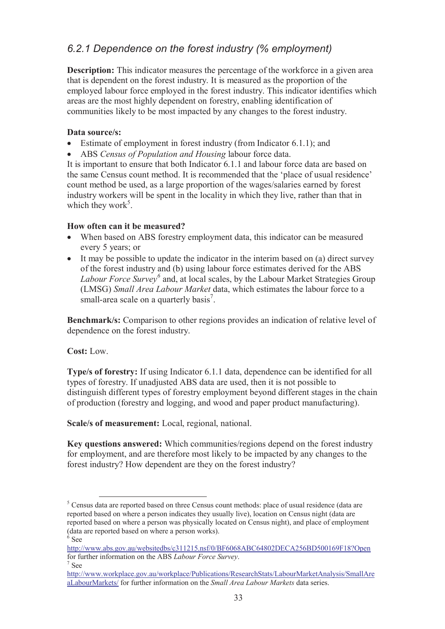# *6.2.1 Dependence on the forest industry (% employment)*

**Description:** This indicator measures the percentage of the workforce in a given area that is dependent on the forest industry. It is measured as the proportion of the employed labour force employed in the forest industry. This indicator identifies which areas are the most highly dependent on forestry, enabling identification of communities likely to be most impacted by any changes to the forest industry.

### **Data source/s:**

- Estimate of employment in forest industry (from Indicator 6.1.1); and
- ABS *Census of Population and Housing* labour force data.

It is important to ensure that both Indicator 6.1.1 and labour force data are based on the same Census count method. It is recommended that the 'place of usual residence' count method be used, as a large proportion of the wages/salaries earned by forest industry workers will be spent in the locality in which they live, rather than that in which they work<sup>5</sup>.

#### **How often can it be measured?**

- When based on ABS forestry employment data, this indicator can be measured every 5 years; or
- It may be possible to update the indicator in the interim based on (a) direct survey of the forest industry and (b) using labour force estimates derived for the ABS *Labour Force Survey<sup>6</sup>* and, at local scales, by the Labour Market Strategies Group (LMSG) *Small Area Labour Market* data, which estimates the labour force to a small-area scale on a quarterly basis<sup>7</sup>.

**Benchmark/s:** Comparison to other regions provides an indication of relative level of dependence on the forest industry.

**Cost:** Low.

-

**Type/s of forestry:** If using Indicator 6.1.1 data, dependence can be identified for all types of forestry. If unadjusted ABS data are used, then it is not possible to distinguish different types of forestry employment beyond different stages in the chain of production (forestry and logging, and wood and paper product manufacturing).

**Scale/s of measurement:** Local, regional, national.

**Key questions answered:** Which communities/regions depend on the forest industry for employment, and are therefore most likely to be impacted by any changes to the forest industry? How dependent are they on the forest industry?

<sup>&</sup>lt;sup>5</sup> Census data are reported based on three Census count methods: place of usual residence (data are reported based on where a person indicates they usually live), location on Census night (data are reported based on where a person was physically located on Census night), and place of employment (data are reported based on where a person works).  $6$  See

http://www.abs.gov.au/websitedbs/c311215.nsf/0/BF6068ABC64802DECA256BD500169F18?Open for further information on the ABS *Labour Force Survey*. 7 See

http://www.workplace.gov.au/workplace/Publications/ResearchStats/LabourMarketAnalysis/SmallAre aLabourMarkets/ for further information on the *Small Area Labour Markets* data series.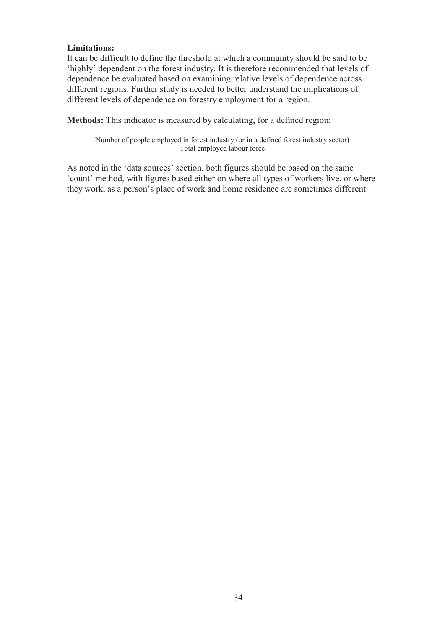### **Limitations:**

It can be difficult to define the threshold at which a community should be said to be 'highly' dependent on the forest industry. It is therefore recommended that levels of dependence be evaluated based on examining relative levels of dependence across different regions. Further study is needed to better understand the implications of different levels of dependence on forestry employment for a region.

**Methods:** This indicator is measured by calculating, for a defined region:

Number of people employed in forest industry (or in a defined forest industry sector) Total employed labour force

As noted in the 'data sources' section, both figures should be based on the same 'count' method, with figures based either on where all types of workers live, or where they work, as a person's place of work and home residence are sometimes different.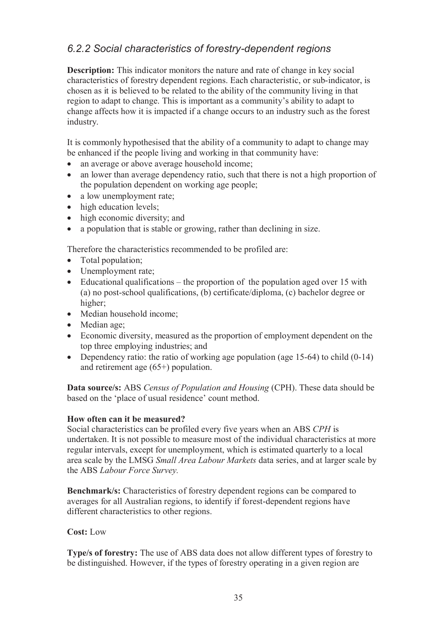## *6.2.2 Social characteristics of forestry-dependent regions*

**Description:** This indicator monitors the nature and rate of change in key social characteristics of forestry dependent regions. Each characteristic, or sub-indicator, is chosen as it is believed to be related to the ability of the community living in that region to adapt to change. This is important as a community's ability to adapt to change affects how it is impacted if a change occurs to an industry such as the forest industry.

It is commonly hypothesised that the ability of a community to adapt to change may be enhanced if the people living and working in that community have:

- an average or above average household income:
- an lower than average dependency ratio, such that there is not a high proportion of the population dependent on working age people;
- a low unemployment rate;
- high education levels;
- high economic diversity; and
- a population that is stable or growing, rather than declining in size.

Therefore the characteristics recommended to be profiled are:

- Total population;
- Unemployment rate;
- Educational qualifications the proportion of the population aged over 15 with (a) no post-school qualifications, (b) certificate/diploma, (c) bachelor degree or higher;
- Median household income;
- Median age:
- Economic diversity, measured as the proportion of employment dependent on the top three employing industries; and
- Dependency ratio: the ratio of working age population (age  $15-64$ ) to child  $(0-14)$ and retirement age (65+) population.

**Data source/s:** ABS *Census of Population and Housing* (CPH). These data should be based on the 'place of usual residence' count method.

### **How often can it be measured?**

Social characteristics can be profiled every five years when an ABS *CPH* is undertaken. It is not possible to measure most of the individual characteristics at more regular intervals, except for unemployment, which is estimated quarterly to a local area scale by the LMSG *Small Area Labour Markets* data series, and at larger scale by the ABS *Labour Force Survey.*

**Benchmark/s:** Characteristics of forestry dependent regions can be compared to averages for all Australian regions, to identify if forest-dependent regions have different characteristics to other regions.

### **Cost:** Low

**Type/s of forestry:** The use of ABS data does not allow different types of forestry to be distinguished. However, if the types of forestry operating in a given region are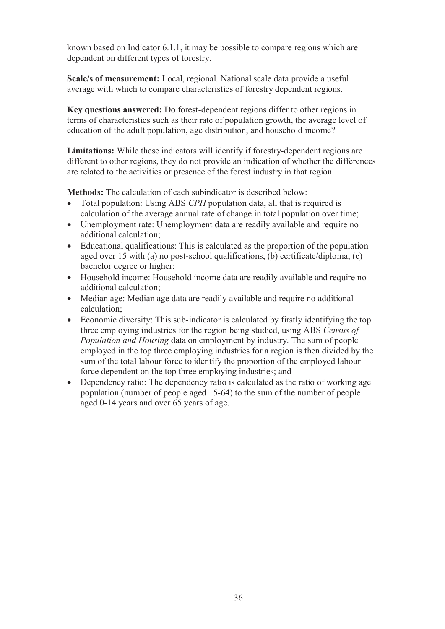known based on Indicator 6.1.1, it may be possible to compare regions which are dependent on different types of forestry.

**Scale/s of measurement:** Local, regional. National scale data provide a useful average with which to compare characteristics of forestry dependent regions.

**Key questions answered:** Do forest-dependent regions differ to other regions in terms of characteristics such as their rate of population growth, the average level of education of the adult population, age distribution, and household income?

**Limitations:** While these indicators will identify if forestry-dependent regions are different to other regions, they do not provide an indication of whether the differences are related to the activities or presence of the forest industry in that region.

**Methods:** The calculation of each subindicator is described below:

- Total population: Using ABS *CPH* population data, all that is required is calculation of the average annual rate of change in total population over time;
- Unemployment rate: Unemployment data are readily available and require no additional calculation;
- Educational qualifications: This is calculated as the proportion of the population aged over 15 with (a) no post-school qualifications, (b) certificate/diploma, (c) bachelor degree or higher;
- Household income: Household income data are readily available and require no additional calculation;
- Median age: Median age data are readily available and require no additional calculation;
- Economic diversity: This sub-indicator is calculated by firstly identifying the top three employing industries for the region being studied, using ABS *Census of Population and Housing* data on employment by industry. The sum of people employed in the top three employing industries for a region is then divided by the sum of the total labour force to identify the proportion of the employed labour force dependent on the top three employing industries; and
- Dependency ratio: The dependency ratio is calculated as the ratio of working age population (number of people aged 15-64) to the sum of the number of people aged 0-14 years and over 65 years of age.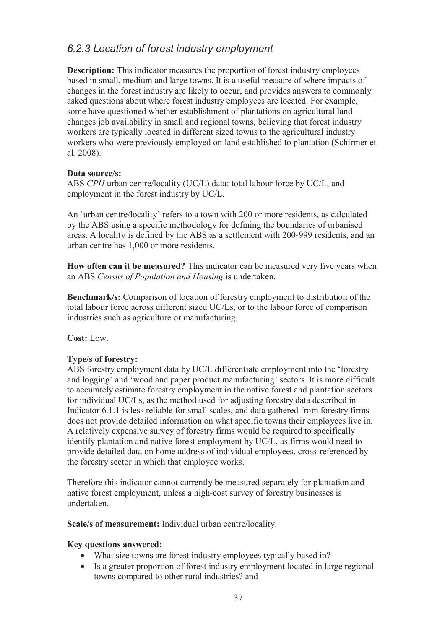## *6.2.3 Location of forest industry employment*

**Description:** This indicator measures the proportion of forest industry employees based in small, medium and large towns. It is a useful measure of where impacts of changes in the forest industry are likely to occur, and provides answers to commonly asked questions about where forest industry employees are located. For example, some have questioned whether establishment of plantations on agricultural land changes job availability in small and regional towns, believing that forest industry workers are typically located in different sized towns to the agricultural industry workers who were previously employed on land established to plantation (Schirmer et al*.* 2008).

### **Data source/s:**

ABS *CPH* urban centre/locality (UC/L) data: total labour force by UC/L, and employment in the forest industry by UC/L.

An 'urban centre/locality' refers to a town with 200 or more residents, as calculated by the ABS using a specific methodology for defining the boundaries of urbanised areas. A locality is defined by the ABS as a settlement with 200-999 residents, and an urban centre has 1,000 or more residents.

**How often can it be measured?** This indicator can be measured very five years when an ABS *Census of Population and Housing* is undertaken.

**Benchmark/s:** Comparison of location of forestry employment to distribution of the total labour force across different sized UC/Ls, or to the labour force of comparison industries such as agriculture or manufacturing.

**Cost:** Low.

## **Type/s of forestry:**

ABS forestry employment data by UC/L differentiate employment into the 'forestry and logging' and 'wood and paper product manufacturing' sectors. It is more difficult to accurately estimate forestry employment in the native forest and plantation sectors for individual UC/Ls, as the method used for adjusting forestry data described in Indicator 6.1.1 is less reliable for small scales, and data gathered from forestry firms does not provide detailed information on what specific towns their employees live in. A relatively expensive survey of forestry firms would be required to specifically identify plantation and native forest employment by UC/L, as firms would need to provide detailed data on home address of individual employees, cross-referenced by the forestry sector in which that employee works.

Therefore this indicator cannot currently be measured separately for plantation and native forest employment, unless a high-cost survey of forestry businesses is undertaken.

**Scale/s of measurement:** Individual urban centre/locality.

### **Key questions answered:**

- What size towns are forest industry employees typically based in?
- Is a greater proportion of forest industry employment located in large regional towns compared to other rural industries? and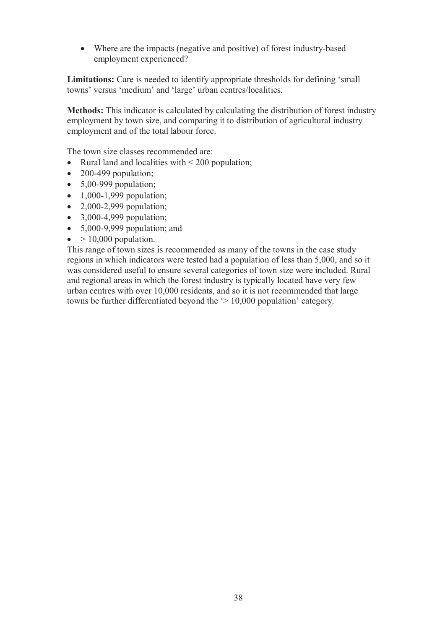Where are the impacts (negative and positive) of forest industry-based employment experienced?

Limitations: Care is needed to identify appropriate thresholds for defining 'small towns' versus 'medium' and 'large' urban centres/localities.

**Methods:** This indicator is calculated by calculating the distribution of forest industry employment by town size, and comparing it to distribution of agricultural industry employment and of the total labour force.

The town size classes recommended are:

- Rural land and localities with  $\leq 200$  population:
- $\bullet$  200-499 population;
- $\bullet$  5,00-999 population;
- $\bullet$  1,000-1,999 population;
- $\bullet$  2,000-2,999 population;
- $\bullet$  3,000-4,999 population;
- $\bullet$  5,000-9,999 population; and
- $\bullet$  > 10,000 population.

This range of town sizes is recommended as many of the towns in the case study regions in which indicators were tested had a population of less than 5,000, and so it was considered useful to ensure several categories of town size were included. Rural and regional areas in which the forest industry is typically located have very few urban centres with over 10,000 residents, and so it is not recommended that large towns be further differentiated beyond the '> 10,000 population' category.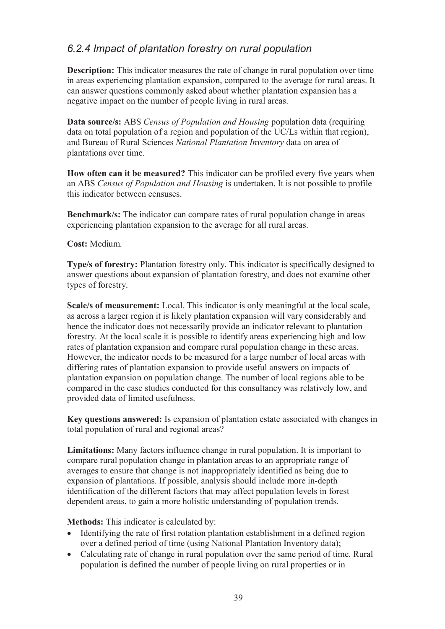## *6.2.4 Impact of plantation forestry on rural population*

**Description:** This indicator measures the rate of change in rural population over time in areas experiencing plantation expansion, compared to the average for rural areas. It can answer questions commonly asked about whether plantation expansion has a negative impact on the number of people living in rural areas.

**Data source/s:** ABS *Census of Population and Housing* population data (requiring data on total population of a region and population of the UC/Ls within that region), and Bureau of Rural Sciences *National Plantation Inventory* data on area of plantations over time.

**How often can it be measured?** This indicator can be profiled every five years when an ABS *Census of Population and Housing* is undertaken. It is not possible to profile this indicator between censuses.

**Benchmark/s:** The indicator can compare rates of rural population change in areas experiencing plantation expansion to the average for all rural areas.

**Cost:** Medium.

**Type/s of forestry:** Plantation forestry only. This indicator is specifically designed to answer questions about expansion of plantation forestry, and does not examine other types of forestry.

**Scale/s of measurement:** Local. This indicator is only meaningful at the local scale, as across a larger region it is likely plantation expansion will vary considerably and hence the indicator does not necessarily provide an indicator relevant to plantation forestry. At the local scale it is possible to identify areas experiencing high and low rates of plantation expansion and compare rural population change in these areas. However, the indicator needs to be measured for a large number of local areas with differing rates of plantation expansion to provide useful answers on impacts of plantation expansion on population change. The number of local regions able to be compared in the case studies conducted for this consultancy was relatively low, and provided data of limited usefulness.

**Key questions answered:** Is expansion of plantation estate associated with changes in total population of rural and regional areas?

**Limitations:** Many factors influence change in rural population. It is important to compare rural population change in plantation areas to an appropriate range of averages to ensure that change is not inappropriately identified as being due to expansion of plantations. If possible, analysis should include more in-depth identification of the different factors that may affect population levels in forest dependent areas, to gain a more holistic understanding of population trends.

**Methods:** This indicator is calculated by:

- Identifying the rate of first rotation plantation establishment in a defined region over a defined period of time (using National Plantation Inventory data);
- Calculating rate of change in rural population over the same period of time. Rural population is defined the number of people living on rural properties or in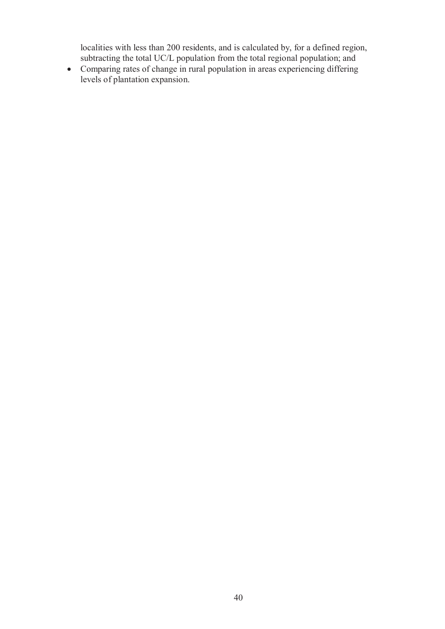localities with less than 200 residents, and is calculated by, for a defined region, subtracting the total UC/L population from the total regional population; and

 Comparing rates of change in rural population in areas experiencing differing levels of plantation expansion.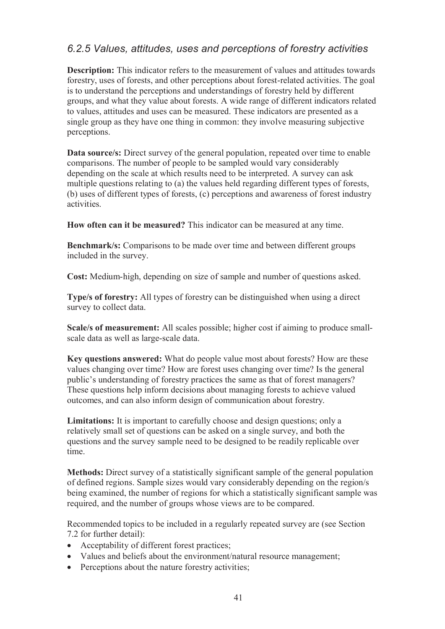## *6.2.5 Values, attitudes, uses and perceptions of forestry activities*

**Description:** This indicator refers to the measurement of values and attitudes towards forestry, uses of forests, and other perceptions about forest-related activities. The goal is to understand the perceptions and understandings of forestry held by different groups, and what they value about forests. A wide range of different indicators related to values, attitudes and uses can be measured. These indicators are presented as a single group as they have one thing in common: they involve measuring subjective perceptions.

**Data source/s:** Direct survey of the general population, repeated over time to enable comparisons. The number of people to be sampled would vary considerably depending on the scale at which results need to be interpreted. A survey can ask multiple questions relating to (a) the values held regarding different types of forests, (b) uses of different types of forests, (c) perceptions and awareness of forest industry activities.

**How often can it be measured?** This indicator can be measured at any time.

**Benchmark/s:** Comparisons to be made over time and between different groups included in the survey.

**Cost:** Medium-high, depending on size of sample and number of questions asked.

**Type/s of forestry:** All types of forestry can be distinguished when using a direct survey to collect data.

**Scale/s of measurement:** All scales possible; higher cost if aiming to produce smallscale data as well as large-scale data.

**Key questions answered:** What do people value most about forests? How are these values changing over time? How are forest uses changing over time? Is the general public's understanding of forestry practices the same as that of forest managers? These questions help inform decisions about managing forests to achieve valued outcomes, and can also inform design of communication about forestry.

**Limitations:** It is important to carefully choose and design questions; only a relatively small set of questions can be asked on a single survey, and both the questions and the survey sample need to be designed to be readily replicable over time.

**Methods:** Direct survey of a statistically significant sample of the general population of defined regions. Sample sizes would vary considerably depending on the region/s being examined, the number of regions for which a statistically significant sample was required, and the number of groups whose views are to be compared.

Recommended topics to be included in a regularly repeated survey are (see Section 7.2 for further detail):

- Acceptability of different forest practices;
- Values and beliefs about the environment/natural resource management;
- Perceptions about the nature forestry activities;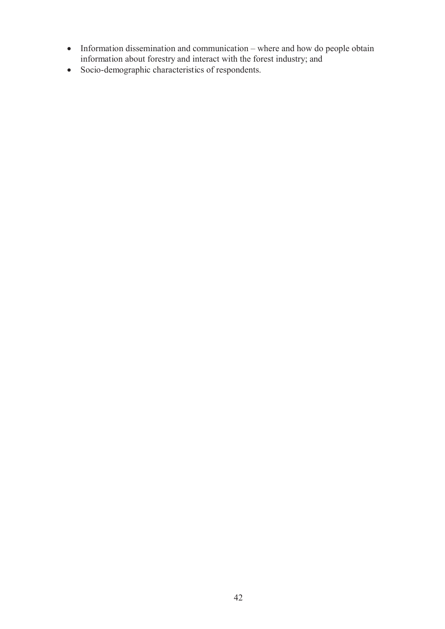- Information dissemination and communication where and how do people obtain information about forestry and interact with the forest industry; and
- Socio-demographic characteristics of respondents.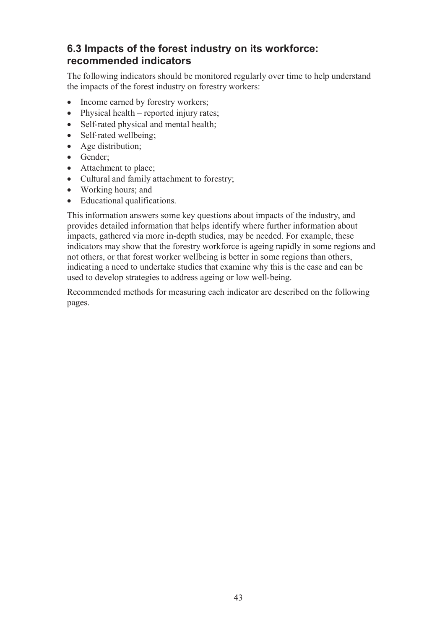# **6.3 Impacts of the forest industry on its workforce: recommended indicators**

The following indicators should be monitored regularly over time to help understand the impacts of the forest industry on forestry workers:

- Income earned by forestry workers;
- Physical health reported injury rates;
- Self-rated physical and mental health;
- Self-rated wellbeing:
- Age distribution;
- Gender;
- Attachment to place;
- Cultural and family attachment to forestry;
- Working hours; and
- Educational qualifications.

This information answers some key questions about impacts of the industry, and provides detailed information that helps identify where further information about impacts, gathered via more in-depth studies, may be needed. For example, these indicators may show that the forestry workforce is ageing rapidly in some regions and not others, or that forest worker wellbeing is better in some regions than others, indicating a need to undertake studies that examine why this is the case and can be used to develop strategies to address ageing or low well-being.

Recommended methods for measuring each indicator are described on the following pages.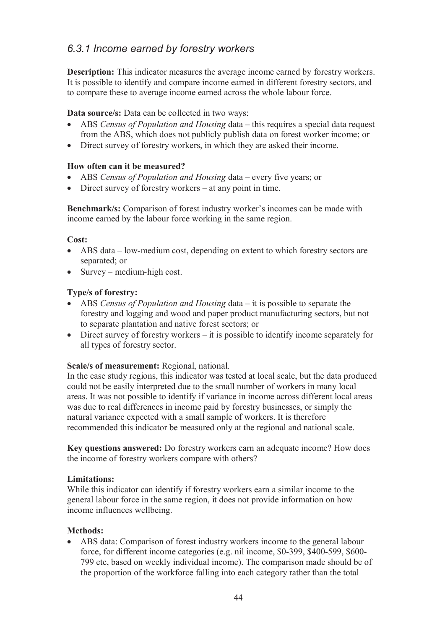## *6.3.1 Income earned by forestry workers*

**Description:** This indicator measures the average income earned by forestry workers. It is possible to identify and compare income earned in different forestry sectors, and to compare these to average income earned across the whole labour force.

**Data source/s:** Data can be collected in two ways:

- ABS *Census of Population and Housing* data this requires a special data request from the ABS, which does not publicly publish data on forest worker income; or
- Direct survey of forestry workers, in which they are asked their income.

### **How often can it be measured?**

- ABS *Census of Population and Housing* data every five years; or
- Direct survey of forestry workers at any point in time.

**Benchmark/s:** Comparison of forest industry worker's incomes can be made with income earned by the labour force working in the same region.

### **Cost:**

- ABS data low-medium cost, depending on extent to which forestry sectors are separated; or
- $\bullet$  Survey medium-high cost.

## **Type/s of forestry:**

- ABS *Census of Population and Housing* data it is possible to separate the forestry and logging and wood and paper product manufacturing sectors, but not to separate plantation and native forest sectors; or
- Direct survey of forestry workers it is possible to identify income separately for all types of forestry sector.

### **Scale/s of measurement:** Regional, national.

In the case study regions, this indicator was tested at local scale, but the data produced could not be easily interpreted due to the small number of workers in many local areas. It was not possible to identify if variance in income across different local areas was due to real differences in income paid by forestry businesses, or simply the natural variance expected with a small sample of workers. It is therefore recommended this indicator be measured only at the regional and national scale.

**Key questions answered:** Do forestry workers earn an adequate income? How does the income of forestry workers compare with others?

### **Limitations:**

While this indicator can identify if forestry workers earn a similar income to the general labour force in the same region, it does not provide information on how income influences wellbeing.

### **Methods:**

 ABS data: Comparison of forest industry workers income to the general labour force, for different income categories (e.g. nil income, \$0-399, \$400-599, \$600- 799 etc, based on weekly individual income). The comparison made should be of the proportion of the workforce falling into each category rather than the total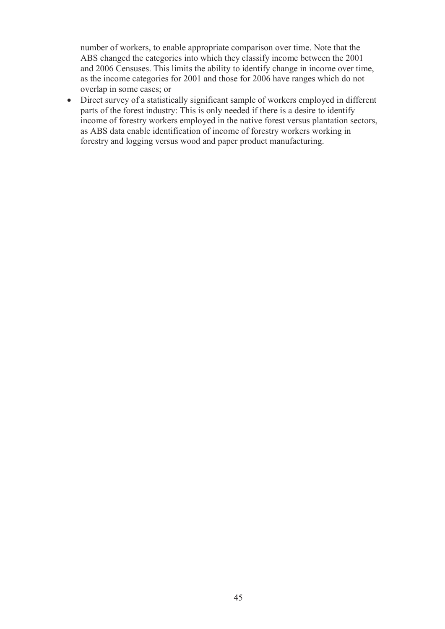number of workers, to enable appropriate comparison over time. Note that the ABS changed the categories into which they classify income between the 2001 and 2006 Censuses. This limits the ability to identify change in income over time, as the income categories for 2001 and those for 2006 have ranges which do not overlap in some cases; or

 Direct survey of a statistically significant sample of workers employed in different parts of the forest industry: This is only needed if there is a desire to identify income of forestry workers employed in the native forest versus plantation sectors, as ABS data enable identification of income of forestry workers working in forestry and logging versus wood and paper product manufacturing.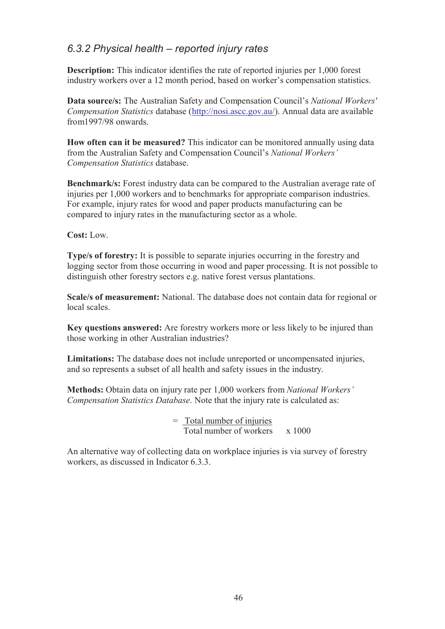## *6.3.2 Physical health – reported injury rates*

**Description:** This indicator identifies the rate of reported injuries per 1,000 forest industry workers over a 12 month period, based on worker's compensation statistics.

**Data source/s:** The Australian Safety and Compensation Council's *National Workers' Compensation Statistics* database (http://nosi.ascc.gov.au/). Annual data are available from1997/98 onwards.

**How often can it be measured?** This indicator can be monitored annually using data from the Australian Safety and Compensation Council's *National Workers' Compensation Statistics* database.

**Benchmark/s:** Forest industry data can be compared to the Australian average rate of injuries per 1,000 workers and to benchmarks for appropriate comparison industries. For example, injury rates for wood and paper products manufacturing can be compared to injury rates in the manufacturing sector as a whole.

**Cost:** Low.

**Type/s of forestry:** It is possible to separate injuries occurring in the forestry and logging sector from those occurring in wood and paper processing. It is not possible to distinguish other forestry sectors e.g. native forest versus plantations.

**Scale/s of measurement:** National. The database does not contain data for regional or local scales.

**Key questions answered:** Are forestry workers more or less likely to be injured than those working in other Australian industries?

**Limitations:** The database does not include unreported or uncompensated injuries, and so represents a subset of all health and safety issues in the industry.

**Methods:** Obtain data on injury rate per 1,000 workers from *National Workers' Compensation Statistics Database*. Note that the injury rate is calculated as:

> = Total number of injuries Total number of workers  $\times 1000$

An alternative way of collecting data on workplace injuries is via survey of forestry workers, as discussed in Indicator 6.3.3.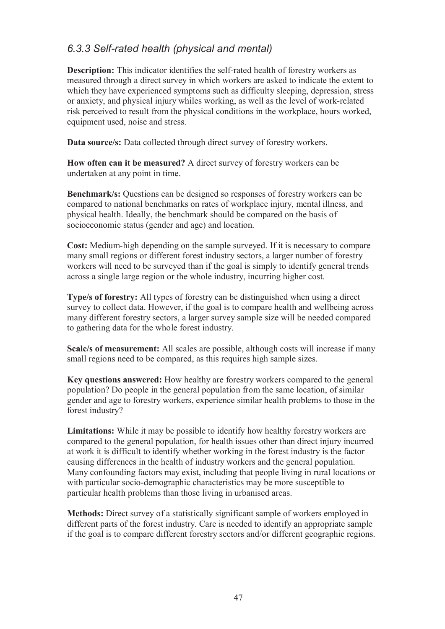## *6.3.3 Self-rated health (physical and mental)*

**Description:** This indicator identifies the self-rated health of forestry workers as measured through a direct survey in which workers are asked to indicate the extent to which they have experienced symptoms such as difficulty sleeping, depression, stress or anxiety, and physical injury whiles working, as well as the level of work-related risk perceived to result from the physical conditions in the workplace, hours worked, equipment used, noise and stress.

**Data source/s:** Data collected through direct survey of forestry workers.

**How often can it be measured?** A direct survey of forestry workers can be undertaken at any point in time.

**Benchmark/s:** Questions can be designed so responses of forestry workers can be compared to national benchmarks on rates of workplace injury, mental illness, and physical health. Ideally, the benchmark should be compared on the basis of socioeconomic status (gender and age) and location.

**Cost:** Medium-high depending on the sample surveyed. If it is necessary to compare many small regions or different forest industry sectors, a larger number of forestry workers will need to be surveyed than if the goal is simply to identify general trends across a single large region or the whole industry, incurring higher cost.

**Type/s of forestry:** All types of forestry can be distinguished when using a direct survey to collect data. However, if the goal is to compare health and wellbeing across many different forestry sectors, a larger survey sample size will be needed compared to gathering data for the whole forest industry.

**Scale/s of measurement:** All scales are possible, although costs will increase if many small regions need to be compared, as this requires high sample sizes.

**Key questions answered:** How healthy are forestry workers compared to the general population? Do people in the general population from the same location, of similar gender and age to forestry workers, experience similar health problems to those in the forest industry?

**Limitations:** While it may be possible to identify how healthy forestry workers are compared to the general population, for health issues other than direct injury incurred at work it is difficult to identify whether working in the forest industry is the factor causing differences in the health of industry workers and the general population. Many confounding factors may exist, including that people living in rural locations or with particular socio-demographic characteristics may be more susceptible to particular health problems than those living in urbanised areas.

**Methods:** Direct survey of a statistically significant sample of workers employed in different parts of the forest industry. Care is needed to identify an appropriate sample if the goal is to compare different forestry sectors and/or different geographic regions.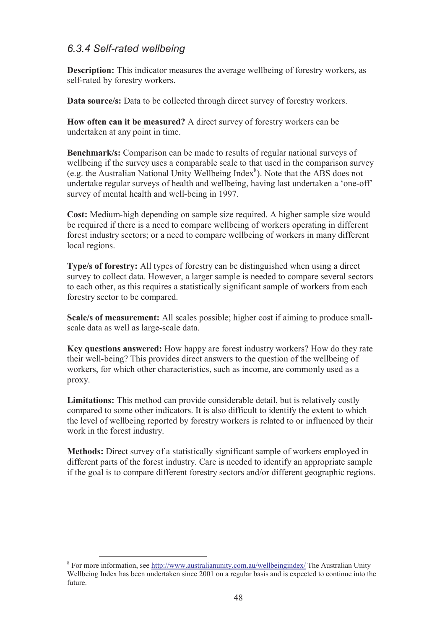## *6.3.4 Self-rated wellbeing*

**Description:** This indicator measures the average wellbeing of forestry workers, as self-rated by forestry workers.

**Data source/s:** Data to be collected through direct survey of forestry workers.

**How often can it be measured?** A direct survey of forestry workers can be undertaken at any point in time.

**Benchmark/s:** Comparison can be made to results of regular national surveys of wellbeing if the survey uses a comparable scale to that used in the comparison survey (e.g. the Australian National Unity Wellbeing Index<sup>8</sup>). Note that the ABS does not undertake regular surveys of health and wellbeing, having last undertaken a 'one-off' survey of mental health and well-being in 1997.

**Cost:** Medium-high depending on sample size required. A higher sample size would be required if there is a need to compare wellbeing of workers operating in different forest industry sectors; or a need to compare wellbeing of workers in many different local regions.

**Type/s of forestry:** All types of forestry can be distinguished when using a direct survey to collect data. However, a larger sample is needed to compare several sectors to each other, as this requires a statistically significant sample of workers from each forestry sector to be compared.

**Scale/s of measurement:** All scales possible; higher cost if aiming to produce smallscale data as well as large-scale data.

**Key questions answered:** How happy are forest industry workers? How do they rate their well-being? This provides direct answers to the question of the wellbeing of workers, for which other characteristics, such as income, are commonly used as a proxy.

**Limitations:** This method can provide considerable detail, but is relatively costly compared to some other indicators. It is also difficult to identify the extent to which the level of wellbeing reported by forestry workers is related to or influenced by their work in the forest industry.

**Methods:** Direct survey of a statistically significant sample of workers employed in different parts of the forest industry. Care is needed to identify an appropriate sample if the goal is to compare different forestry sectors and/or different geographic regions.

 $\overline{a}$ 

<sup>&</sup>lt;sup>8</sup> For more information, see http://www.australianunity.com.au/wellbeingindex/ The Australian Unity Wellbeing Index has been undertaken since 2001 on a regular basis and is expected to continue into the future.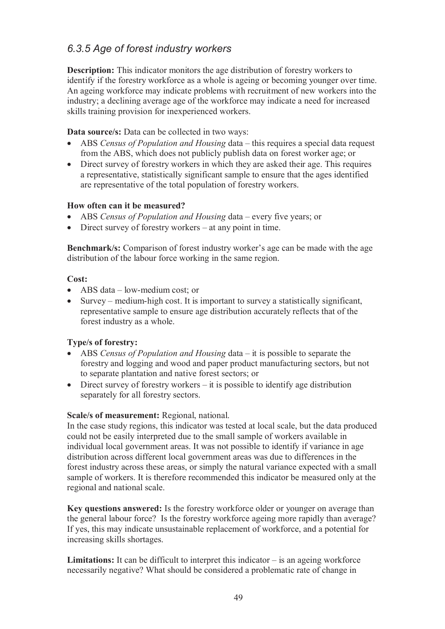## *6.3.5 Age of forest industry workers*

**Description:** This indicator monitors the age distribution of forestry workers to identify if the forestry workforce as a whole is ageing or becoming younger over time. An ageing workforce may indicate problems with recruitment of new workers into the industry; a declining average age of the workforce may indicate a need for increased skills training provision for inexperienced workers.

## **Data source/s:** Data can be collected in two ways:

- ABS *Census of Population and Housing* data this requires a special data request from the ABS, which does not publicly publish data on forest worker age; or
- Direct survey of forestry workers in which they are asked their age. This requires a representative, statistically significant sample to ensure that the ages identified are representative of the total population of forestry workers.

## **How often can it be measured?**

- ABS *Census of Population and Housing* data every five years; or
- Direct survey of forestry workers at any point in time.

**Benchmark/s:** Comparison of forest industry worker's age can be made with the age distribution of the labour force working in the same region.

## **Cost:**

- ABS data low-medium cost; or
- Survey medium-high cost. It is important to survey a statistically significant, representative sample to ensure age distribution accurately reflects that of the forest industry as a whole.

## **Type/s of forestry:**

- ABS *Census of Population and Housing* data it is possible to separate the forestry and logging and wood and paper product manufacturing sectors, but not to separate plantation and native forest sectors; or
- Direct survey of forestry workers it is possible to identify age distribution separately for all forestry sectors.

### **Scale/s of measurement:** Regional, national.

In the case study regions, this indicator was tested at local scale, but the data produced could not be easily interpreted due to the small sample of workers available in individual local government areas. It was not possible to identify if variance in age distribution across different local government areas was due to differences in the forest industry across these areas, or simply the natural variance expected with a small sample of workers. It is therefore recommended this indicator be measured only at the regional and national scale.

**Key questions answered:** Is the forestry workforce older or younger on average than the general labour force? Is the forestry workforce ageing more rapidly than average? If yes, this may indicate unsustainable replacement of workforce, and a potential for increasing skills shortages.

**Limitations:** It can be difficult to interpret this indicator  $-\text{ is an ageing workforce}$ necessarily negative? What should be considered a problematic rate of change in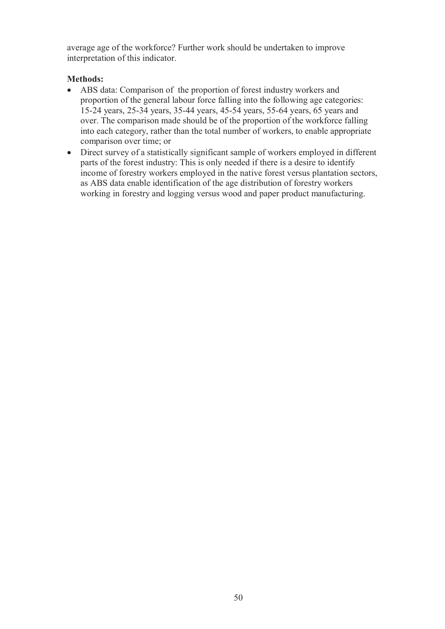average age of the workforce? Further work should be undertaken to improve interpretation of this indicator.

## **Methods:**

- ABS data: Comparison of the proportion of forest industry workers and proportion of the general labour force falling into the following age categories: 15-24 years, 25-34 years, 35-44 years, 45-54 years, 55-64 years, 65 years and over. The comparison made should be of the proportion of the workforce falling into each category, rather than the total number of workers, to enable appropriate comparison over time; or
- Direct survey of a statistically significant sample of workers employed in different parts of the forest industry: This is only needed if there is a desire to identify income of forestry workers employed in the native forest versus plantation sectors, as ABS data enable identification of the age distribution of forestry workers working in forestry and logging versus wood and paper product manufacturing.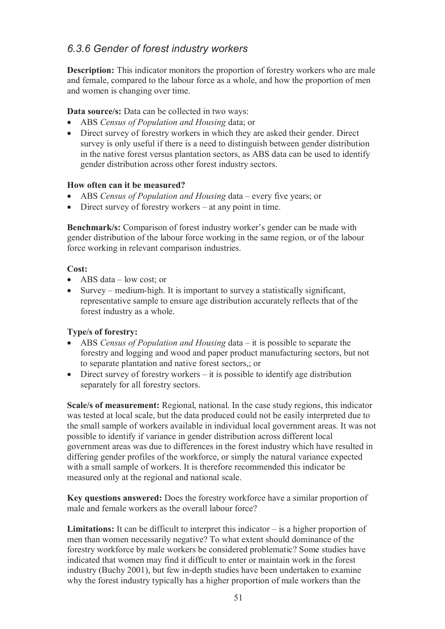## *6.3.6 Gender of forest industry workers*

**Description:** This indicator monitors the proportion of forestry workers who are male and female, compared to the labour force as a whole, and how the proportion of men and women is changing over time.

**Data source/s:** Data can be collected in two ways:

- ABS *Census of Population and Housing* data; or
- Direct survey of forestry workers in which they are asked their gender. Direct survey is only useful if there is a need to distinguish between gender distribution in the native forest versus plantation sectors, as ABS data can be used to identify gender distribution across other forest industry sectors.

## **How often can it be measured?**

- ABS *Census of Population and Housing* data every five years; or
- Direct survey of forestry workers at any point in time.

**Benchmark/s:** Comparison of forest industry worker's gender can be made with gender distribution of the labour force working in the same region, or of the labour force working in relevant comparison industries.

### **Cost:**

- $\bullet$  ABS data low cost; or
- Survey medium-high. It is important to survey a statistically significant, representative sample to ensure age distribution accurately reflects that of the forest industry as a whole.

## **Type/s of forestry:**

- ABS *Census of Population and Housing* data it is possible to separate the forestry and logging and wood and paper product manufacturing sectors, but not to separate plantation and native forest sectors,; or
- Direct survey of forestry workers it is possible to identify age distribution separately for all forestry sectors.

**Scale/s of measurement:** Regional, national. In the case study regions, this indicator was tested at local scale, but the data produced could not be easily interpreted due to the small sample of workers available in individual local government areas. It was not possible to identify if variance in gender distribution across different local government areas was due to differences in the forest industry which have resulted in differing gender profiles of the workforce, or simply the natural variance expected with a small sample of workers. It is therefore recommended this indicator be measured only at the regional and national scale.

**Key questions answered:** Does the forestry workforce have a similar proportion of male and female workers as the overall labour force?

Limitations: It can be difficult to interpret this indicator – is a higher proportion of men than women necessarily negative? To what extent should dominance of the forestry workforce by male workers be considered problematic? Some studies have indicated that women may find it difficult to enter or maintain work in the forest industry (Buchy 2001), but few in-depth studies have been undertaken to examine why the forest industry typically has a higher proportion of male workers than the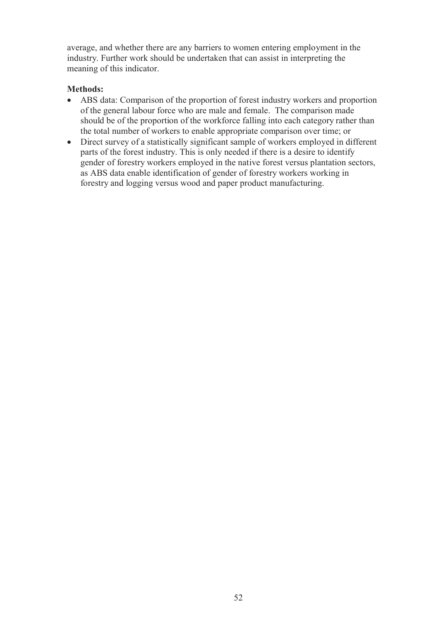average, and whether there are any barriers to women entering employment in the industry. Further work should be undertaken that can assist in interpreting the meaning of this indicator.

### **Methods:**

- ABS data: Comparison of the proportion of forest industry workers and proportion of the general labour force who are male and female. The comparison made should be of the proportion of the workforce falling into each category rather than the total number of workers to enable appropriate comparison over time; or
- Direct survey of a statistically significant sample of workers employed in different parts of the forest industry. This is only needed if there is a desire to identify gender of forestry workers employed in the native forest versus plantation sectors, as ABS data enable identification of gender of forestry workers working in forestry and logging versus wood and paper product manufacturing.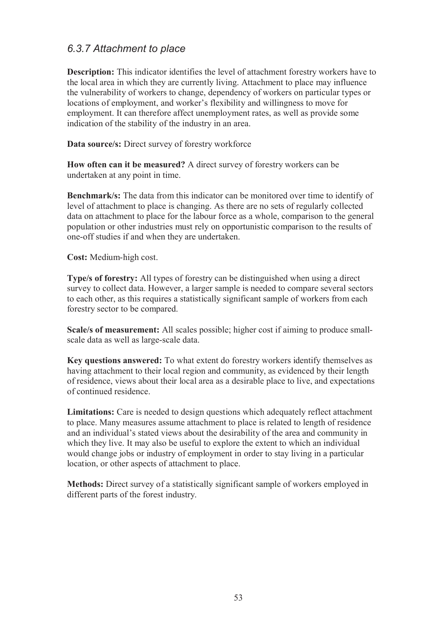## *6.3.7 Attachment to place*

**Description:** This indicator identifies the level of attachment forestry workers have to the local area in which they are currently living. Attachment to place may influence the vulnerability of workers to change, dependency of workers on particular types or locations of employment, and worker's flexibility and willingness to move for employment. It can therefore affect unemployment rates, as well as provide some indication of the stability of the industry in an area.

**Data source/s:** Direct survey of forestry workforce

**How often can it be measured?** A direct survey of forestry workers can be undertaken at any point in time.

**Benchmark/s:** The data from this indicator can be monitored over time to identify of level of attachment to place is changing. As there are no sets of regularly collected data on attachment to place for the labour force as a whole, comparison to the general population or other industries must rely on opportunistic comparison to the results of one-off studies if and when they are undertaken.

**Cost:** Medium-high cost.

**Type/s of forestry:** All types of forestry can be distinguished when using a direct survey to collect data. However, a larger sample is needed to compare several sectors to each other, as this requires a statistically significant sample of workers from each forestry sector to be compared.

**Scale/s of measurement:** All scales possible; higher cost if aiming to produce smallscale data as well as large-scale data.

**Key questions answered:** To what extent do forestry workers identify themselves as having attachment to their local region and community, as evidenced by their length of residence, views about their local area as a desirable place to live, and expectations of continued residence.

**Limitations:** Care is needed to design questions which adequately reflect attachment to place. Many measures assume attachment to place is related to length of residence and an individual's stated views about the desirability of the area and community in which they live. It may also be useful to explore the extent to which an individual would change jobs or industry of employment in order to stay living in a particular location, or other aspects of attachment to place.

**Methods:** Direct survey of a statistically significant sample of workers employed in different parts of the forest industry.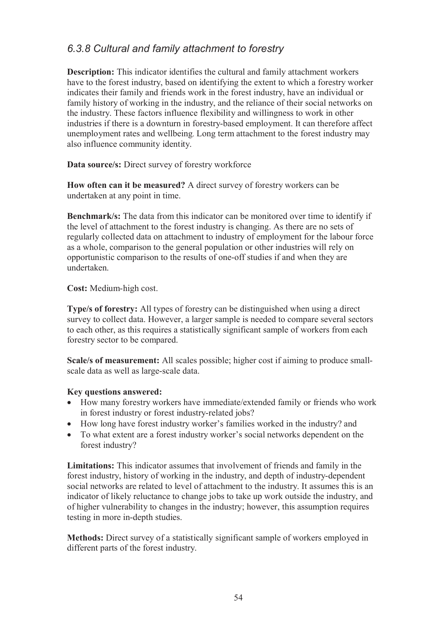## *6.3.8 Cultural and family attachment to forestry*

**Description:** This indicator identifies the cultural and family attachment workers have to the forest industry, based on identifying the extent to which a forestry worker indicates their family and friends work in the forest industry, have an individual or family history of working in the industry, and the reliance of their social networks on the industry. These factors influence flexibility and willingness to work in other industries if there is a downturn in forestry-based employment. It can therefore affect unemployment rates and wellbeing. Long term attachment to the forest industry may also influence community identity.

**Data source/s:** Direct survey of forestry workforce

**How often can it be measured?** A direct survey of forestry workers can be undertaken at any point in time.

**Benchmark/s:** The data from this indicator can be monitored over time to identify if the level of attachment to the forest industry is changing. As there are no sets of regularly collected data on attachment to industry of employment for the labour force as a whole, comparison to the general population or other industries will rely on opportunistic comparison to the results of one-off studies if and when they are undertaken.

**Cost:** Medium-high cost.

**Type/s of forestry:** All types of forestry can be distinguished when using a direct survey to collect data. However, a larger sample is needed to compare several sectors to each other, as this requires a statistically significant sample of workers from each forestry sector to be compared.

**Scale/s of measurement:** All scales possible; higher cost if aiming to produce smallscale data as well as large-scale data.

### **Key questions answered:**

- How many forestry workers have immediate/extended family or friends who work in forest industry or forest industry-related jobs?
- How long have forest industry worker's families worked in the industry? and
- To what extent are a forest industry worker's social networks dependent on the forest industry?

**Limitations:** This indicator assumes that involvement of friends and family in the forest industry, history of working in the industry, and depth of industry-dependent social networks are related to level of attachment to the industry. It assumes this is an indicator of likely reluctance to change jobs to take up work outside the industry, and of higher vulnerability to changes in the industry; however, this assumption requires testing in more in-depth studies.

**Methods:** Direct survey of a statistically significant sample of workers employed in different parts of the forest industry.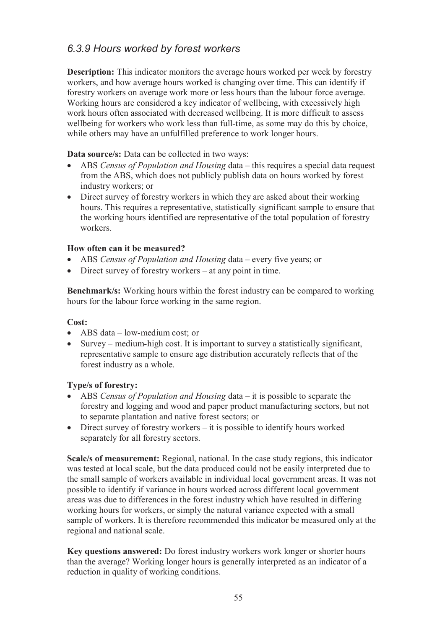## *6.3.9 Hours worked by forest workers*

**Description:** This indicator monitors the average hours worked per week by forestry workers, and how average hours worked is changing over time. This can identify if forestry workers on average work more or less hours than the labour force average. Working hours are considered a key indicator of wellbeing, with excessively high work hours often associated with decreased wellbeing. It is more difficult to assess wellbeing for workers who work less than full-time, as some may do this by choice, while others may have an unfulfilled preference to work longer hours.

**Data source/s:** Data can be collected in two ways:

- ABS *Census of Population and Housing* data this requires a special data request from the ABS, which does not publicly publish data on hours worked by forest industry workers; or
- Direct survey of forestry workers in which they are asked about their working hours. This requires a representative, statistically significant sample to ensure that the working hours identified are representative of the total population of forestry workers.

## **How often can it be measured?**

- ABS *Census of Population and Housing* data every five years; or
- Direct survey of forestry workers at any point in time.

**Benchmark/s:** Working hours within the forest industry can be compared to working hours for the labour force working in the same region.

### **Cost:**

- ABS data low-medium cost; or
- Survey medium-high cost. It is important to survey a statistically significant, representative sample to ensure age distribution accurately reflects that of the forest industry as a whole.

### **Type/s of forestry:**

- ABS *Census of Population and Housing* data it is possible to separate the forestry and logging and wood and paper product manufacturing sectors, but not to separate plantation and native forest sectors; or
- Direct survey of forestry workers it is possible to identify hours worked separately for all forestry sectors.

**Scale/s of measurement:** Regional, national. In the case study regions, this indicator was tested at local scale, but the data produced could not be easily interpreted due to the small sample of workers available in individual local government areas. It was not possible to identify if variance in hours worked across different local government areas was due to differences in the forest industry which have resulted in differing working hours for workers, or simply the natural variance expected with a small sample of workers. It is therefore recommended this indicator be measured only at the regional and national scale.

**Key questions answered:** Do forest industry workers work longer or shorter hours than the average? Working longer hours is generally interpreted as an indicator of a reduction in quality of working conditions.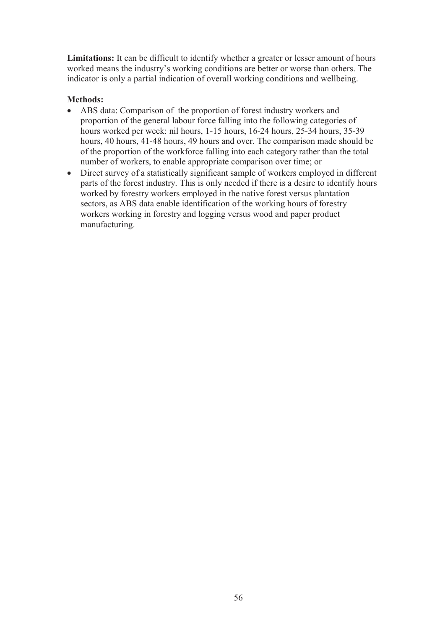**Limitations:** It can be difficult to identify whether a greater or lesser amount of hours worked means the industry's working conditions are better or worse than others. The indicator is only a partial indication of overall working conditions and wellbeing.

## **Methods:**

- ABS data: Comparison of the proportion of forest industry workers and proportion of the general labour force falling into the following categories of hours worked per week: nil hours, 1-15 hours, 16-24 hours, 25-34 hours, 35-39 hours, 40 hours, 41-48 hours, 49 hours and over. The comparison made should be of the proportion of the workforce falling into each category rather than the total number of workers, to enable appropriate comparison over time; or
- Direct survey of a statistically significant sample of workers employed in different parts of the forest industry. This is only needed if there is a desire to identify hours worked by forestry workers employed in the native forest versus plantation sectors, as ABS data enable identification of the working hours of forestry workers working in forestry and logging versus wood and paper product manufacturing.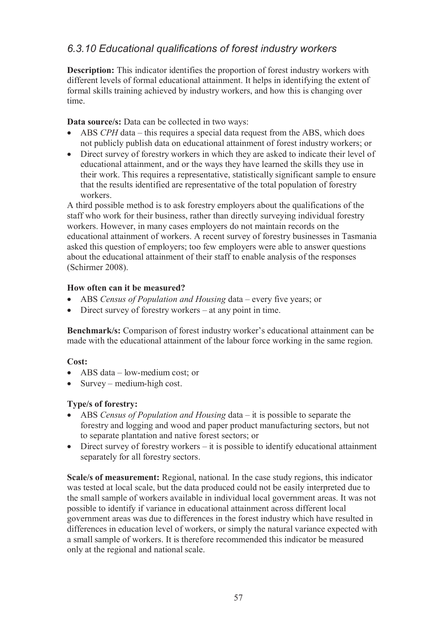## *6.3.10 Educational qualifications of forest industry workers*

**Description:** This indicator identifies the proportion of forest industry workers with different levels of formal educational attainment. It helps in identifying the extent of formal skills training achieved by industry workers, and how this is changing over time.

**Data source/s:** Data can be collected in two ways:

- ABS *CPH* data this requires a special data request from the ABS, which does not publicly publish data on educational attainment of forest industry workers; or
- Direct survey of forestry workers in which they are asked to indicate their level of educational attainment, and or the ways they have learned the skills they use in their work. This requires a representative, statistically significant sample to ensure that the results identified are representative of the total population of forestry workers.

A third possible method is to ask forestry employers about the qualifications of the staff who work for their business, rather than directly surveying individual forestry workers. However, in many cases employers do not maintain records on the educational attainment of workers. A recent survey of forestry businesses in Tasmania asked this question of employers; too few employers were able to answer questions about the educational attainment of their staff to enable analysis of the responses (Schirmer 2008).

### **How often can it be measured?**

- ABS *Census of Population and Housing* data every five years; or
- Direct survey of forestry workers at any point in time.

**Benchmark/s:** Comparison of forest industry worker's educational attainment can be made with the educational attainment of the labour force working in the same region.

### **Cost:**

- ABS data low-medium cost; or
- Survey medium-high cost.

## **Type/s of forestry:**

- ABS *Census of Population and Housing* data it is possible to separate the forestry and logging and wood and paper product manufacturing sectors, but not to separate plantation and native forest sectors; or
- Direct survey of forestry workers it is possible to identify educational attainment separately for all forestry sectors.

**Scale/s of measurement:** Regional, national. In the case study regions, this indicator was tested at local scale, but the data produced could not be easily interpreted due to the small sample of workers available in individual local government areas. It was not possible to identify if variance in educational attainment across different local government areas was due to differences in the forest industry which have resulted in differences in education level of workers, or simply the natural variance expected with a small sample of workers. It is therefore recommended this indicator be measured only at the regional and national scale.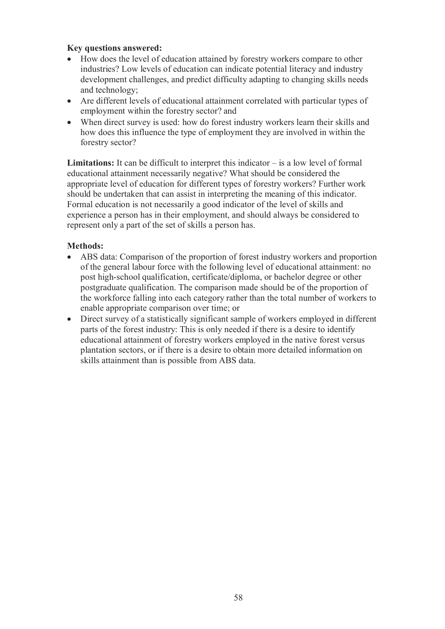#### **Key questions answered:**

- How does the level of education attained by forestry workers compare to other industries? Low levels of education can indicate potential literacy and industry development challenges, and predict difficulty adapting to changing skills needs and technology;
- Are different levels of educational attainment correlated with particular types of employment within the forestry sector? and
- When direct survey is used: how do forest industry workers learn their skills and how does this influence the type of employment they are involved in within the forestry sector?

**Limitations:** It can be difficult to interpret this indicator – is a low level of formal educational attainment necessarily negative? What should be considered the appropriate level of education for different types of forestry workers? Further work should be undertaken that can assist in interpreting the meaning of this indicator. Formal education is not necessarily a good indicator of the level of skills and experience a person has in their employment, and should always be considered to represent only a part of the set of skills a person has.

### **Methods:**

- ABS data: Comparison of the proportion of forest industry workers and proportion of the general labour force with the following level of educational attainment: no post high-school qualification, certificate/diploma, or bachelor degree or other postgraduate qualification. The comparison made should be of the proportion of the workforce falling into each category rather than the total number of workers to enable appropriate comparison over time; or
- Direct survey of a statistically significant sample of workers employed in different parts of the forest industry: This is only needed if there is a desire to identify educational attainment of forestry workers employed in the native forest versus plantation sectors, or if there is a desire to obtain more detailed information on skills attainment than is possible from ABS data.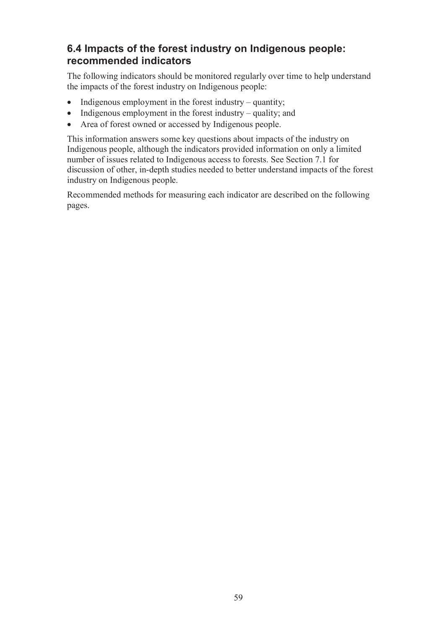# **6.4 Impacts of the forest industry on Indigenous people: recommended indicators**

The following indicators should be monitored regularly over time to help understand the impacts of the forest industry on Indigenous people:

- Indigenous employment in the forest industry quantity;
- $\bullet$  Indigenous employment in the forest industry quality; and
- Area of forest owned or accessed by Indigenous people.

This information answers some key questions about impacts of the industry on Indigenous people, although the indicators provided information on only a limited number of issues related to Indigenous access to forests. See Section 7.1 for discussion of other, in-depth studies needed to better understand impacts of the forest industry on Indigenous people.

Recommended methods for measuring each indicator are described on the following pages.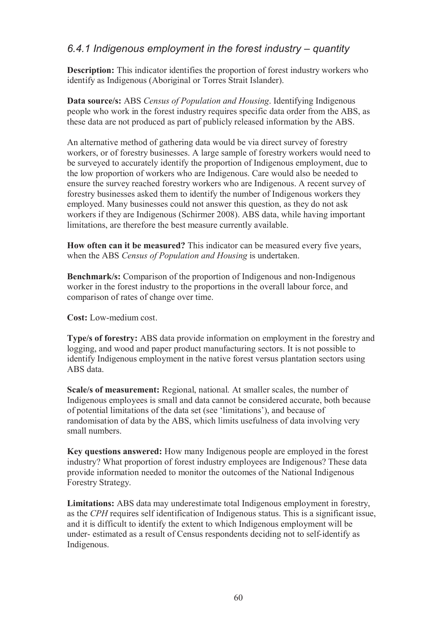## *6.4.1 Indigenous employment in the forest industry – quantity*

**Description:** This indicator identifies the proportion of forest industry workers who identify as Indigenous (Aboriginal or Torres Strait Islander).

**Data source/s:** ABS *Census of Population and Housing*. Identifying Indigenous people who work in the forest industry requires specific data order from the ABS, as these data are not produced as part of publicly released information by the ABS.

An alternative method of gathering data would be via direct survey of forestry workers, or of forestry businesses. A large sample of forestry workers would need to be surveyed to accurately identify the proportion of Indigenous employment, due to the low proportion of workers who are Indigenous. Care would also be needed to ensure the survey reached forestry workers who are Indigenous. A recent survey of forestry businesses asked them to identify the number of Indigenous workers they employed. Many businesses could not answer this question, as they do not ask workers if they are Indigenous (Schirmer 2008). ABS data, while having important limitations, are therefore the best measure currently available.

**How often can it be measured?** This indicator can be measured every five years, when the ABS *Census of Population and Housing* is undertaken.

**Benchmark/s:** Comparison of the proportion of Indigenous and non-Indigenous worker in the forest industry to the proportions in the overall labour force, and comparison of rates of change over time.

**Cost:** Low-medium cost.

**Type/s of forestry:** ABS data provide information on employment in the forestry and logging, and wood and paper product manufacturing sectors. It is not possible to identify Indigenous employment in the native forest versus plantation sectors using ABS data.

**Scale/s of measurement:** Regional, national. At smaller scales, the number of Indigenous employees is small and data cannot be considered accurate, both because of potential limitations of the data set (see 'limitations'), and because of randomisation of data by the ABS, which limits usefulness of data involving very small numbers.

**Key questions answered:** How many Indigenous people are employed in the forest industry? What proportion of forest industry employees are Indigenous? These data provide information needed to monitor the outcomes of the National Indigenous Forestry Strategy.

**Limitations:** ABS data may underestimate total Indigenous employment in forestry, as the *CPH* requires self identification of Indigenous status. This is a significant issue, and it is difficult to identify the extent to which Indigenous employment will be under- estimated as a result of Census respondents deciding not to self-identify as Indigenous.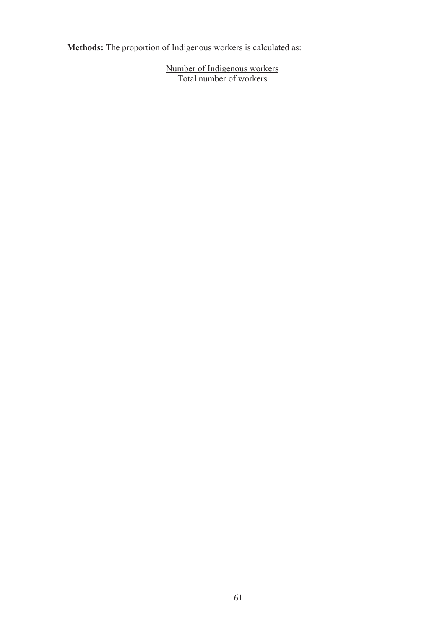**Methods:** The proportion of Indigenous workers is calculated as:

Number of Indigenous workers Total number of workers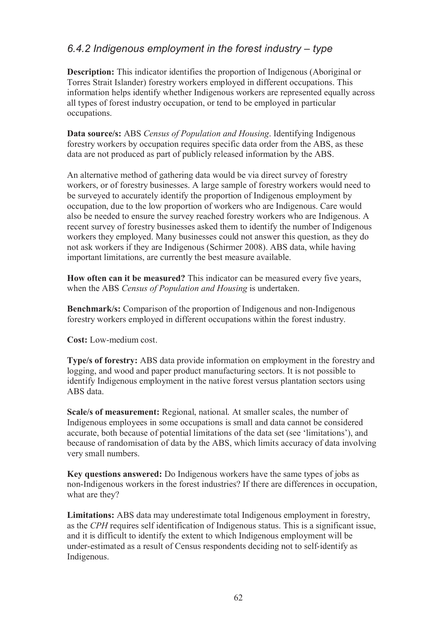## *6.4.2 Indigenous employment in the forest industry – type*

**Description:** This indicator identifies the proportion of Indigenous (Aboriginal or Torres Strait Islander) forestry workers employed in different occupations. This information helps identify whether Indigenous workers are represented equally across all types of forest industry occupation, or tend to be employed in particular occupations.

**Data source/s:** ABS *Census of Population and Housing*. Identifying Indigenous forestry workers by occupation requires specific data order from the ABS, as these data are not produced as part of publicly released information by the ABS.

An alternative method of gathering data would be via direct survey of forestry workers, or of forestry businesses. A large sample of forestry workers would need to be surveyed to accurately identify the proportion of Indigenous employment by occupation, due to the low proportion of workers who are Indigenous. Care would also be needed to ensure the survey reached forestry workers who are Indigenous. A recent survey of forestry businesses asked them to identify the number of Indigenous workers they employed. Many businesses could not answer this question, as they do not ask workers if they are Indigenous (Schirmer 2008). ABS data, while having important limitations, are currently the best measure available.

**How often can it be measured?** This indicator can be measured every five years, when the ABS *Census of Population and Housing* is undertaken.

**Benchmark/s:** Comparison of the proportion of Indigenous and non-Indigenous forestry workers employed in different occupations within the forest industry.

**Cost:** Low-medium cost.

**Type/s of forestry:** ABS data provide information on employment in the forestry and logging, and wood and paper product manufacturing sectors. It is not possible to identify Indigenous employment in the native forest versus plantation sectors using ABS data.

**Scale/s of measurement:** Regional, national. At smaller scales, the number of Indigenous employees in some occupations is small and data cannot be considered accurate, both because of potential limitations of the data set (see 'limitations'), and because of randomisation of data by the ABS, which limits accuracy of data involving very small numbers.

**Key questions answered:** Do Indigenous workers have the same types of jobs as non-Indigenous workers in the forest industries? If there are differences in occupation, what are they?

**Limitations:** ABS data may underestimate total Indigenous employment in forestry, as the *CPH* requires self identification of Indigenous status. This is a significant issue, and it is difficult to identify the extent to which Indigenous employment will be under-estimated as a result of Census respondents deciding not to self-identify as Indigenous.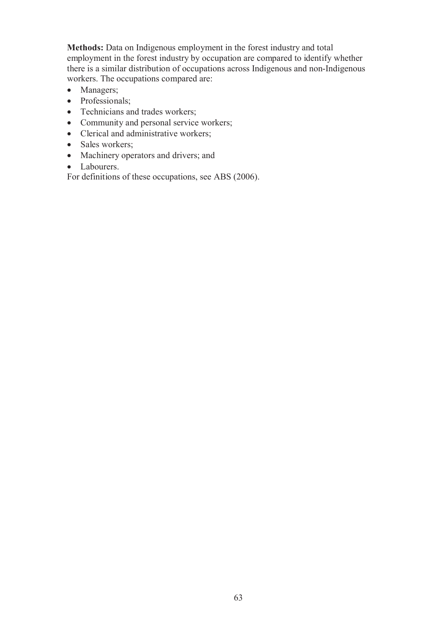**Methods:** Data on Indigenous employment in the forest industry and total employment in the forest industry by occupation are compared to identify whether there is a similar distribution of occupations across Indigenous and non-Indigenous workers. The occupations compared are:

- Managers;
- Professionals;
- Technicians and trades workers;
- Community and personal service workers;
- Clerical and administrative workers;
- Sales workers;
- Machinery operators and drivers; and
- Labourers.

For definitions of these occupations, see ABS (2006).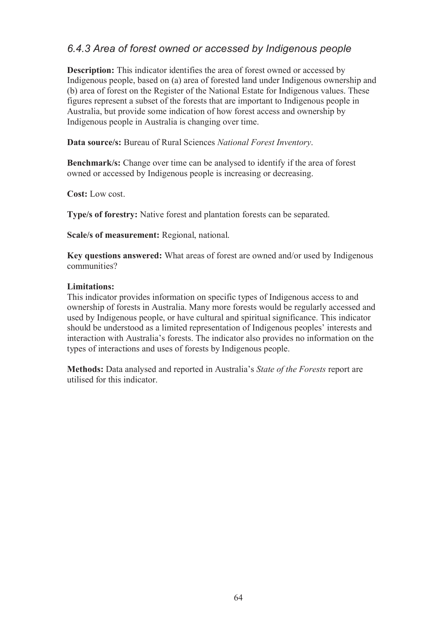## *6.4.3 Area of forest owned or accessed by Indigenous people*

**Description:** This indicator identifies the area of forest owned or accessed by Indigenous people, based on (a) area of forested land under Indigenous ownership and (b) area of forest on the Register of the National Estate for Indigenous values. These figures represent a subset of the forests that are important to Indigenous people in Australia, but provide some indication of how forest access and ownership by Indigenous people in Australia is changing over time.

**Data source/s:** Bureau of Rural Sciences *National Forest Inventory*.

**Benchmark/s:** Change over time can be analysed to identify if the area of forest owned or accessed by Indigenous people is increasing or decreasing.

**Cost:** Low cost.

**Type/s of forestry:** Native forest and plantation forests can be separated.

**Scale/s of measurement:** Regional, national.

**Key questions answered:** What areas of forest are owned and/or used by Indigenous communities?

#### **Limitations:**

This indicator provides information on specific types of Indigenous access to and ownership of forests in Australia. Many more forests would be regularly accessed and used by Indigenous people, or have cultural and spiritual significance. This indicator should be understood as a limited representation of Indigenous peoples' interests and interaction with Australia's forests. The indicator also provides no information on the types of interactions and uses of forests by Indigenous people.

**Methods:** Data analysed and reported in Australia's *State of the Forests* report are utilised for this indicator.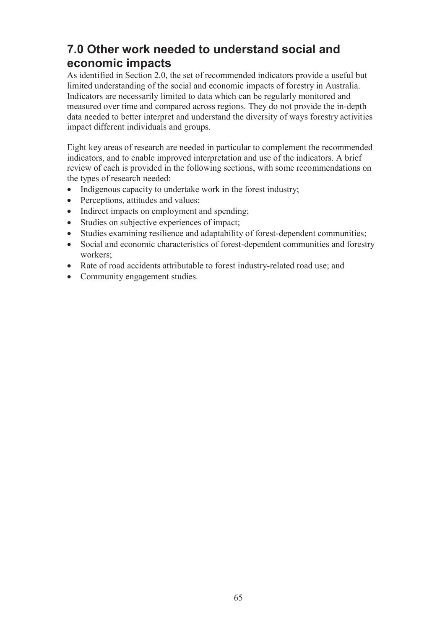# **7.0 Other work needed to understand social and economic impacts**

As identified in Section 2.0, the set of recommended indicators provide a useful but limited understanding of the social and economic impacts of forestry in Australia. Indicators are necessarily limited to data which can be regularly monitored and measured over time and compared across regions. They do not provide the in-depth data needed to better interpret and understand the diversity of ways forestry activities impact different individuals and groups.

Eight key areas of research are needed in particular to complement the recommended indicators, and to enable improved interpretation and use of the indicators. A brief review of each is provided in the following sections, with some recommendations on the types of research needed:

- Indigenous capacity to undertake work in the forest industry;
- Perceptions, attitudes and values;
- Indirect impacts on employment and spending;
- Studies on subjective experiences of impact;
- Studies examining resilience and adaptability of forest-dependent communities;
- Social and economic characteristics of forest-dependent communities and forestry workers;
- Rate of road accidents attributable to forest industry-related road use; and
- Community engagement studies.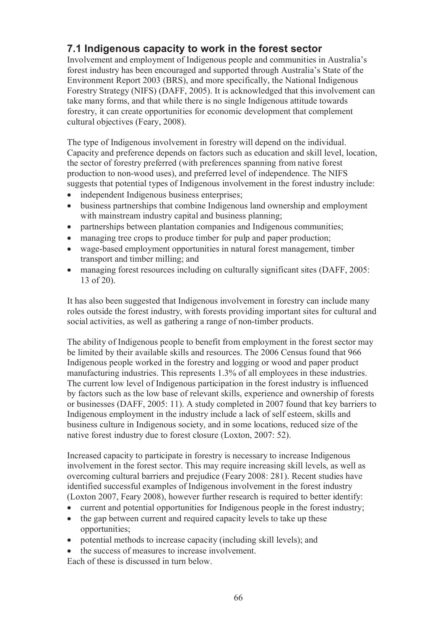# **7.1 Indigenous capacity to work in the forest sector**

Involvement and employment of Indigenous people and communities in Australia's forest industry has been encouraged and supported through Australia's State of the Environment Report 2003 (BRS), and more specifically, the National Indigenous Forestry Strategy (NIFS) (DAFF, 2005). It is acknowledged that this involvement can take many forms, and that while there is no single Indigenous attitude towards forestry, it can create opportunities for economic development that complement cultural objectives (Feary, 2008).

The type of Indigenous involvement in forestry will depend on the individual. Capacity and preference depends on factors such as education and skill level, location, the sector of forestry preferred (with preferences spanning from native forest production to non-wood uses), and preferred level of independence. The NIFS suggests that potential types of Indigenous involvement in the forest industry include:

- independent Indigenous business enterprises;
- business partnerships that combine Indigenous land ownership and employment with mainstream industry capital and business planning;
- partnerships between plantation companies and Indigenous communities;
- managing tree crops to produce timber for pulp and paper production;
- wage-based employment opportunities in natural forest management, timber transport and timber milling; and
- managing forest resources including on culturally significant sites (DAFF, 2005: 13 of 20).

It has also been suggested that Indigenous involvement in forestry can include many roles outside the forest industry, with forests providing important sites for cultural and social activities, as well as gathering a range of non-timber products.

The ability of Indigenous people to benefit from employment in the forest sector may be limited by their available skills and resources. The 2006 Census found that 966 Indigenous people worked in the forestry and logging or wood and paper product manufacturing industries. This represents 1.3% of all employees in these industries. The current low level of Indigenous participation in the forest industry is influenced by factors such as the low base of relevant skills, experience and ownership of forests or businesses (DAFF, 2005: 11). A study completed in 2007 found that key barriers to Indigenous employment in the industry include a lack of self esteem, skills and business culture in Indigenous society, and in some locations, reduced size of the native forest industry due to forest closure (Loxton, 2007: 52).

Increased capacity to participate in forestry is necessary to increase Indigenous involvement in the forest sector. This may require increasing skill levels, as well as overcoming cultural barriers and prejudice (Feary 2008: 281). Recent studies have identified successful examples of Indigenous involvement in the forest industry (Loxton 2007, Feary 2008), however further research is required to better identify:

- current and potential opportunities for Indigenous people in the forest industry;
- the gap between current and required capacity levels to take up these opportunities;
- potential methods to increase capacity (including skill levels); and
- the success of measures to increase involvement.

Each of these is discussed in turn below.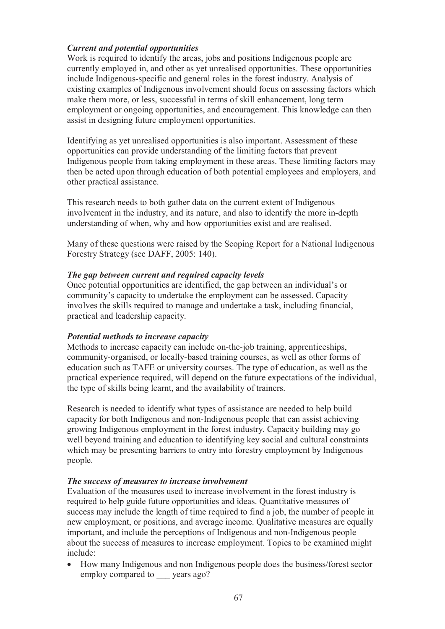#### *Current and potential opportunities*

Work is required to identify the areas, jobs and positions Indigenous people are currently employed in, and other as yet unrealised opportunities. These opportunities include Indigenous-specific and general roles in the forest industry. Analysis of existing examples of Indigenous involvement should focus on assessing factors which make them more, or less, successful in terms of skill enhancement, long term employment or ongoing opportunities, and encouragement. This knowledge can then assist in designing future employment opportunities.

Identifying as yet unrealised opportunities is also important. Assessment of these opportunities can provide understanding of the limiting factors that prevent Indigenous people from taking employment in these areas. These limiting factors may then be acted upon through education of both potential employees and employers, and other practical assistance.

This research needs to both gather data on the current extent of Indigenous involvement in the industry, and its nature, and also to identify the more in-depth understanding of when, why and how opportunities exist and are realised.

Many of these questions were raised by the Scoping Report for a National Indigenous Forestry Strategy (see DAFF, 2005: 140).

#### *The gap between current and required capacity levels*

Once potential opportunities are identified, the gap between an individual's or community's capacity to undertake the employment can be assessed. Capacity involves the skills required to manage and undertake a task, including financial, practical and leadership capacity.

#### *Potential methods to increase capacity*

Methods to increase capacity can include on-the-job training, apprenticeships, community-organised, or locally-based training courses, as well as other forms of education such as TAFE or university courses. The type of education, as well as the practical experience required, will depend on the future expectations of the individual, the type of skills being learnt, and the availability of trainers.

Research is needed to identify what types of assistance are needed to help build capacity for both Indigenous and non-Indigenous people that can assist achieving growing Indigenous employment in the forest industry. Capacity building may go well beyond training and education to identifying key social and cultural constraints which may be presenting barriers to entry into forestry employment by Indigenous people.

#### *The success of measures to increase involvement*

Evaluation of the measures used to increase involvement in the forest industry is required to help guide future opportunities and ideas. Quantitative measures of success may include the length of time required to find a job, the number of people in new employment, or positions, and average income. Qualitative measures are equally important, and include the perceptions of Indigenous and non-Indigenous people about the success of measures to increase employment. Topics to be examined might include:

 How many Indigenous and non Indigenous people does the business/forest sector employ compared to vears ago?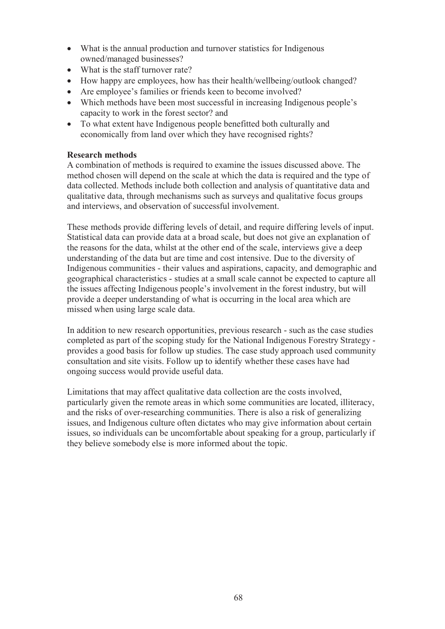- What is the annual production and turnover statistics for Indigenous owned/managed businesses?
- What is the staff turnover rate?
- How happy are employees, how has their health/wellbeing/outlook changed?
- Are employee's families or friends keen to become involved?
- Which methods have been most successful in increasing Indigenous people's capacity to work in the forest sector? and
- To what extent have Indigenous people benefitted both culturally and economically from land over which they have recognised rights?

### **Research methods**

A combination of methods is required to examine the issues discussed above. The method chosen will depend on the scale at which the data is required and the type of data collected. Methods include both collection and analysis of quantitative data and qualitative data, through mechanisms such as surveys and qualitative focus groups and interviews, and observation of successful involvement.

These methods provide differing levels of detail, and require differing levels of input. Statistical data can provide data at a broad scale, but does not give an explanation of the reasons for the data, whilst at the other end of the scale, interviews give a deep understanding of the data but are time and cost intensive. Due to the diversity of Indigenous communities - their values and aspirations, capacity, and demographic and geographical characteristics - studies at a small scale cannot be expected to capture all the issues affecting Indigenous people's involvement in the forest industry, but will provide a deeper understanding of what is occurring in the local area which are missed when using large scale data.

In addition to new research opportunities, previous research - such as the case studies completed as part of the scoping study for the National Indigenous Forestry Strategy provides a good basis for follow up studies. The case study approach used community consultation and site visits. Follow up to identify whether these cases have had ongoing success would provide useful data.

Limitations that may affect qualitative data collection are the costs involved, particularly given the remote areas in which some communities are located, illiteracy, and the risks of over-researching communities. There is also a risk of generalizing issues, and Indigenous culture often dictates who may give information about certain issues, so individuals can be uncomfortable about speaking for a group, particularly if they believe somebody else is more informed about the topic.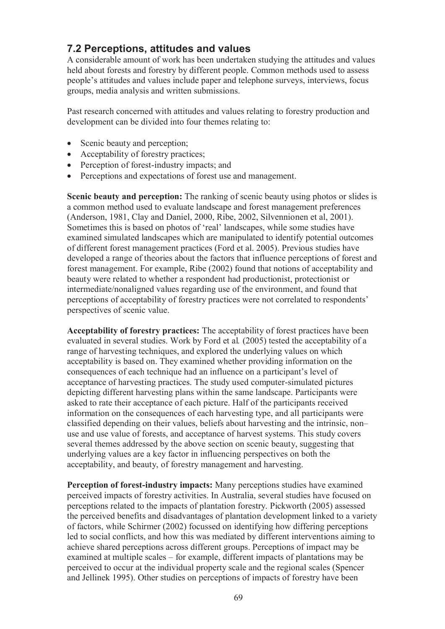### **7.2 Perceptions, attitudes and values**

A considerable amount of work has been undertaken studying the attitudes and values held about forests and forestry by different people. Common methods used to assess people's attitudes and values include paper and telephone surveys, interviews, focus groups, media analysis and written submissions.

Past research concerned with attitudes and values relating to forestry production and development can be divided into four themes relating to:

- Scenic beauty and perception;
- Acceptability of forestry practices;
- Perception of forest-industry impacts; and
- Perceptions and expectations of forest use and management.

**Scenic beauty and perception:** The ranking of scenic beauty using photos or slides is a common method used to evaluate landscape and forest management preferences (Anderson, 1981, Clay and Daniel, 2000, Ribe, 2002, Silvennionen et al, 2001). Sometimes this is based on photos of 'real' landscapes, while some studies have examined simulated landscapes which are manipulated to identify potential outcomes of different forest management practices (Ford et al. 2005). Previous studies have developed a range of theories about the factors that influence perceptions of forest and forest management. For example, Ribe (2002) found that notions of acceptability and beauty were related to whether a respondent had productionist, protectionist or intermediate/nonaligned values regarding use of the environment, and found that perceptions of acceptability of forestry practices were not correlated to respondents' perspectives of scenic value.

**Acceptability of forestry practices:** The acceptability of forest practices have been evaluated in several studies. Work by Ford et al*.* (2005) tested the acceptability of a range of harvesting techniques, and explored the underlying values on which acceptability is based on. They examined whether providing information on the consequences of each technique had an influence on a participant's level of acceptance of harvesting practices. The study used computer-simulated pictures depicting different harvesting plans within the same landscape. Participants were asked to rate their acceptance of each picture. Half of the participants received information on the consequences of each harvesting type, and all participants were classified depending on their values, beliefs about harvesting and the intrinsic, non– use and use value of forests, and acceptance of harvest systems. This study covers several themes addressed by the above section on scenic beauty, suggesting that underlying values are a key factor in influencing perspectives on both the acceptability, and beauty, of forestry management and harvesting.

**Perception of forest-industry impacts:** Many perceptions studies have examined perceived impacts of forestry activities. In Australia, several studies have focused on perceptions related to the impacts of plantation forestry. Pickworth (2005) assessed the perceived benefits and disadvantages of plantation development linked to a variety of factors, while Schirmer (2002) focussed on identifying how differing perceptions led to social conflicts, and how this was mediated by different interventions aiming to achieve shared perceptions across different groups. Perceptions of impact may be examined at multiple scales – for example, different impacts of plantations may be perceived to occur at the individual property scale and the regional scales (Spencer and Jellinek 1995). Other studies on perceptions of impacts of forestry have been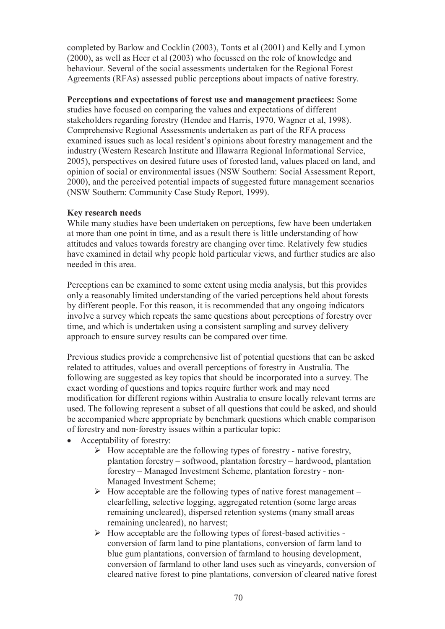completed by Barlow and Cocklin (2003), Tonts et al (2001) and Kelly and Lymon (2000), as well as Heer et al (2003) who focussed on the role of knowledge and behaviour. Several of the social assessments undertaken for the Regional Forest Agreements (RFAs) assessed public perceptions about impacts of native forestry.

**Perceptions and expectations of forest use and management practices:** Some studies have focused on comparing the values and expectations of different stakeholders regarding forestry (Hendee and Harris, 1970, Wagner et al, 1998). Comprehensive Regional Assessments undertaken as part of the RFA process examined issues such as local resident's opinions about forestry management and the industry (Western Research Institute and Illawarra Regional Informational Service, 2005), perspectives on desired future uses of forested land, values placed on land, and opinion of social or environmental issues (NSW Southern: Social Assessment Report, 2000), and the perceived potential impacts of suggested future management scenarios (NSW Southern: Community Case Study Report, 1999).

#### **Key research needs**

While many studies have been undertaken on perceptions, few have been undertaken at more than one point in time, and as a result there is little understanding of how attitudes and values towards forestry are changing over time. Relatively few studies have examined in detail why people hold particular views, and further studies are also needed in this area.

Perceptions can be examined to some extent using media analysis, but this provides only a reasonably limited understanding of the varied perceptions held about forests by different people. For this reason, it is recommended that any ongoing indicators involve a survey which repeats the same questions about perceptions of forestry over time, and which is undertaken using a consistent sampling and survey delivery approach to ensure survey results can be compared over time.

Previous studies provide a comprehensive list of potential questions that can be asked related to attitudes, values and overall perceptions of forestry in Australia. The following are suggested as key topics that should be incorporated into a survey. The exact wording of questions and topics require further work and may need modification for different regions within Australia to ensure locally relevant terms are used. The following represent a subset of all questions that could be asked, and should be accompanied where appropriate by benchmark questions which enable comparison of forestry and non-forestry issues within a particular topic:

- Acceptability of forestry:
	- $\triangleright$  How acceptable are the following types of forestry native forestry, plantation forestry – softwood, plantation forestry – hardwood, plantation forestry – Managed Investment Scheme, plantation forestry - non-Managed Investment Scheme;
	- $\triangleright$  How acceptable are the following types of native forest management clearfelling, selective logging, aggregated retention (some large areas remaining uncleared), dispersed retention systems (many small areas remaining uncleared), no harvest;
	- $\triangleright$  How acceptable are the following types of forest-based activities conversion of farm land to pine plantations, conversion of farm land to blue gum plantations, conversion of farmland to housing development, conversion of farmland to other land uses such as vineyards, conversion of cleared native forest to pine plantations, conversion of cleared native forest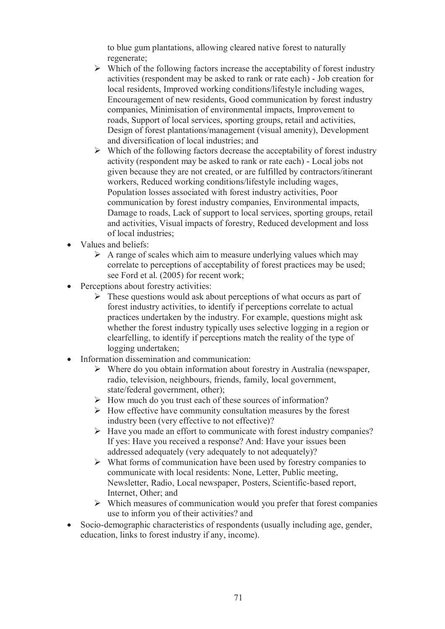to blue gum plantations, allowing cleared native forest to naturally regenerate;

- $\triangleright$  Which of the following factors increase the acceptability of forest industry activities (respondent may be asked to rank or rate each) - Job creation for local residents, Improved working conditions/lifestyle including wages, Encouragement of new residents, Good communication by forest industry companies, Minimisation of environmental impacts, Improvement to roads, Support of local services, sporting groups, retail and activities, Design of forest plantations/management (visual amenity), Development and diversification of local industries; and
- $\triangleright$  Which of the following factors decrease the acceptability of forest industry activity (respondent may be asked to rank or rate each) - Local jobs not given because they are not created, or are fulfilled by contractors/itinerant workers, Reduced working conditions/lifestyle including wages, Population losses associated with forest industry activities, Poor communication by forest industry companies, Environmental impacts, Damage to roads, Lack of support to local services, sporting groups, retail and activities, Visual impacts of forestry, Reduced development and loss of local industries;
- Values and beliefs:
	- $\triangleright$  A range of scales which aim to measure underlying values which may correlate to perceptions of acceptability of forest practices may be used; see Ford et al. (2005) for recent work;
- Perceptions about forestry activities:
	- $\triangleright$  These questions would ask about perceptions of what occurs as part of forest industry activities, to identify if perceptions correlate to actual practices undertaken by the industry. For example, questions might ask whether the forest industry typically uses selective logging in a region or clearfelling, to identify if perceptions match the reality of the type of logging undertaken;
- Information dissemination and communication:
	- $\triangleright$  Where do you obtain information about forestry in Australia (newspaper, radio, television, neighbours, friends, family, local government, state/federal government, other);
	- $\triangleright$  How much do you trust each of these sources of information?
	- $\triangleright$  How effective have community consultation measures by the forest industry been (very effective to not effective)?
	- $\triangleright$  Have you made an effort to communicate with forest industry companies? If yes: Have you received a response? And: Have your issues been addressed adequately (very adequately to not adequately)?
	- $\triangleright$  What forms of communication have been used by forestry companies to communicate with local residents: None, Letter, Public meeting, Newsletter, Radio, Local newspaper, Posters, Scientific-based report, Internet, Other; and
	- $\triangleright$  Which measures of communication would you prefer that forest companies use to inform you of their activities? and
- Socio-demographic characteristics of respondents (usually including age, gender, education, links to forest industry if any, income).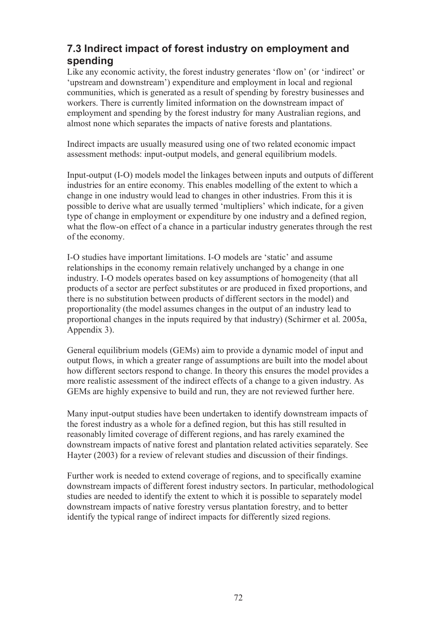## **7.3 Indirect impact of forest industry on employment and spending**

Like any economic activity, the forest industry generates 'flow on' (or 'indirect' or 'upstream and downstream') expenditure and employment in local and regional communities, which is generated as a result of spending by forestry businesses and workers. There is currently limited information on the downstream impact of employment and spending by the forest industry for many Australian regions, and almost none which separates the impacts of native forests and plantations.

Indirect impacts are usually measured using one of two related economic impact assessment methods: input-output models, and general equilibrium models.

Input-output (I-O) models model the linkages between inputs and outputs of different industries for an entire economy. This enables modelling of the extent to which a change in one industry would lead to changes in other industries. From this it is possible to derive what are usually termed 'multipliers' which indicate, for a given type of change in employment or expenditure by one industry and a defined region, what the flow-on effect of a chance in a particular industry generates through the rest of the economy.

I-O studies have important limitations. I-O models are 'static' and assume relationships in the economy remain relatively unchanged by a change in one industry. I-O models operates based on key assumptions of homogeneity (that all products of a sector are perfect substitutes or are produced in fixed proportions, and there is no substitution between products of different sectors in the model) and proportionality (the model assumes changes in the output of an industry lead to proportional changes in the inputs required by that industry) (Schirmer et al. 2005a, Appendix 3).

General equilibrium models (GEMs) aim to provide a dynamic model of input and output flows, in which a greater range of assumptions are built into the model about how different sectors respond to change. In theory this ensures the model provides a more realistic assessment of the indirect effects of a change to a given industry. As GEMs are highly expensive to build and run, they are not reviewed further here.

Many input-output studies have been undertaken to identify downstream impacts of the forest industry as a whole for a defined region, but this has still resulted in reasonably limited coverage of different regions, and has rarely examined the downstream impacts of native forest and plantation related activities separately. See Hayter (2003) for a review of relevant studies and discussion of their findings.

Further work is needed to extend coverage of regions, and to specifically examine downstream impacts of different forest industry sectors. In particular, methodological studies are needed to identify the extent to which it is possible to separately model downstream impacts of native forestry versus plantation forestry, and to better identify the typical range of indirect impacts for differently sized regions.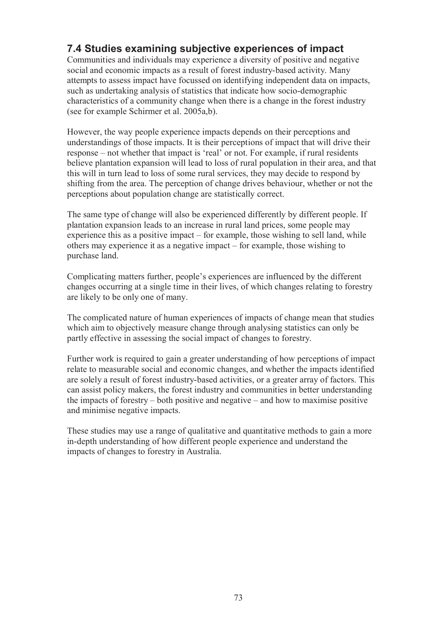## **7.4 Studies examining subjective experiences of impact**

Communities and individuals may experience a diversity of positive and negative social and economic impacts as a result of forest industry-based activity. Many attempts to assess impact have focussed on identifying independent data on impacts, such as undertaking analysis of statistics that indicate how socio-demographic characteristics of a community change when there is a change in the forest industry (see for example Schirmer et al. 2005a,b).

However, the way people experience impacts depends on their perceptions and understandings of those impacts. It is their perceptions of impact that will drive their response – not whether that impact is 'real' or not. For example, if rural residents believe plantation expansion will lead to loss of rural population in their area, and that this will in turn lead to loss of some rural services, they may decide to respond by shifting from the area. The perception of change drives behaviour, whether or not the perceptions about population change are statistically correct.

The same type of change will also be experienced differently by different people. If plantation expansion leads to an increase in rural land prices, some people may experience this as a positive impact – for example, those wishing to sell land, while others may experience it as a negative impact – for example, those wishing to purchase land.

Complicating matters further, people's experiences are influenced by the different changes occurring at a single time in their lives, of which changes relating to forestry are likely to be only one of many.

The complicated nature of human experiences of impacts of change mean that studies which aim to objectively measure change through analysing statistics can only be partly effective in assessing the social impact of changes to forestry.

Further work is required to gain a greater understanding of how perceptions of impact relate to measurable social and economic changes, and whether the impacts identified are solely a result of forest industry-based activities, or a greater array of factors. This can assist policy makers, the forest industry and communities in better understanding the impacts of forestry – both positive and negative – and how to maximise positive and minimise negative impacts.

These studies may use a range of qualitative and quantitative methods to gain a more in-depth understanding of how different people experience and understand the impacts of changes to forestry in Australia.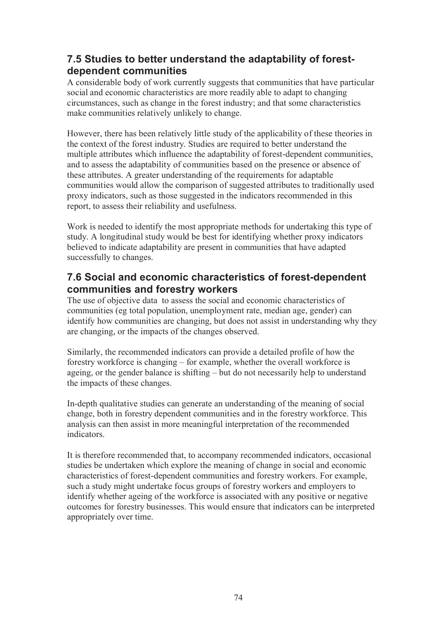### **7.5 Studies to better understand the adaptability of forestdependent communities**

A considerable body of work currently suggests that communities that have particular social and economic characteristics are more readily able to adapt to changing circumstances, such as change in the forest industry; and that some characteristics make communities relatively unlikely to change.

However, there has been relatively little study of the applicability of these theories in the context of the forest industry. Studies are required to better understand the multiple attributes which influence the adaptability of forest-dependent communities, and to assess the adaptability of communities based on the presence or absence of these attributes. A greater understanding of the requirements for adaptable communities would allow the comparison of suggested attributes to traditionally used proxy indicators, such as those suggested in the indicators recommended in this report, to assess their reliability and usefulness.

Work is needed to identify the most appropriate methods for undertaking this type of study. A longitudinal study would be best for identifying whether proxy indicators believed to indicate adaptability are present in communities that have adapted successfully to changes.

### **7.6 Social and economic characteristics of forest-dependent communities and forestry workers**

The use of objective data to assess the social and economic characteristics of communities (eg total population, unemployment rate, median age, gender) can identify how communities are changing, but does not assist in understanding why they are changing, or the impacts of the changes observed.

Similarly, the recommended indicators can provide a detailed profile of how the forestry workforce is changing – for example, whether the overall workforce is ageing, or the gender balance is shifting – but do not necessarily help to understand the impacts of these changes.

In-depth qualitative studies can generate an understanding of the meaning of social change, both in forestry dependent communities and in the forestry workforce. This analysis can then assist in more meaningful interpretation of the recommended indicators.

It is therefore recommended that, to accompany recommended indicators, occasional studies be undertaken which explore the meaning of change in social and economic characteristics of forest-dependent communities and forestry workers. For example, such a study might undertake focus groups of forestry workers and employers to identify whether ageing of the workforce is associated with any positive or negative outcomes for forestry businesses. This would ensure that indicators can be interpreted appropriately over time.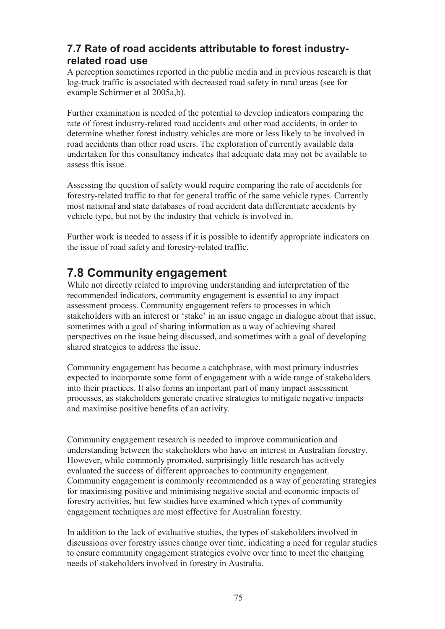## **7.7 Rate of road accidents attributable to forest industryrelated road use**

A perception sometimes reported in the public media and in previous research is that log-truck traffic is associated with decreased road safety in rural areas (see for example Schirmer et al 2005a,b).

Further examination is needed of the potential to develop indicators comparing the rate of forest industry-related road accidents and other road accidents, in order to determine whether forest industry vehicles are more or less likely to be involved in road accidents than other road users. The exploration of currently available data undertaken for this consultancy indicates that adequate data may not be available to assess this issue.

Assessing the question of safety would require comparing the rate of accidents for forestry-related traffic to that for general traffic of the same vehicle types. Currently most national and state databases of road accident data differentiate accidents by vehicle type, but not by the industry that vehicle is involved in.

Further work is needed to assess if it is possible to identify appropriate indicators on the issue of road safety and forestry-related traffic.

# **7.8 Community engagement**

While not directly related to improving understanding and interpretation of the recommended indicators, community engagement is essential to any impact assessment process. Community engagement refers to processes in which stakeholders with an interest or 'stake' in an issue engage in dialogue about that issue, sometimes with a goal of sharing information as a way of achieving shared perspectives on the issue being discussed, and sometimes with a goal of developing shared strategies to address the issue.

Community engagement has become a catchphrase, with most primary industries expected to incorporate some form of engagement with a wide range of stakeholders into their practices. It also forms an important part of many impact assessment processes, as stakeholders generate creative strategies to mitigate negative impacts and maximise positive benefits of an activity.

Community engagement research is needed to improve communication and understanding between the stakeholders who have an interest in Australian forestry. However, while commonly promoted, surprisingly little research has actively evaluated the success of different approaches to community engagement. Community engagement is commonly recommended as a way of generating strategies for maximising positive and minimising negative social and economic impacts of forestry activities, but few studies have examined which types of community engagement techniques are most effective for Australian forestry.

In addition to the lack of evaluative studies, the types of stakeholders involved in discussions over forestry issues change over time, indicating a need for regular studies to ensure community engagement strategies evolve over time to meet the changing needs of stakeholders involved in forestry in Australia.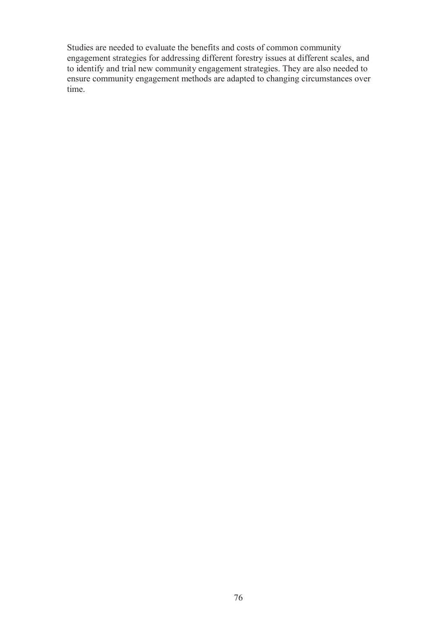Studies are needed to evaluate the benefits and costs of common community engagement strategies for addressing different forestry issues at different scales, and to identify and trial new community engagement strategies. They are also needed to ensure community engagement methods are adapted to changing circumstances over time.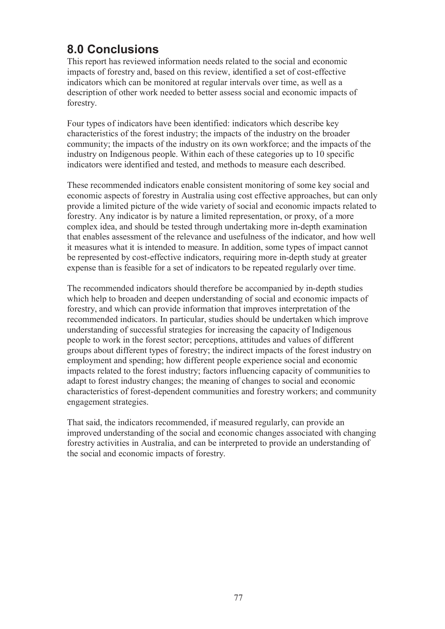# **8.0 Conclusions**

This report has reviewed information needs related to the social and economic impacts of forestry and, based on this review, identified a set of cost-effective indicators which can be monitored at regular intervals over time, as well as a description of other work needed to better assess social and economic impacts of forestry.

Four types of indicators have been identified: indicators which describe key characteristics of the forest industry; the impacts of the industry on the broader community; the impacts of the industry on its own workforce; and the impacts of the industry on Indigenous people. Within each of these categories up to 10 specific indicators were identified and tested, and methods to measure each described.

These recommended indicators enable consistent monitoring of some key social and economic aspects of forestry in Australia using cost effective approaches, but can only provide a limited picture of the wide variety of social and economic impacts related to forestry. Any indicator is by nature a limited representation, or proxy, of a more complex idea, and should be tested through undertaking more in-depth examination that enables assessment of the relevance and usefulness of the indicator, and how well it measures what it is intended to measure. In addition, some types of impact cannot be represented by cost-effective indicators, requiring more in-depth study at greater expense than is feasible for a set of indicators to be repeated regularly over time.

The recommended indicators should therefore be accompanied by in-depth studies which help to broaden and deepen understanding of social and economic impacts of forestry, and which can provide information that improves interpretation of the recommended indicators. In particular, studies should be undertaken which improve understanding of successful strategies for increasing the capacity of Indigenous people to work in the forest sector; perceptions, attitudes and values of different groups about different types of forestry; the indirect impacts of the forest industry on employment and spending; how different people experience social and economic impacts related to the forest industry; factors influencing capacity of communities to adapt to forest industry changes; the meaning of changes to social and economic characteristics of forest-dependent communities and forestry workers; and community engagement strategies.

That said, the indicators recommended, if measured regularly, can provide an improved understanding of the social and economic changes associated with changing forestry activities in Australia, and can be interpreted to provide an understanding of the social and economic impacts of forestry.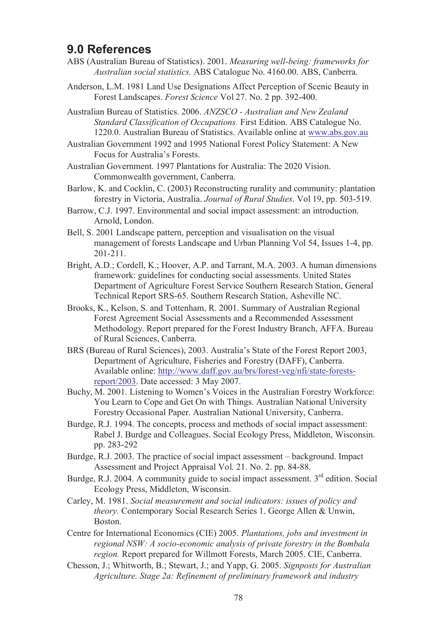## **9.0 References**

- ABS (Australian Bureau of Statistics). 2001. *Measuring well-being: frameworks for Australian social statistics.* ABS Catalogue No. 4160.00. ABS, Canberra.
- Anderson, L.M. 1981 Land Use Designations Affect Perception of Scenic Beauty in Forest Landscapes. *Forest Science* Vol 27. No. 2 pp. 392-400.

Australian Bureau of Statistics. 2006. *ANZSCO - Australian and New Zealand Standard Classification of Occupations.* First Edition. ABS Catalogue No. 1220.0. Australian Bureau of Statistics. Available online at www.abs.gov.au

Australian Government 1992 and 1995 National Forest Policy Statement: A New Focus for Australia's Forests.

Australian Government. 1997 Plantations for Australia: The 2020 Vision. Commonwealth government, Canberra.

- Barlow, K. and Cocklin, C. (2003) Reconstructing rurality and community: plantation forestry in Victoria, Australia. *Journal of Rural Studies*. Vol 19, pp. 503-519.
- Barrow, C.J. 1997. Environmental and social impact assessment: an introduction. Arnold, London.
- Bell, S. 2001 Landscape pattern, perception and visualisation on the visual management of forests Landscape and Urban Planning Vol 54, Issues 1-4, pp. 201-211.
- Bright, A.D.; Cordell, K.; Hoover, A.P. and Tarrant, M.A. 2003. A human dimensions framework: guidelines for conducting social assessments. United States Department of Agriculture Forest Service Southern Research Station, General Technical Report SRS-65. Southern Research Station, Asheville NC.
- Brooks, K., Kelson, S. and Tottenham, R. 2001. Summary of Australian Regional Forest Agreement Social Assessments and a Recommended Assessment Methodology. Report prepared for the Forest Industry Branch, AFFA. Bureau of Rural Sciences, Canberra.
- BRS (Bureau of Rural Sciences), 2003. Australia's State of the Forest Report 2003, Department of Agriculture, Fisheries and Forestry (DAFF), Canberra. Available online: http://www.daff.gov.au/brs/forest-veg/nfi/state-forestsreport/2003. Date accessed: 3 May 2007.
- Buchy, M. 2001. Listening to Women's Voices in the Australian Forestry Workforce: You Learn to Cope and Get On with Things. Australian National University Forestry Occasional Paper. Australian National University, Canberra.
- Burdge, R.J. 1994. The concepts, process and methods of social impact assessment: Rabel J. Burdge and Colleagues. Social Ecology Press, Middleton, Wisconsin. pp. 283-292
- Burdge, R.J. 2003. The practice of social impact assessment background. Impact Assessment and Project Appraisal Vol. 21. No. 2. pp. 84-88.
- Burdge, R.J. 2004. A community guide to social impact assessment. 3rd edition. Social Ecology Press, Middleton, Wisconsin.
- Carley, M. 1981. *Social measurement and social indicators: issues of policy and theory.* Contemporary Social Research Series 1. George Allen & Unwin, **Boston**
- Centre for International Economics (CIE) 2005. *Plantations, jobs and investment in regional NSW: A socio-economic analysis of private forestry in the Bombala region.* Report prepared for Willmott Forests, March 2005. CIE, Canberra.
- Chesson, J.; Whitworth, B.; Stewart, J.; and Yapp, G. 2005. *Signposts for Australian Agriculture. Stage 2a: Refinement of preliminary framework and industry*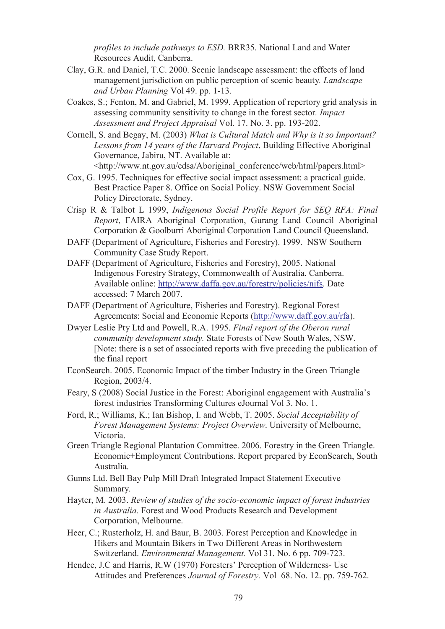*profiles to include pathways to ESD.* BRR35. National Land and Water Resources Audit, Canberra.

- Clay, G.R. and Daniel, T.C. 2000. Scenic landscape assessment: the effects of land management jurisdiction on public perception of scenic beauty*. Landscape and Urban Planning* Vol 49. pp. 1-13.
- Coakes, S.; Fenton, M. and Gabriel, M. 1999. Application of repertory grid analysis in assessing community sensitivity to change in the forest sector*. Impact Assessment and Project Appraisal* Vol. 17. No. 3. pp. 193-202.
- Cornell, S. and Begay, M. (2003) *What is Cultural Match and Why is it so Important? Lessons from 14 years of the Harvard Project*, Building Effective Aboriginal Governance, Jabiru, NT. Available at:

<http://www.nt.gov.au/cdsa/Aboriginal\_conference/web/html/papers.html>

- Cox, G. 1995. Techniques for effective social impact assessment: a practical guide. Best Practice Paper 8. Office on Social Policy. NSW Government Social Policy Directorate, Sydney.
- Crisp R & Talbot L 1999, *Indigenous Social Profile Report for SEQ RFA: Final Report*, FAIRA Aboriginal Corporation, Gurang Land Council Aboriginal Corporation & Goolburri Aboriginal Corporation Land Council Queensland.
- DAFF (Department of Agriculture, Fisheries and Forestry). 1999. NSW Southern Community Case Study Report.
- DAFF (Department of Agriculture, Fisheries and Forestry), 2005. National Indigenous Forestry Strategy, Commonwealth of Australia, Canberra. Available online: http://www.daffa.gov.au/forestry/policies/nifs. Date accessed: 7 March 2007.
- DAFF (Department of Agriculture, Fisheries and Forestry). Regional Forest Agreements: Social and Economic Reports (http://www.daff.gov.au/rfa).
- Dwyer Leslie Pty Ltd and Powell, R.A. 1995. *Final report of the Oberon rural community development study.* State Forests of New South Wales, NSW. [Note: there is a set of associated reports with five preceding the publication of the final report
- EconSearch. 2005. Economic Impact of the timber Industry in the Green Triangle Region, 2003/4.
- Feary, S (2008) Social Justice in the Forest: Aboriginal engagement with Australia's forest industries Transforming Cultures eJournal Vol 3. No. 1.
- Ford, R.; Williams, K.; Ian Bishop, I. and Webb, T. 2005. *Social Acceptability of Forest Management Systems: Project Overview*. University of Melbourne, Victoria.
- Green Triangle Regional Plantation Committee. 2006. Forestry in the Green Triangle. Economic+Employment Contributions. Report prepared by EconSearch, South Australia.
- Gunns Ltd. Bell Bay Pulp Mill Draft Integrated Impact Statement Executive Summary.
- Hayter, M. 2003. *Review of studies of the socio-economic impact of forest industries in Australia.* Forest and Wood Products Research and Development Corporation, Melbourne.
- Heer, C.; Rusterholz, H. and Baur, B. 2003. Forest Perception and Knowledge in Hikers and Mountain Bikers in Two Different Areas in Northwestern Switzerland. *Environmental Management.* Vol 31. No. 6 pp. 709-723.
- Hendee, J.C and Harris, R.W (1970) Foresters' Perception of Wilderness- Use Attitudes and Preferences *Journal of Forestry.* Vol 68. No. 12. pp. 759-762.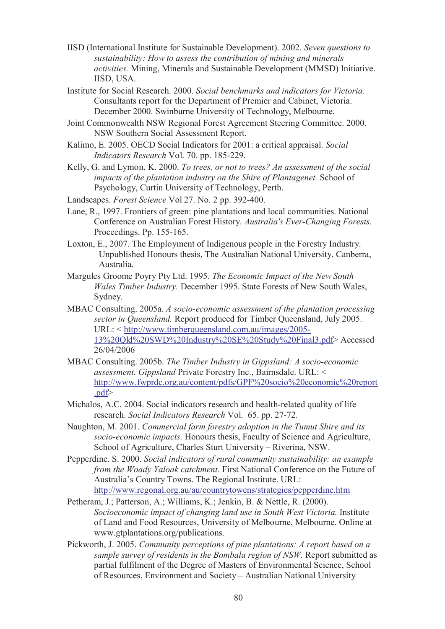- IISD (International Institute for Sustainable Development). 2002. *Seven questions to sustainability: How to assess the contribution of mining and minerals activities.* Mining, Minerals and Sustainable Development (MMSD) Initiative. IISD, USA.
- Institute for Social Research. 2000. *Social benchmarks and indicators for Victoria.*  Consultants report for the Department of Premier and Cabinet, Victoria. December 2000. Swinburne University of Technology, Melbourne.
- Joint Commonwealth NSW Regional Forest Agreement Steering Committee. 2000. NSW Southern Social Assessment Report.
- Kalimo, E. 2005. OECD Social Indicators for 2001: a critical appraisal. *Social Indicators Research* Vol. 70. pp. 185-229.
- Kelly, G. and Lymon, K. 2000. *To trees, or not to trees? An assessment of the social impacts of the plantation industry on the Shire of Plantagenet.* School of Psychology, Curtin University of Technology, Perth.
- Landscapes. *Forest Science* Vol 27. No. 2 pp. 392-400.
- Lane, R., 1997. Frontiers of green: pine plantations and local communities. National Conference on Australian Forest History. *Australia's Ever-Changing Forests.*  Proceedings. Pp. 155-165.
- Loxton, E., 2007. The Employment of Indigenous people in the Forestry Industry. Unpublished Honours thesis, The Australian National University, Canberra, Australia.
- Margules Groome Poyry Pty Ltd. 1995. *The Economic Impact of the New South Wales Timber Industry.* December 1995. State Forests of New South Wales, Sydney.
- MBAC Consulting. 2005a. *A socio-economic assessment of the plantation processing sector in Queensland.* Report produced for Timber Queensland, July 2005. URL: < http://www.timberqueensland.com.au/images/2005- 13%20Qld%20SWD%20Industry%20SE%20Study%20Final3.pdf> Accessed 26/04/2006
- MBAC Consulting. 2005b. *The Timber Industry in Gippsland: A socio-economic assessment. Gippsland* Private Forestry Inc., Bairnsdale. URL: < http://www.fwprdc.org.au/content/pdfs/GPF%20socio%20economic%20report .pdf>
- Michalos, A.C. 2004. Social indicators research and health-related quality of life research. *Social Indicators Research* Vol. 65. pp. 27-72.
- Naughton, M. 2001. *Commercial farm forestry adoption in the Tumut Shire and its socio-economic impacts.* Honours thesis, Faculty of Science and Agriculture, School of Agriculture, Charles Sturt University – Riverina, NSW.
- Pepperdine. S. 2000. *Social indicators of rural community sustainability: an example from the Woady Yaloak catchment.* First National Conference on the Future of Australia's Country Towns. The Regional Institute. URL: http://www.regonal.org.au/au/countrytowens/strategies/pepperdine.htm
- Petheram, J.; Patterson, A.; Williams, K.; Jenkin, B. & Nettle, R. (2000). *Socioeconomic impact of changing land use in South West Victoria.* Institute of Land and Food Resources, University of Melbourne, Melbourne. Online at www.gtplantations.org/publications.
- Pickworth, J. 2005. *Community perceptions of pine plantations: A report based on a sample survey of residents in the Bombala region of NSW.* Report submitted as partial fulfilment of the Degree of Masters of Environmental Science, School of Resources, Environment and Society – Australian National University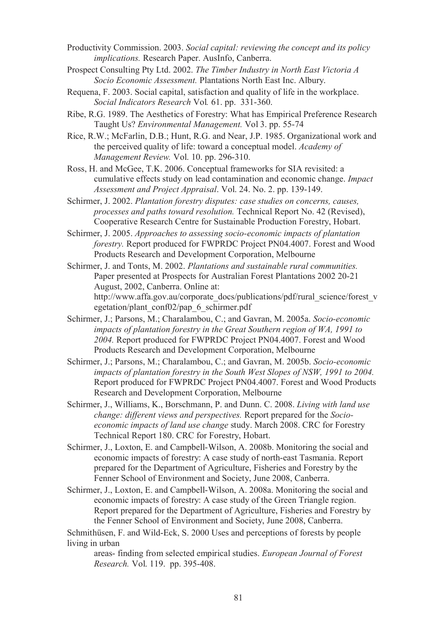Productivity Commission. 2003. *Social capital: reviewing the concept and its policy implications.* Research Paper. AusInfo, Canberra.

- Prospect Consulting Pty Ltd. 2002. *The Timber Industry in North East Victoria A Socio Economic Assessment.* Plantations North East Inc. Albury.
- Requena, F. 2003. Social capital, satisfaction and quality of life in the workplace. *Social Indicators Research* Vol*.* 61. pp. 331-360.
- Ribe, R.G. 1989. The Aesthetics of Forestry: What has Empirical Preference Research Taught Us? *Environmental Management.* Vol 3. pp. 55-74

Rice, R.W.; McFarlin, D.B.; Hunt, R.G. and Near, J.P. 1985. Organizational work and the perceived quality of life: toward a conceptual model. *Academy of Management Review.* Vol. 10. pp. 296-310.

Ross, H. and McGee, T.K. 2006. Conceptual frameworks for SIA revisited: a cumulative effects study on lead contamination and economic change. *Impact Assessment and Project Appraisal*. Vol. 24. No. 2. pp. 139-149.

Schirmer, J. 2002. *Plantation forestry disputes: case studies on concerns, causes, processes and paths toward resolution.* Technical Report No. 42 (Revised), Cooperative Research Centre for Sustainable Production Forestry, Hobart.

Schirmer, J. 2005. *Approaches to assessing socio-economic impacts of plantation forestry.* Report produced for FWPRDC Project PN04.4007. Forest and Wood Products Research and Development Corporation, Melbourne

Schirmer, J. and Tonts, M. 2002. *Plantations and sustainable rural communities.* Paper presented at Prospects for Australian Forest Plantations 2002 20-21 August, 2002, Canberra. Online at: http://www.affa.gov.au/corporate\_docs/publications/pdf/rural\_science/forest\_v\_ egetation/plant\_conf02/pap\_6\_schirmer.pdf

Schirmer, J.; Parsons, M.; Charalambou, C.; and Gavran, M. 2005a. *Socio-economic impacts of plantation forestry in the Great Southern region of WA, 1991 to 2004.* Report produced for FWPRDC Project PN04.4007. Forest and Wood Products Research and Development Corporation, Melbourne

Schirmer, J.; Parsons, M.; Charalambou, C.; and Gavran, M. 2005b. *Socio-economic impacts of plantation forestry in the South West Slopes of NSW, 1991 to 2004.* Report produced for FWPRDC Project PN04.4007. Forest and Wood Products Research and Development Corporation, Melbourne

Schirmer, J., Williams, K., Borschmann, P. and Dunn. C. 2008. *Living with land use change: different views and perspectives.* Report prepared for the *Socioeconomic impacts of land use change* study. March 2008. CRC for Forestry Technical Report 180. CRC for Forestry, Hobart.

Schirmer, J., Loxton, E. and Campbell-Wilson, A. 2008b. Monitoring the social and economic impacts of forestry: A case study of north-east Tasmania. Report prepared for the Department of Agriculture, Fisheries and Forestry by the Fenner School of Environment and Society, June 2008, Canberra.

Schirmer, J., Loxton, E. and Campbell-Wilson, A. 2008a. Monitoring the social and economic impacts of forestry: A case study of the Green Triangle region. Report prepared for the Department of Agriculture, Fisheries and Forestry by the Fenner School of Environment and Society, June 2008, Canberra.

Schmithüsen, F. and Wild-Eck, S. 2000 Uses and perceptions of forests by people living in urban

areas- finding from selected empirical studies. *European Journal of Forest Research.* Vol. 119. pp. 395-408.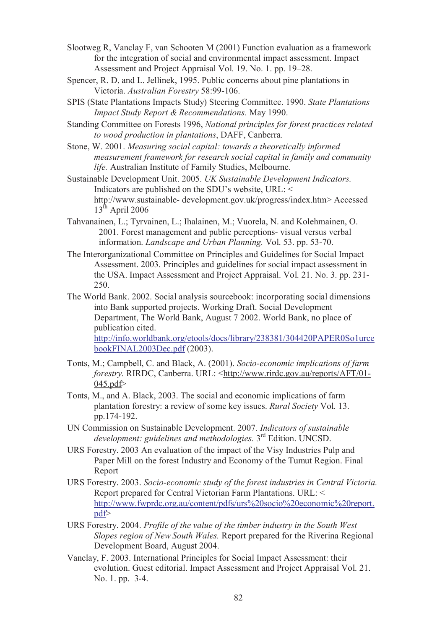Slootweg R, Vanclay F, van Schooten M (2001) Function evaluation as a framework for the integration of social and environmental impact assessment. Impact Assessment and Project Appraisal Vol. 19. No. 1. pp. 19–28.

- Spencer, R. D, and L. Jellinek, 1995. Public concerns about pine plantations in Victoria. *Australian Forestry* 58:99-106.
- SPIS (State Plantations Impacts Study) Steering Committee. 1990. *State Plantations Impact Study Report & Recommendations.* May 1990.
- Standing Committee on Forests 1996, *National principles for forest practices related to wood production in plantations*, DAFF, Canberra.
- Stone, W. 2001. *Measuring social capital: towards a theoretically informed measurement framework for research social capital in family and community life.* Australian Institute of Family Studies, Melbourne.

Sustainable Development Unit. 2005. *UK Sustainable Development Indicators.*  Indicators are published on the SDU's website, URL: < http://www.sustainable- development.gov.uk/progress/index.htm> Accessed  $13<sup>th</sup>$  April 2006

- Tahvanainen, L.; Tyrvainen, L.; Ihalainen, M.; Vuorela, N. and Kolehmainen, O. 2001. Forest management and public perceptions- visual versus verbal information. *Landscape and Urban Planning.* Vol. 53. pp. 53-70.
- The Interorganizational Committee on Principles and Guidelines for Social Impact Assessment. 2003. Principles and guidelines for social impact assessment in the USA. Impact Assessment and Project Appraisal. Vol. 21. No. 3. pp. 231- 250.
- The World Bank. 2002. Social analysis sourcebook: incorporating social dimensions into Bank supported projects. Working Draft. Social Development Department, The World Bank, August 7 2002. World Bank, no place of publication cited. http://info.worldbank.org/etools/docs/library/238381/304420PAPER0So1urce bookFINAL2003Dec.pdf (2003).
- Tonts, M.; Campbell, C. and Black, A. (2001). *Socio-economic implications of farm forestry.* RIRDC, Canberra. URL: <http://www.rirdc.gov.au/reports/AFT/01-  $045.pdf$
- Tonts, M., and A. Black, 2003. The social and economic implications of farm plantation forestry: a review of some key issues. *Rural Society* Vol. 13. pp.174-192.
- UN Commission on Sustainable Development. 2007. *Indicators of sustainable development: guidelines and methodologies.* 3 rd Edition. UNCSD.
- URS Forestry. 2003 An evaluation of the impact of the Visy Industries Pulp and Paper Mill on the forest Industry and Economy of the Tumut Region. Final Report
- URS Forestry. 2003. *Socio-economic study of the forest industries in Central Victoria.*  Report prepared for Central Victorian Farm Plantations. URL: < http://www.fwprdc.org.au/content/pdfs/urs%20socio%20economic%20report. pdf>
- URS Forestry. 2004. *Profile of the value of the timber industry in the South West Slopes region of New South Wales.* Report prepared for the Riverina Regional Development Board, August 2004.
- Vanclay, F. 2003. International Principles for Social Impact Assessment: their evolution. Guest editorial. Impact Assessment and Project Appraisal Vol. 21. No. 1. pp. 3-4.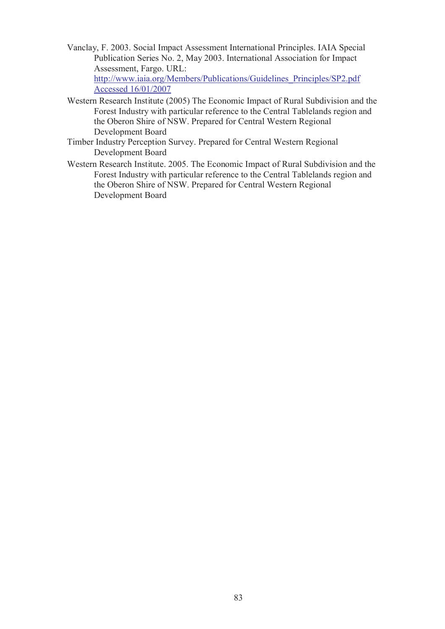Vanclay, F. 2003. Social Impact Assessment International Principles. IAIA Special Publication Series No. 2, May 2003. International Association for Impact Assessment, Fargo. URL:

http://www.iaia.org/Members/Publications/Guidelines\_Principles/SP2.pdf Accessed 16/01/2007

- Western Research Institute (2005) The Economic Impact of Rural Subdivision and the Forest Industry with particular reference to the Central Tablelands region and the Oberon Shire of NSW. Prepared for Central Western Regional Development Board
- Timber Industry Perception Survey. Prepared for Central Western Regional Development Board
- Western Research Institute. 2005. The Economic Impact of Rural Subdivision and the Forest Industry with particular reference to the Central Tablelands region and the Oberon Shire of NSW. Prepared for Central Western Regional Development Board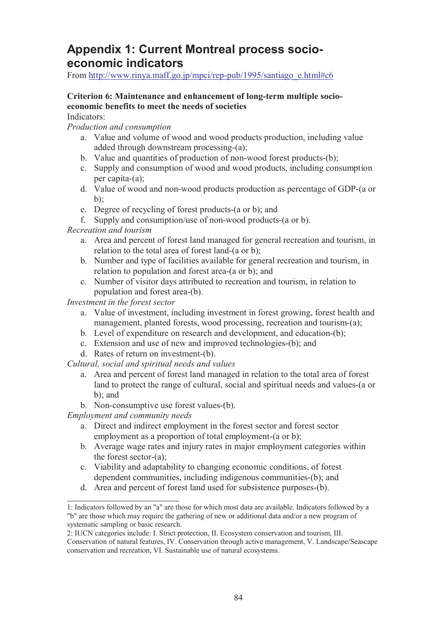## **Appendix 1: Current Montreal process socioeconomic indicators**

From http://www.rinya.maff.go.jp/mpci/rep-pub/1995/santiago\_e.html#c6

### **Criterion 6: Maintenance and enhancement of long-term multiple socioeconomic benefits to meet the needs of societies**

Indicators:

*Production and consumption*

- a. Value and volume of wood and wood products production, including value added through downstream processing-(a);
- b. Value and quantities of production of non-wood forest products-(b);
- c. Supply and consumption of wood and wood products, including consumption per capita-(a);
- d. Value of wood and non-wood products production as percentage of GDP-(a or  $b$ ):
- e. Degree of recycling of forest products-(a or b); and
- f. Supply and consumption/use of non-wood products-(a or b).

### *Recreation and tourism*

- a. Area and percent of forest land managed for general recreation and tourism, in relation to the total area of forest land-(a or b);
- b. Number and type of facilities available for general recreation and tourism, in relation to population and forest area-(a or b); and
- c. Number of visitor days attributed to recreation and tourism, in relation to population and forest area-(b).

*Investment in the forest sector*

- a. Value of investment, including investment in forest growing, forest health and management, planted forests, wood processing, recreation and tourism-(a);
- b. Level of expenditure on research and development, and education-(b);
- c. Extension and use of new and improved technologies-(b); and
- d. Rates of return on investment-(b).

*Cultural, social and spiritual needs and values*

- a. Area and percent of forest land managed in relation to the total area of forest land to protect the range of cultural, social and spiritual needs and values-(a or b); and
- b. Non-consumptive use forest values-(b).

*Employment and community needs*

- a. Direct and indirect employment in the forest sector and forest sector employment as a proportion of total employment-(a or b);
- b. Average wage rates and injury rates in major employment categories within the forest sector-(a);
- c. Viability and adaptability to changing economic conditions, of forest dependent communities, including indigenous communities-(b); and
- d. Area and percent of forest land used for subsistence purposes-(b).

2: IUCN categories include: I. Strict protection, II. Ecosystem conservation and tourism, III.

<sup>1:</sup> Indicators followed by an "a" are those for which most data are available. Indicators followed by a "b" are those which may require the gathering of new or additional data and/or a new program of systematic sampling or basic research.

Conservation of natural features, IV. Conservation through active management, V. Landscape/Seascape conservation and recreation, VI. Sustainable use of natural ecosystems.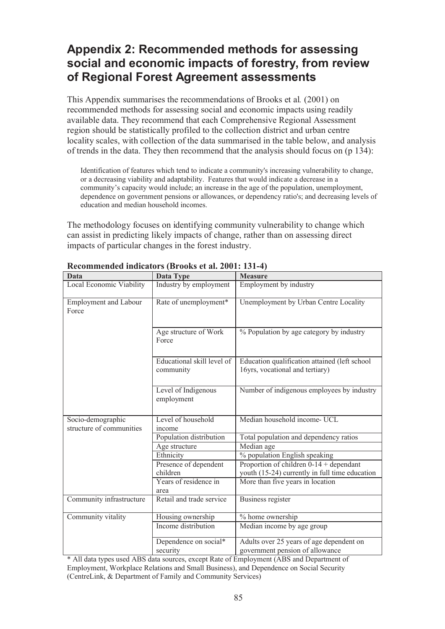# **Appendix 2: Recommended methods for assessing social and economic impacts of forestry, from review of Regional Forest Agreement assessments**

This Appendix summarises the recommendations of Brooks et al*.* (2001) on recommended methods for assessing social and economic impacts using readily available data. They recommend that each Comprehensive Regional Assessment region should be statistically profiled to the collection district and urban centre locality scales, with collection of the data summarised in the table below, and analysis of trends in the data. They then recommend that the analysis should focus on (p 134):

Identification of features which tend to indicate a community's increasing vulnerability to change, or a decreasing viability and adaptability. Features that would indicate a decrease in a community's capacity would include; an increase in the age of the population, unemployment, dependence on government pensions or allowances, or dependency ratio's; and decreasing levels of education and median household incomes.

The methodology focuses on identifying community vulnerability to change which can assist in predicting likely impacts of change, rather than on assessing direct impacts of particular changes in the forest industry.

| Data                                          | $\alpha$ and $\alpha$ and $\alpha$ and $\beta$ (Drovis et al. 2001. IQT 1)<br>Data Type | <b>Measure</b>                                                                   |  |
|-----------------------------------------------|-----------------------------------------------------------------------------------------|----------------------------------------------------------------------------------|--|
| Local Economic Viability                      | Industry by employment                                                                  | Employment by industry                                                           |  |
| <b>Employment and Labour</b><br>Force         | Rate of unemployment*                                                                   | Unemployment by Urban Centre Locality                                            |  |
|                                               | Age structure of Work<br>Force                                                          | % Population by age category by industry                                         |  |
|                                               | Educational skill level of<br>community                                                 | Education qualification attained (left school<br>16yrs, vocational and tertiary) |  |
|                                               | Level of Indigenous<br>employment                                                       | Number of indigenous employees by industry                                       |  |
| Socio-demographic<br>structure of communities | Level of household<br>income                                                            | Median household income-UCL                                                      |  |
|                                               | Population distribution                                                                 | Total population and dependency ratios                                           |  |
|                                               | Age structure                                                                           | Median age                                                                       |  |
|                                               | Ethnicity                                                                               | % population English speaking                                                    |  |
|                                               | Presence of dependent                                                                   | Proportion of children $0-14 +$ dependant                                        |  |
|                                               | children                                                                                | youth (15-24) currently in full time education                                   |  |
|                                               | Years of residence in                                                                   | More than five years in location                                                 |  |
|                                               | area                                                                                    |                                                                                  |  |
| Community infrastructure                      | Retail and trade service                                                                | Business register                                                                |  |
| Community vitality                            | Housing ownership                                                                       | % home ownership                                                                 |  |
|                                               | Income distribution                                                                     | Median income by age group                                                       |  |
|                                               | Dependence on social*                                                                   | Adults over 25 years of age dependent on                                         |  |
|                                               | security                                                                                | government pension of allowance                                                  |  |

**Recommended indicators (Brooks et al. 2001: 131-4)**

\* All data types used ABS data sources, except Rate of Employment (ABS and Department of Employment, Workplace Relations and Small Business), and Dependence on Social Security (CentreLink, & Department of Family and Community Services)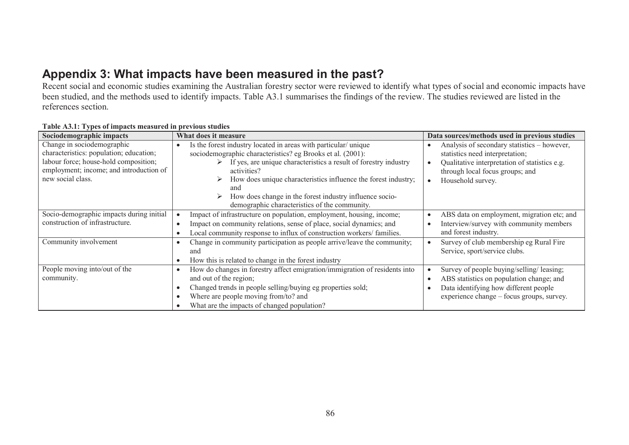## **Appendix 3: What impacts have been measured in the past?**

Recent social and economic studies examining the Australian forestry sector were reviewed to identify what types of social and economic impacts have been studied, and the methods used to identify impacts. Table A3.1 summarises the findings of the review. The studies reviewed are listed in the references section.

| Sociodemographic impacts                                                                                                                                                       | <b>What does it measure</b>                                                                                                                                                                                                                                                                                                                                                                               | Data sources/methods used in previous studies                                                                                                                                           |
|--------------------------------------------------------------------------------------------------------------------------------------------------------------------------------|-----------------------------------------------------------------------------------------------------------------------------------------------------------------------------------------------------------------------------------------------------------------------------------------------------------------------------------------------------------------------------------------------------------|-----------------------------------------------------------------------------------------------------------------------------------------------------------------------------------------|
| Change in sociodemographic<br>characteristics: population; education;<br>labour force; house-hold composition;<br>employment; income; and introduction of<br>new social class. | Is the forest industry located in areas with particular/unique<br>sociodemographic characteristics? eg Brooks et al. (2001):<br>If yes, are unique characteristics a result of forestry industry<br>➤<br>activities?<br>How does unique characteristics influence the forest industry;<br>and<br>How does change in the forest industry influence socio-<br>demographic characteristics of the community. | Analysis of secondary statistics – however,<br>statistics need interpretation;<br>Qualitative interpretation of statistics e.g.<br>through local focus groups; and<br>Household survey. |
| Socio-demographic impacts during initial<br>construction of infrastructure.                                                                                                    | Impact of infrastructure on population, employment, housing, income;<br>Impact on community relations, sense of place, social dynamics; and<br>Local community response to influx of construction workers/families.                                                                                                                                                                                       | ABS data on employment, migration etc; and<br>Interview/survey with community members<br>and forest industry.                                                                           |
| Community involvement                                                                                                                                                          | Change in community participation as people arrive/leave the community;<br>and<br>How this is related to change in the forest industry                                                                                                                                                                                                                                                                    | Survey of club membership eg Rural Fire<br>Service, sport/service clubs.                                                                                                                |
| People moving into/out of the<br>community.                                                                                                                                    | How do changes in forestry affect emigration/immigration of residents into<br>and out of the region;<br>Changed trends in people selling/buying eg properties sold;<br>Where are people moving from/to? and<br>What are the impacts of changed population?                                                                                                                                                | Survey of people buying/selling/leasing;<br>ABS statistics on population change; and<br>Data identifying how different people<br>experience change – focus groups, survey.              |

#### **Table A3.1: Types of impacts measured in previous studies**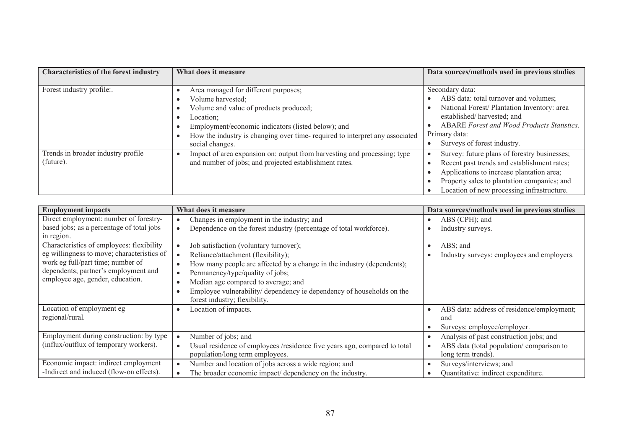| <b>Characteristics of the forest industry</b>   | What does it measure                                                                                                                                                                                                                                                     | Data sources/methods used in previous studies                                                                                                                                                                                         |
|-------------------------------------------------|--------------------------------------------------------------------------------------------------------------------------------------------------------------------------------------------------------------------------------------------------------------------------|---------------------------------------------------------------------------------------------------------------------------------------------------------------------------------------------------------------------------------------|
| Forest industry profile:.                       | Area managed for different purposes;<br>Volume harvested;<br>Volume and value of products produced;<br>Location;<br>Employment/economic indicators (listed below); and<br>How the industry is changing over time-required to interpret any associated<br>social changes. | Secondary data:<br>ABS data: total turnover and volumes;<br>National Forest/ Plantation Inventory: area<br>established/harvested; and<br>ABARE Forest and Wood Products Statistics.<br>Primary data:<br>Surveys of forest industry.   |
| Trends in broader industry profile<br>(future). | Impact of area expansion on: output from harvesting and processing; type<br>and number of jobs; and projected establishment rates.                                                                                                                                       | Survey: future plans of forestry businesses;<br>Recent past trends and establishment rates;<br>Applications to increase plantation area;<br>Property sales to plantation companies; and<br>Location of new processing infrastructure. |

| <b>Employment impacts</b>                  | What does it measure                                                                | Data sources/methods used in previous studies           |
|--------------------------------------------|-------------------------------------------------------------------------------------|---------------------------------------------------------|
| Direct employment: number of forestry-     | Changes in employment in the industry; and                                          | ABS (CPH); and                                          |
| based jobs; as a percentage of total jobs  | Dependence on the forest industry (percentage of total workforce).                  | Industry surveys.                                       |
| in region.                                 |                                                                                     |                                                         |
| Characteristics of employees: flexibility  | Job satisfaction (voluntary turnover);                                              | $\text{ABS}$ ; and                                      |
| eg willingness to move; characteristics of | Reliance/attachment (flexibility);                                                  | Industry surveys: employees and employers.              |
| work eg full/part time; number of          | How many people are affected by a change in the industry (dependents);<br>$\bullet$ |                                                         |
| dependents; partner's employment and       | Permanency/type/quality of jobs;<br>$\bullet$                                       |                                                         |
| employee age, gender, education.           | Median age compared to average; and<br>$\bullet$                                    |                                                         |
|                                            | Employee vulnerability/ dependency ie dependency of households on the               |                                                         |
|                                            | forest industry; flexibility.                                                       |                                                         |
| Location of employment eg                  | Location of impacts.<br>$\bullet$                                                   | ABS data: address of residence/employment;<br>$\bullet$ |
| regional/rural.                            |                                                                                     | and                                                     |
|                                            |                                                                                     | Surveys: employee/employer.                             |
| Employment during construction: by type    | Number of jobs; and                                                                 | Analysis of past construction jobs; and                 |
| (influx/outflux of temporary workers).     | Usual residence of employees /residence five years ago, compared to total           | ABS data (total population/comparison to                |
|                                            | population/long term employees.                                                     | long term trends).                                      |
| Economic impact: indirect employment       | Number and location of jobs across a wide region; and                               | Surveys/interviews; and                                 |
| -Indirect and induced (flow-on effects).   | The broader economic impact/ dependency on the industry.                            | Quantitative: indirect expenditure.                     |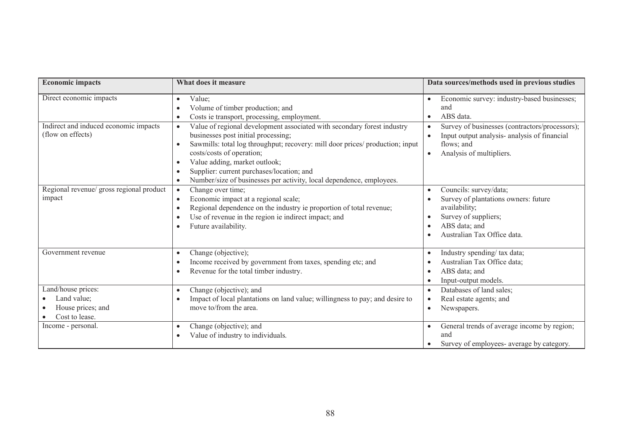| <b>Economic impacts</b>                                                               | What does it measure                                                                                                                                                                                                                                                                                                                                                                                                                                                                                                                             | Data sources/methods used in previous studies                                                                                                                                                                                                                   |
|---------------------------------------------------------------------------------------|--------------------------------------------------------------------------------------------------------------------------------------------------------------------------------------------------------------------------------------------------------------------------------------------------------------------------------------------------------------------------------------------------------------------------------------------------------------------------------------------------------------------------------------------------|-----------------------------------------------------------------------------------------------------------------------------------------------------------------------------------------------------------------------------------------------------------------|
| Direct economic impacts<br>Indirect and induced economic impacts<br>(flow on effects) | Value;<br>Volume of timber production; and<br>Costs ie transport, processing, employment.<br>$\bullet$<br>Value of regional development associated with secondary forest industry<br>$\bullet$<br>businesses post initial processing;<br>Sawmills: total log throughput; recovery: mill door prices/ production; input<br>costs/costs of operation;<br>Value adding, market outlook;<br>$\bullet$<br>Supplier: current purchases/location; and<br>$\bullet$<br>Number/size of businesses per activity, local dependence, employees.<br>$\bullet$ | Economic survey: industry-based businesses;<br>$\bullet$<br>and<br>ABS data.<br>Survey of businesses (contractors/processors);<br>$\bullet$<br>Input output analysis- analysis of financial<br>$\bullet$<br>flows; and<br>Analysis of multipliers.<br>$\bullet$ |
| Regional revenue/ gross regional product<br>impact                                    | Change over time;<br>$\bullet$<br>Economic impact at a regional scale;<br>$\bullet$<br>Regional dependence on the industry ie proportion of total revenue;<br>$\bullet$<br>Use of revenue in the region ie indirect impact; and<br>Future availability.<br>$\bullet$                                                                                                                                                                                                                                                                             | Councils: survey/data;<br>$\bullet$<br>Survey of plantations owners: future<br>$\bullet$<br>availability;<br>Survey of suppliers;<br>$\bullet$<br>ABS data; and<br>Australian Tax Office data.<br>$\bullet$                                                     |
| Government revenue                                                                    | Change (objective);<br>$\bullet$<br>Income received by government from taxes, spending etc; and<br>Revenue for the total timber industry.<br>$\bullet$                                                                                                                                                                                                                                                                                                                                                                                           | Industry spending/ tax data;<br>$\bullet$<br>Australian Tax Office data;<br>ABS data; and<br>$\bullet$<br>Input-output models.<br>$\bullet$                                                                                                                     |
| Land/house prices:<br>Land value;<br>House prices; and<br>Cost to lease.              | Change (objective); and<br>$\bullet$<br>Impact of local plantations on land value; willingness to pay; and desire to<br>move to/from the area.                                                                                                                                                                                                                                                                                                                                                                                                   | Databases of land sales;<br>$\bullet$<br>Real estate agents; and<br>$\bullet$<br>Newspapers.<br>$\bullet$                                                                                                                                                       |
| Income - personal.                                                                    | Change (objective); and<br>$\bullet$<br>Value of industry to individuals.                                                                                                                                                                                                                                                                                                                                                                                                                                                                        | General trends of average income by region;<br>$\bullet$<br>and<br>Survey of employees- average by category.                                                                                                                                                    |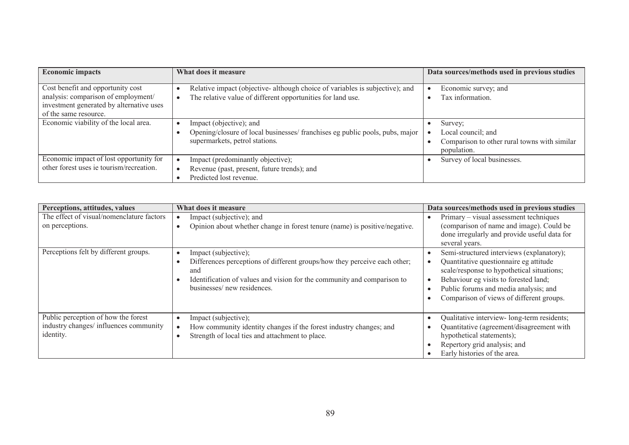| <b>Economic impacts</b>                                                                                                                       | What does it measure                                                                                                                       | Data sources/methods used in previous studies                                                |
|-----------------------------------------------------------------------------------------------------------------------------------------------|--------------------------------------------------------------------------------------------------------------------------------------------|----------------------------------------------------------------------------------------------|
| Cost benefit and opportunity cost<br>analysis: comparison of employment/<br>investment generated by alternative uses<br>of the same resource. | Relative impact (objective-although choice of variables is subjective); and<br>The relative value of different opportunities for land use. | Economic survey; and<br>Tax information.                                                     |
| Economic viability of the local area.                                                                                                         | Impact (objective); and<br>Opening/closure of local businesses/ franchises eg public pools, pubs, major<br>supermarkets, petrol stations.  | Survey;<br>Local council; and<br>Comparison to other rural towns with similar<br>population. |
| Economic impact of lost opportunity for<br>other forest uses ie tourism/recreation.                                                           | Impact (predominantly objective);<br>Revenue (past, present, future trends); and<br>Predicted lost revenue.                                | Survey of local businesses.                                                                  |

| Perceptions, attitudes, values                                                             | What does it measure                                                                                                                                                                                              | Data sources/methods used in previous studies                                                                                                                                                                                                                   |
|--------------------------------------------------------------------------------------------|-------------------------------------------------------------------------------------------------------------------------------------------------------------------------------------------------------------------|-----------------------------------------------------------------------------------------------------------------------------------------------------------------------------------------------------------------------------------------------------------------|
| The effect of visual/nomenclature factors<br>on perceptions.                               | Impact (subjective); and<br>Opinion about whether change in forest tenure (name) is positive/negative.                                                                                                            | Primary – visual assessment techniques<br>(comparison of name and image). Could be<br>done irregularly and provide useful data for<br>several years.                                                                                                            |
| Perceptions felt by different groups.                                                      | Impact (subjective);<br>Differences perceptions of different groups/how they perceive each other;<br>and<br>Identification of values and vision for the community and comparison to<br>businesses/new residences. | Semi-structured interviews (explanatory);<br>Quantitative questionnaire eg attitude<br>scale/response to hypothetical situations;<br>Behaviour eg visits to forested land;<br>Public forums and media analysis; and<br>Comparison of views of different groups. |
| Public perception of how the forest<br>industry changes/ influences community<br>identity. | Impact (subjective);<br>How community identity changes if the forest industry changes; and<br>Strength of local ties and attachment to place.                                                                     | Qualitative interview- long-term residents;<br>Quantitative (agreement/disagreement with<br>hypothetical statements);<br>Repertory grid analysis; and<br>Early histories of the area.                                                                           |